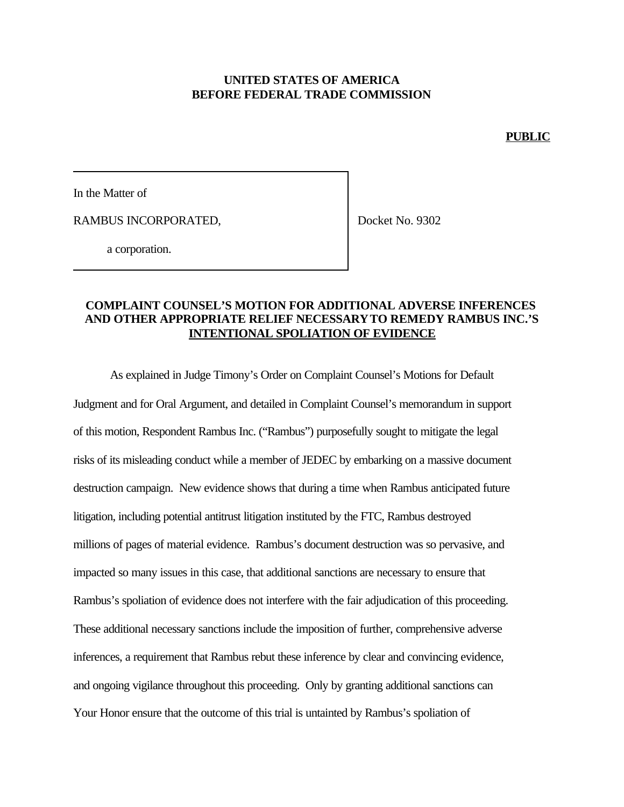## **UNITED STATES OF AMERICA BEFORE FEDERAL TRADE COMMISSION**

**PUBLIC**

In the Matter of

RAMBUS INCORPORATED,

Docket No. 9302

a corporation.

### **COMPLAINT COUNSEL'S MOTION FOR ADDITIONAL ADVERSE INFERENCES AND OTHER APPROPRIATE RELIEF NECESSARYTO REMEDY RAMBUS INC.'S INTENTIONAL SPOLIATION OF EVIDENCE**

As explained in Judge Timony's Order on Complaint Counsel's Motions for Default Judgment and for Oral Argument, and detailed in Complaint Counsel's memorandum in support of this motion, Respondent Rambus Inc. ("Rambus") purposefully sought to mitigate the legal risks of its misleading conduct while a member of JEDEC by embarking on a massive document destruction campaign. New evidence shows that during a time when Rambus anticipated future litigation, including potential antitrust litigation instituted by the FTC, Rambus destroyed millions of pages of material evidence. Rambus's document destruction was so pervasive, and impacted so many issues in this case, that additional sanctions are necessary to ensure that Rambus's spoliation of evidence does not interfere with the fair adjudication of this proceeding. These additional necessary sanctions include the imposition of further, comprehensive adverse inferences, a requirement that Rambus rebut these inference by clear and convincing evidence, and ongoing vigilance throughout this proceeding. Only by granting additional sanctions can Your Honor ensure that the outcome of this trial is untainted by Rambus's spoliation of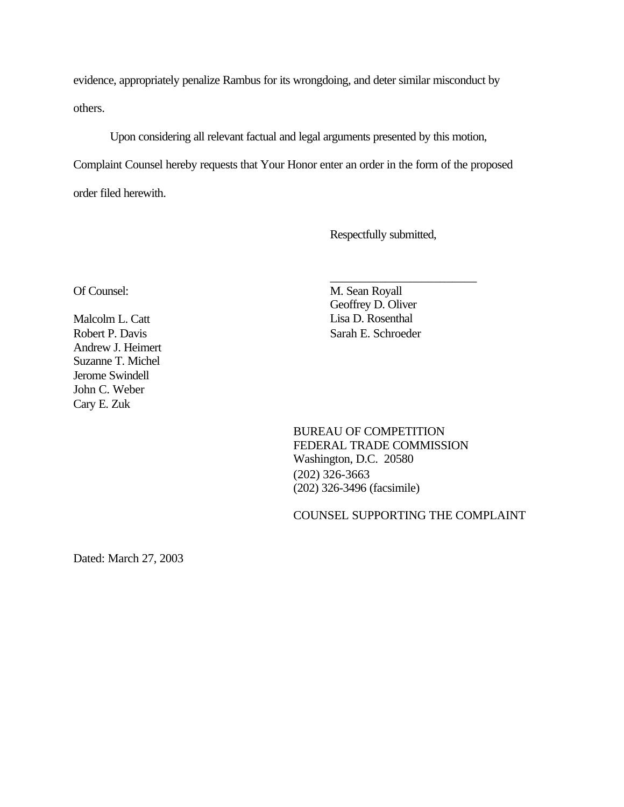evidence, appropriately penalize Rambus for its wrongdoing, and deter similar misconduct by others.

Upon considering all relevant factual and legal arguments presented by this motion, Complaint Counsel hereby requests that Your Honor enter an order in the form of the proposed

order filed herewith.

Respectfully submitted,

\_\_\_\_\_\_\_\_\_\_\_\_\_\_\_\_\_\_\_\_\_\_\_\_

Andrew J. Heimert Suzanne T. Michel Jerome Swindell John C. Weber Cary E. Zuk

Of Counsel: M. Sean Royall Geoffrey D. Oliver Malcolm L. Catt Lisa D. Rosenthal Robert P. Davis Sarah E. Schroeder

> BUREAU OF COMPETITION FEDERAL TRADE COMMISSION Washington, D.C. 20580 (202) 326-3663 (202) 326-3496 (facsimile)

COUNSEL SUPPORTING THE COMPLAINT

Dated: March 27, 2003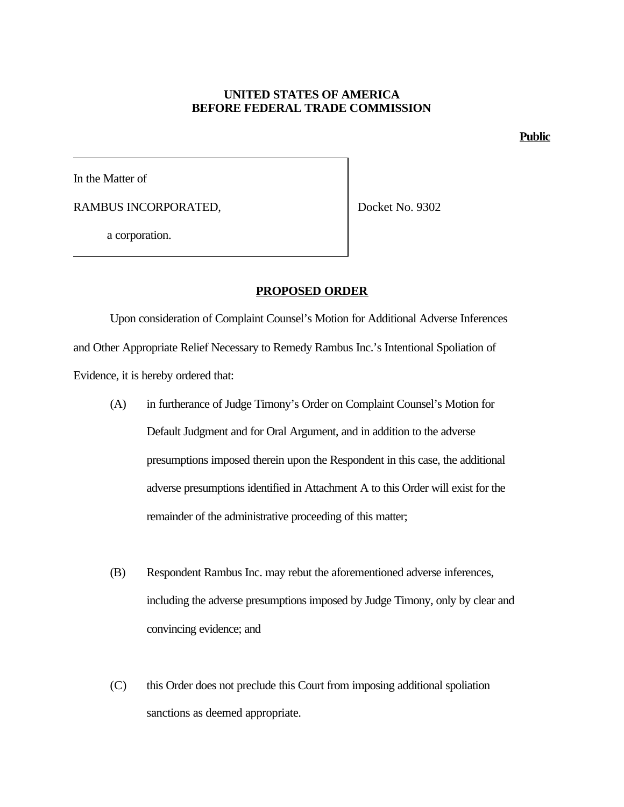#### **UNITED STATES OF AMERICA BEFORE FEDERAL TRADE COMMISSION**

**Public**

In the Matter of

RAMBUS INCORPORATED,

Docket No. 9302

a corporation.

#### **PROPOSED ORDER**

Upon consideration of Complaint Counsel's Motion for Additional Adverse Inferences and Other Appropriate Relief Necessary to Remedy Rambus Inc.'s Intentional Spoliation of Evidence, it is hereby ordered that:

- (A) in furtherance of Judge Timony's Order on Complaint Counsel's Motion for Default Judgment and for Oral Argument, and in addition to the adverse presumptions imposed therein upon the Respondent in this case, the additional adverse presumptions identified in Attachment A to this Order will exist for the remainder of the administrative proceeding of this matter;
- (B) Respondent Rambus Inc. may rebut the aforementioned adverse inferences, including the adverse presumptions imposed by Judge Timony, only by clear and convincing evidence; and
- (C) this Order does not preclude this Court from imposing additional spoliation sanctions as deemed appropriate.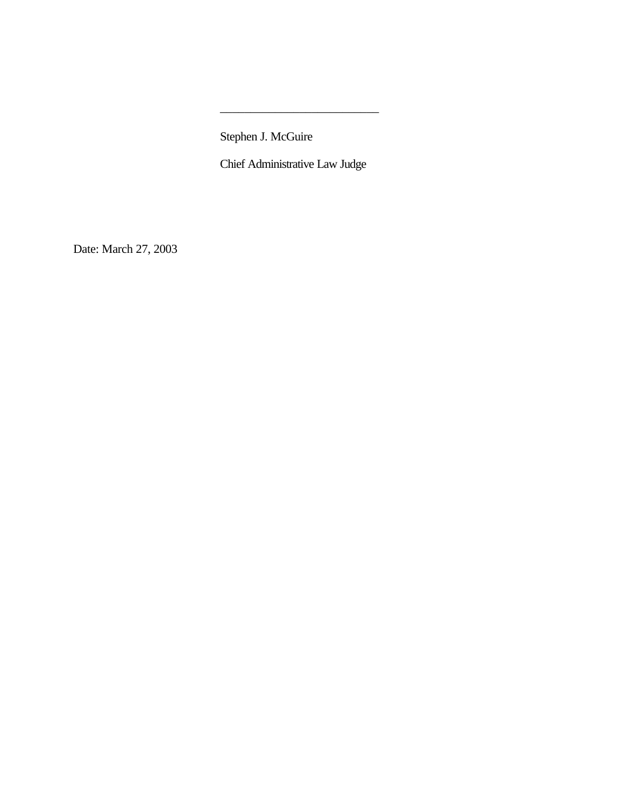Stephen J. McGuire

Chief Administrative Law Judge

\_\_\_\_\_\_\_\_\_\_\_\_\_\_\_\_\_\_\_\_\_\_\_\_\_\_

Date: March 27, 2003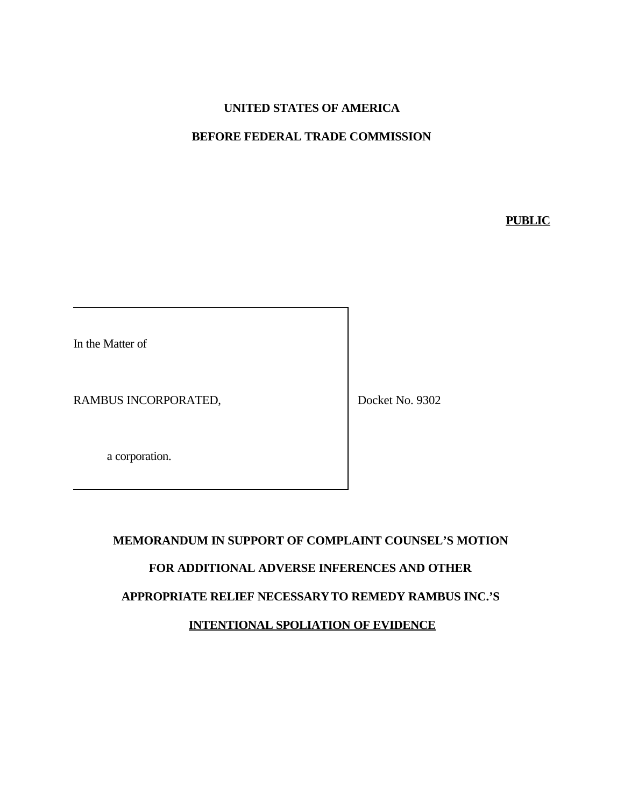# **UNITED STATES OF AMERICA**

## **BEFORE FEDERAL TRADE COMMISSION**

**PUBLIC**

In the Matter of

RAMBUS INCORPORATED,

Docket No. 9302

a corporation.

# **MEMORANDUM IN SUPPORT OF COMPLAINT COUNSEL'S MOTION FOR ADDITIONAL ADVERSE INFERENCES AND OTHER APPROPRIATE RELIEF NECESSARYTO REMEDY RAMBUS INC.'S INTENTIONAL SPOLIATION OF EVIDENCE**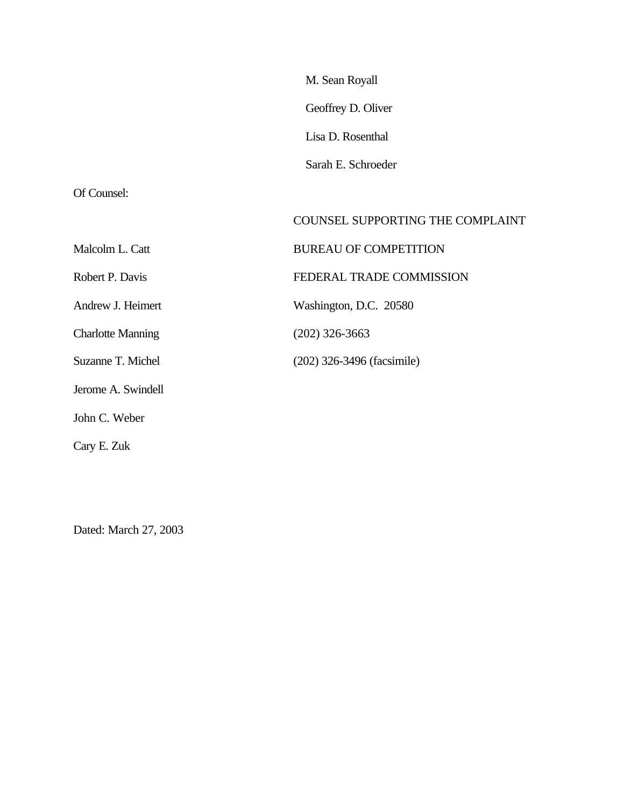Of Counsel:

|                          | COUNSEL SUPPORTING THE COMPLAINT |
|--------------------------|----------------------------------|
| Malcolm L. Catt          | <b>BUREAU OF COMPETITION</b>     |
| Robert P. Davis          | FEDERAL TRADE COMMISSION         |
| Andrew J. Heimert        | Washington, D.C. 20580           |
| <b>Charlotte Manning</b> | $(202)$ 326-3663                 |
| Suzanne T. Michel        | (202) 326-3496 (facsimile)       |
| Jerome A. Swindell       |                                  |
| John C. Weber            |                                  |
| Cary E. Zuk              |                                  |

Dated: March 27, 2003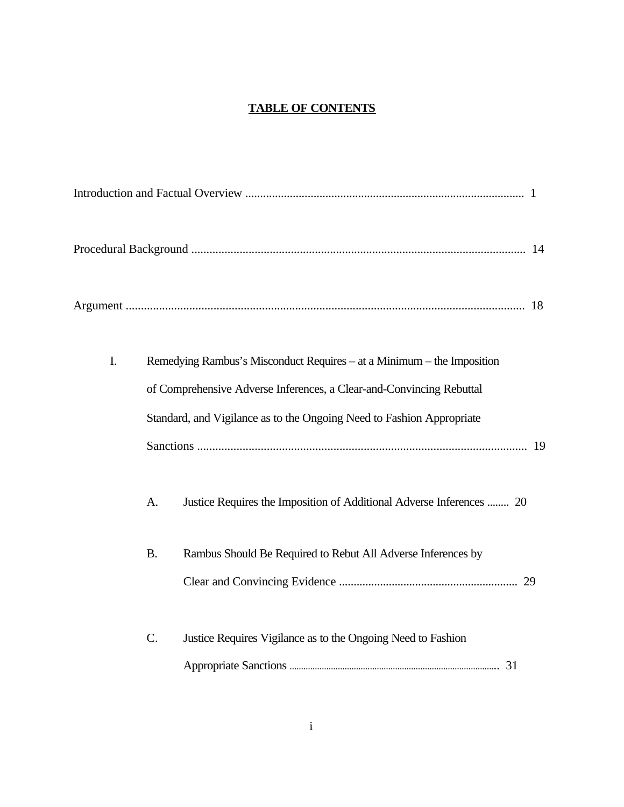# **TABLE OF CONTENTS**

| I. | A.        | Remedying Rambus's Misconduct Requires – at a Minimum – the Imposition<br>of Comprehensive Adverse Inferences, a Clear-and-Convincing Rebuttal<br>Standard, and Vigilance as to the Ongoing Need to Fashion Appropriate<br>Justice Requires the Imposition of Additional Adverse Inferences  20 |  |
|----|-----------|-------------------------------------------------------------------------------------------------------------------------------------------------------------------------------------------------------------------------------------------------------------------------------------------------|--|
|    | <b>B.</b> | Rambus Should Be Required to Rebut All Adverse Inferences by                                                                                                                                                                                                                                    |  |
|    | $C$ .     | Justice Requires Vigilance as to the Ongoing Need to Fashion                                                                                                                                                                                                                                    |  |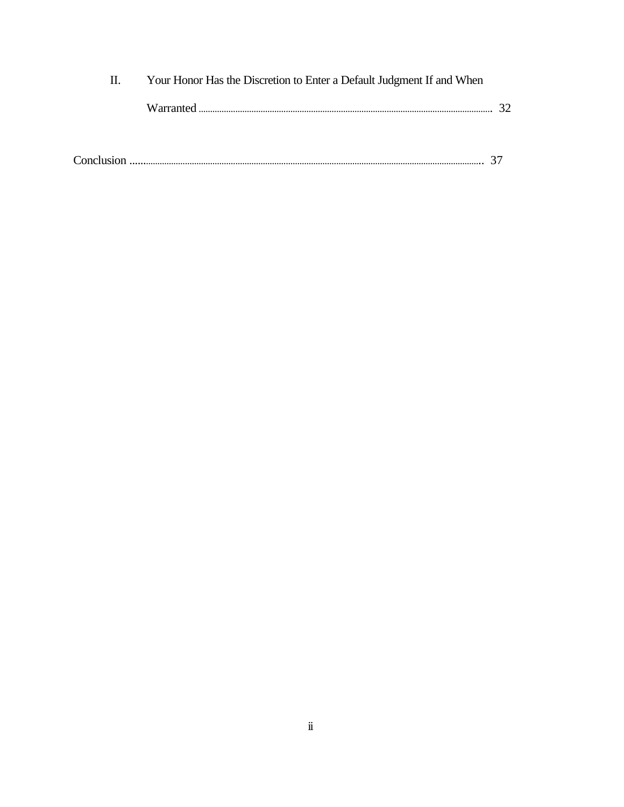| Н. | Your Honor Has the Discretion to Enter a Default Judgment If and When |  |
|----|-----------------------------------------------------------------------|--|
|    |                                                                       |  |
|    |                                                                       |  |
|    |                                                                       |  |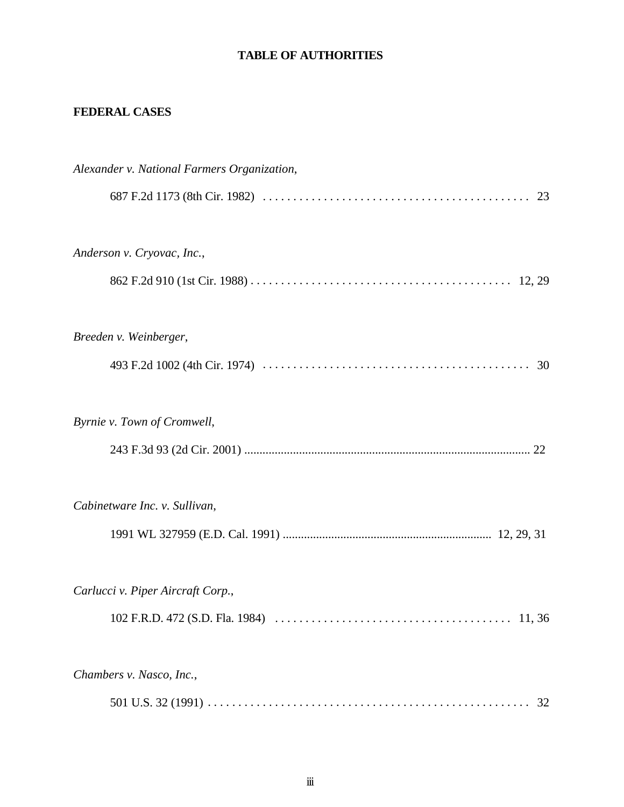# **TABLE OF AUTHORITIES**

# **FEDERAL CASES**

| Alexander v. National Farmers Organization, |
|---------------------------------------------|
|                                             |
| Anderson v. Cryovac, Inc.,                  |
|                                             |
| Breeden v. Weinberger,                      |
|                                             |
| Byrnie v. Town of Cromwell,                 |
|                                             |
| Cabinetware Inc. v. Sullivan,               |
|                                             |
| Carlucci v. Piper Aircraft Corp.,           |
| 102 F.R.D. 472 (S.D. Fla. 1984)<br>11.36    |
| Chambers v. Nasco, Inc.,                    |
| 32                                          |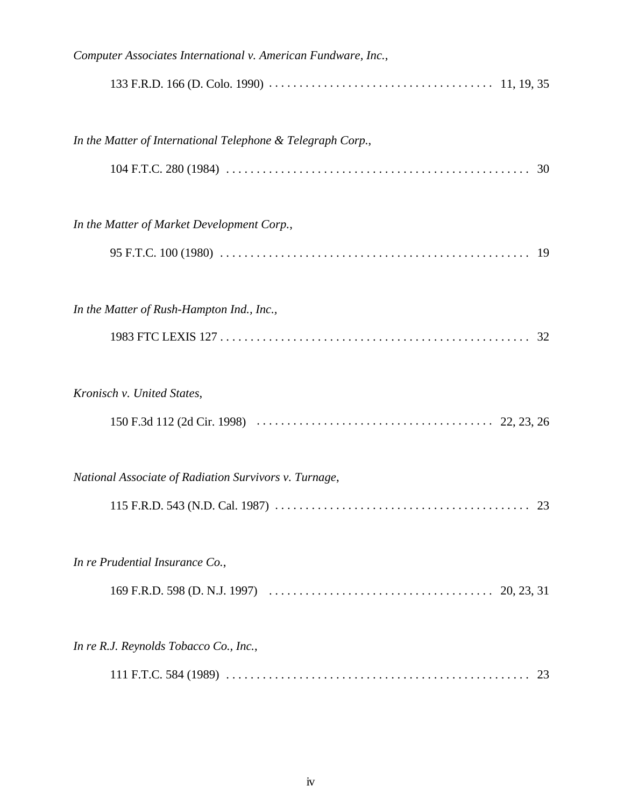| Computer Associates International v. American Fundware, Inc., |
|---------------------------------------------------------------|
|                                                               |
| In the Matter of International Telephone & Telegraph Corp.,   |
|                                                               |
| In the Matter of Market Development Corp.,                    |
|                                                               |
| In the Matter of Rush-Hampton Ind., Inc.,                     |
|                                                               |
| Kronisch v. United States,                                    |
|                                                               |
| National Associate of Radiation Survivors v. Turnage,         |
|                                                               |
| In re Prudential Insurance Co.,                               |
|                                                               |
| In re R.J. Reynolds Tobacco Co., Inc.,                        |
|                                                               |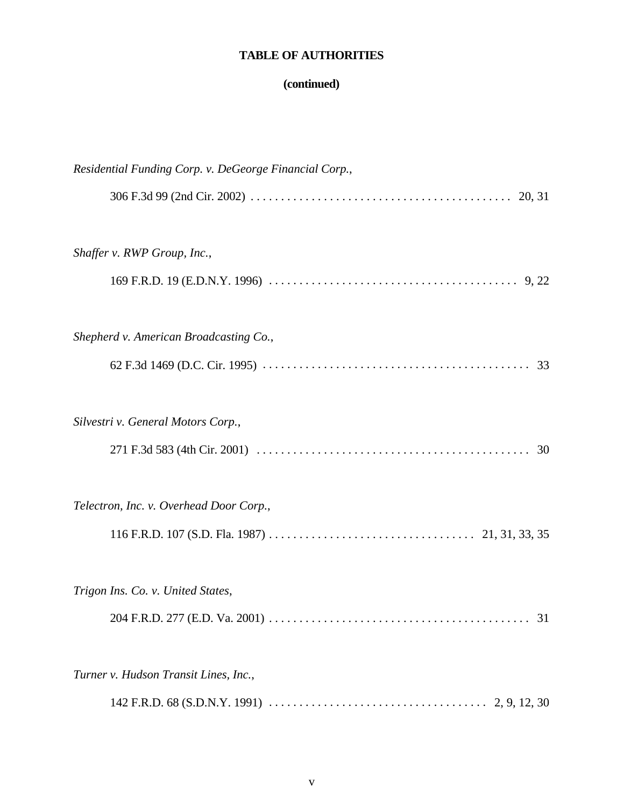# **TABLE OF AUTHORITIES**

# **(continued)**

| Residential Funding Corp. v. DeGeorge Financial Corp., |
|--------------------------------------------------------|
|                                                        |
| Shaffer v. RWP Group, Inc.,                            |
|                                                        |
| Shepherd v. American Broadcasting Co.,                 |
|                                                        |
| Silvestri v. General Motors Corp.,                     |
|                                                        |
| Telectron, Inc. v. Overhead Door Corp.,                |
|                                                        |
| Trigon Ins. Co. v. United States,                      |
| 31                                                     |
| Turner v. Hudson Transit Lines, Inc.,                  |
|                                                        |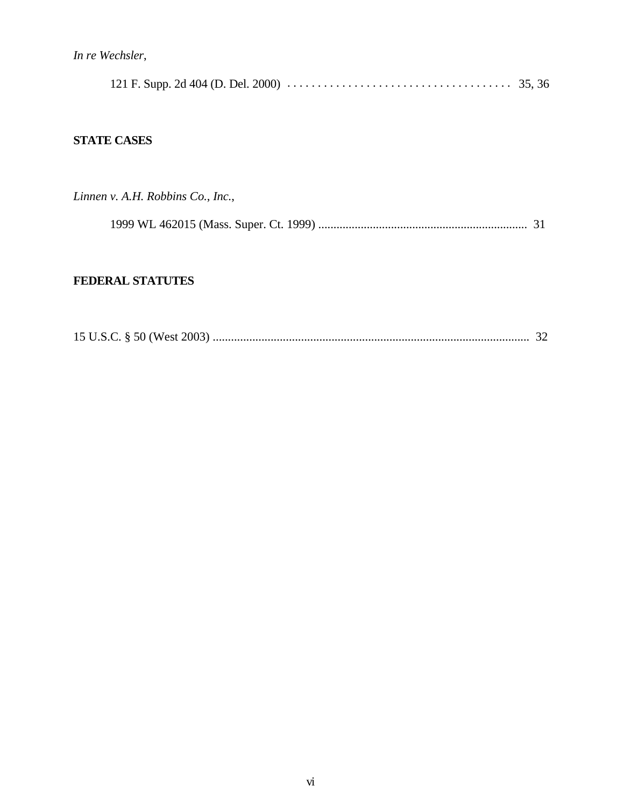*In re Wechsler*,

|--|--|--|--|

# **STATE CASES**

*Linnen v. A.H. Robbins Co.*, *Inc.*,

1999 WL 462015 (Mass. Super. Ct. 1999) ..................................................................... 31

# **FEDERAL STATUTES**

|--|--|--|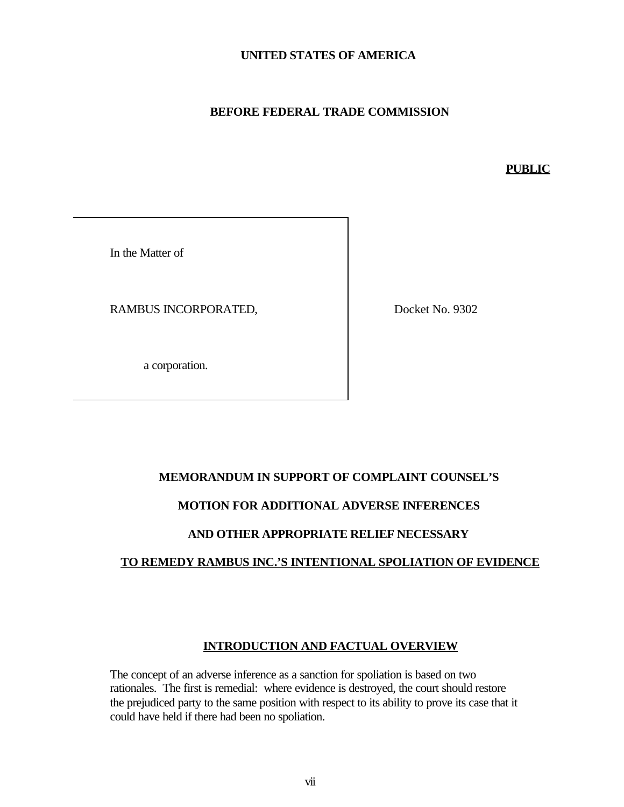## **UNITED STATES OF AMERICA**

## **BEFORE FEDERAL TRADE COMMISSION**

#### **PUBLIC**

In the Matter of

RAMBUS INCORPORATED,

Docket No. 9302

a corporation.

## **MEMORANDUM IN SUPPORT OF COMPLAINT COUNSEL'S**

# **MOTION FOR ADDITIONAL ADVERSE INFERENCES**

#### **AND OTHER APPROPRIATE RELIEF NECESSARY**

#### **TO REMEDY RAMBUS INC.'S INTENTIONAL SPOLIATION OF EVIDENCE**

## **INTRODUCTION AND FACTUAL OVERVIEW**

The concept of an adverse inference as a sanction for spoliation is based on two rationales. The first is remedial: where evidence is destroyed, the court should restore the prejudiced party to the same position with respect to its ability to prove its case that it could have held if there had been no spoliation.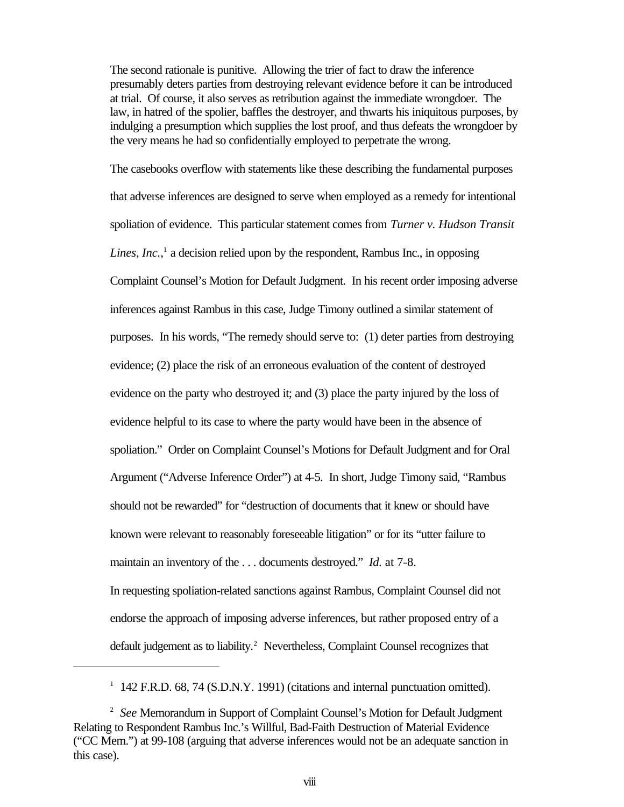The second rationale is punitive. Allowing the trier of fact to draw the inference presumably deters parties from destroying relevant evidence before it can be introduced at trial. Of course, it also serves as retribution against the immediate wrongdoer. The law, in hatred of the spolier, baffles the destroyer, and thwarts his iniquitous purposes, by indulging a presumption which supplies the lost proof, and thus defeats the wrongdoer by the very means he had so confidentially employed to perpetrate the wrong.

The casebooks overflow with statements like these describing the fundamental purposes that adverse inferences are designed to serve when employed as a remedy for intentional spoliation of evidence. This particular statement comes from *Turner v. Hudson Transit* Lines, Inc.,<sup>1</sup> a decision relied upon by the respondent, Rambus Inc., in opposing Complaint Counsel's Motion for Default Judgment. In his recent order imposing adverse inferences against Rambus in this case, Judge Timony outlined a similar statement of purposes. In his words, "The remedy should serve to: (1) deter parties from destroying evidence; (2) place the risk of an erroneous evaluation of the content of destroyed evidence on the party who destroyed it; and (3) place the party injured by the loss of evidence helpful to its case to where the party would have been in the absence of spoliation." Order on Complaint Counsel's Motions for Default Judgment and for Oral Argument ("Adverse Inference Order") at 4-5. In short, Judge Timony said, "Rambus should not be rewarded" for "destruction of documents that it knew or should have known were relevant to reasonably foreseeable litigation" or for its "utter failure to maintain an inventory of the . . . documents destroyed." *Id.* at 7-8.

In requesting spoliation-related sanctions against Rambus, Complaint Counsel did not endorse the approach of imposing adverse inferences, but rather proposed entry of a default judgement as to liability.<sup>2</sup> Nevertheless, Complaint Counsel recognizes that

<sup>&</sup>lt;sup>1</sup> 142 F.R.D. 68, 74 (S.D.N.Y. 1991) (citations and internal punctuation omitted).

<sup>2</sup> *See* Memorandum in Support of Complaint Counsel's Motion for Default Judgment Relating to Respondent Rambus Inc.'s Willful, Bad-Faith Destruction of Material Evidence ("CC Mem.") at 99-108 (arguing that adverse inferences would not be an adequate sanction in this case).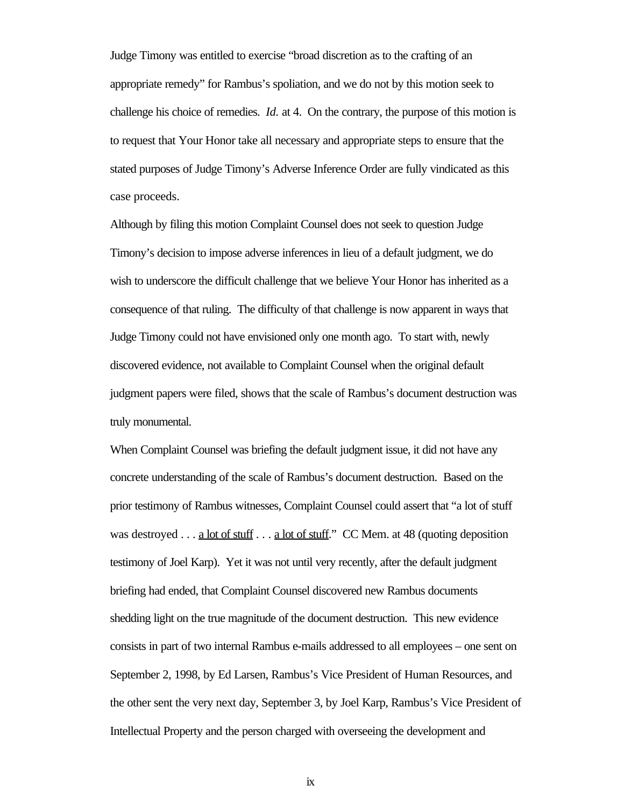Judge Timony was entitled to exercise "broad discretion as to the crafting of an appropriate remedy" for Rambus's spoliation, and we do not by this motion seek to challenge his choice of remedies. *Id.* at 4. On the contrary, the purpose of this motion is to request that Your Honor take all necessary and appropriate steps to ensure that the stated purposes of Judge Timony's Adverse Inference Order are fully vindicated as this case proceeds.

Although by filing this motion Complaint Counsel does not seek to question Judge Timony's decision to impose adverse inferences in lieu of a default judgment, we do wish to underscore the difficult challenge that we believe Your Honor has inherited as a consequence of that ruling. The difficulty of that challenge is now apparent in ways that Judge Timony could not have envisioned only one month ago. To start with, newly discovered evidence, not available to Complaint Counsel when the original default judgment papers were filed, shows that the scale of Rambus's document destruction was truly monumental.

When Complaint Counsel was briefing the default judgment issue, it did not have any concrete understanding of the scale of Rambus's document destruction. Based on the prior testimony of Rambus witnesses, Complaint Counsel could assert that "a lot of stuff was destroyed . . . <u>a lot of stuff</u>  $\ldots$  a lot of stuff." CC Mem. at 48 (quoting deposition testimony of Joel Karp). Yet it was not until very recently, after the default judgment briefing had ended, that Complaint Counsel discovered new Rambus documents shedding light on the true magnitude of the document destruction. This new evidence consists in part of two internal Rambus e-mails addressed to all employees – one sent on September 2, 1998, by Ed Larsen, Rambus's Vice President of Human Resources, and the other sent the very next day, September 3, by Joel Karp, Rambus's Vice President of Intellectual Property and the person charged with overseeing the development and

ix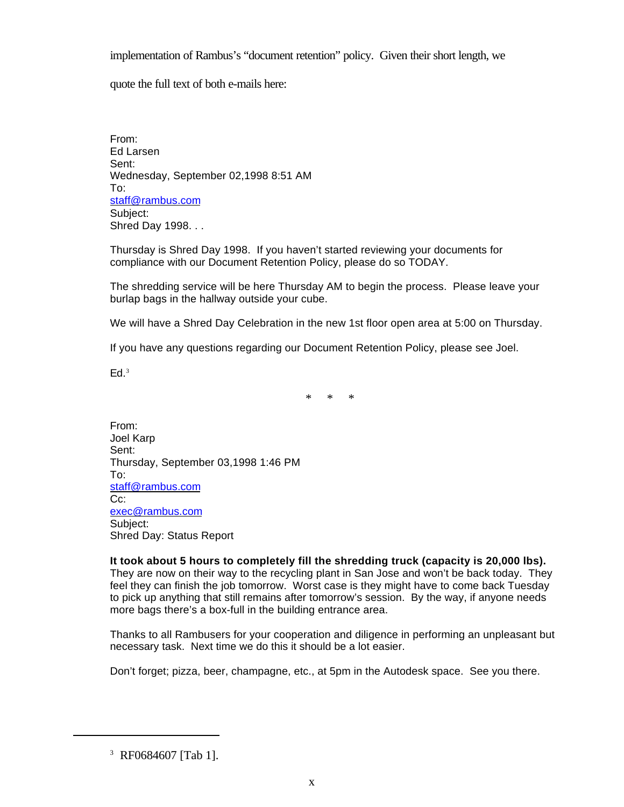implementation of Rambus's "document retention" policy. Given their short length, we

quote the full text of both e-mails here:

From: Ed Larsen Sent: Wednesday, September 02,1998 8:51 AM To: staff@rambus.com Subject: Shred Day 1998. . .

Thursday is Shred Day 1998. If you haven't started reviewing your documents for compliance with our Document Retention Policy, please do so TODAY.

The shredding service will be here Thursday AM to begin the process. Please leave your burlap bags in the hallway outside your cube.

We will have a Shred Day Celebration in the new 1st floor open area at 5:00 on Thursday.

If you have any questions regarding our Document Retention Policy, please see Joel.

Ed. 3

\* \* \*

From: Joel Karp Sent: Thursday, September 03,1998 1:46 PM To: staff@rambus.com Cc: exec@rambus.com Subject: Shred Day: Status Report

**It took about 5 hours to completely fill the shredding truck (capacity is 20,000 lbs).**  They are now on their way to the recycling plant in San Jose and won't be back today. They feel they can finish the job tomorrow. Worst case is they might have to come back Tuesday to pick up anything that still remains after tomorrow's session. By the way, if anyone needs more bags there's a box-full in the building entrance area.

Thanks to all Rambusers for your cooperation and diligence in performing an unpleasant but necessary task. Next time we do this it should be a lot easier.

Don't forget; pizza, beer, champagne, etc., at 5pm in the Autodesk space. See you there.

<sup>3</sup> RF0684607 [Tab 1].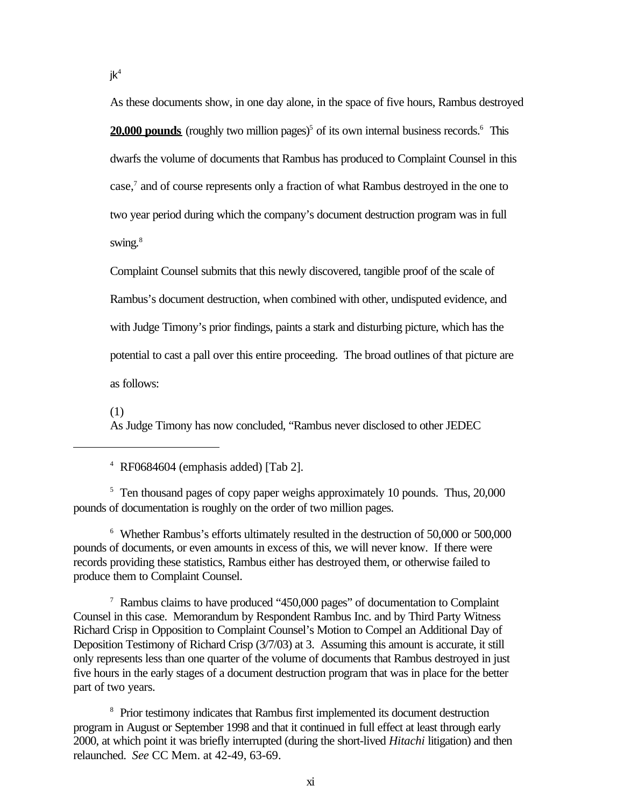As these documents show, in one day alone, in the space of five hours, Rambus destroyed **20,000 pounds** (roughly two million pages)<sup>5</sup> of its own internal business records.<sup>6</sup> This dwarfs the volume of documents that Rambus has produced to Complaint Counsel in this case,<sup>7</sup> and of course represents only a fraction of what Rambus destroyed in the one to two year period during which the company's document destruction program was in full

swing. $8$ 

Complaint Counsel submits that this newly discovered, tangible proof of the scale of Rambus's document destruction, when combined with other, undisputed evidence, and with Judge Timony's prior findings, paints a stark and disturbing picture, which has the potential to cast a pall over this entire proceeding. The broad outlines of that picture are as follows:

(1)

As Judge Timony has now concluded, "Rambus never disclosed to other JEDEC

4 RF0684604 (emphasis added) [Tab 2].

<sup>5</sup> Ten thousand pages of copy paper weighs approximately 10 pounds. Thus, 20,000 pounds of documentation is roughly on the order of two million pages.

6 Whether Rambus's efforts ultimately resulted in the destruction of 50,000 or 500,000 pounds of documents, or even amounts in excess of this, we will never know. If there were records providing these statistics, Rambus either has destroyed them, or otherwise failed to produce them to Complaint Counsel.

<sup>7</sup> Rambus claims to have produced "450,000 pages" of documentation to Complaint Counsel in this case. Memorandum by Respondent Rambus Inc. and by Third Party Witness Richard Crisp in Opposition to Complaint Counsel's Motion to Compel an Additional Day of Deposition Testimony of Richard Crisp (3/7/03) at 3. Assuming this amount is accurate, it still only represents less than one quarter of the volume of documents that Rambus destroyed in just five hours in the early stages of a document destruction program that was in place for the better part of two years.

<sup>8</sup> Prior testimony indicates that Rambus first implemented its document destruction program in August or September 1998 and that it continued in full effect at least through early 2000, at which point it was briefly interrupted (during the short-lived *Hitachi* litigation) and then relaunched. *See* CC Mem. at 42-49, 63-69.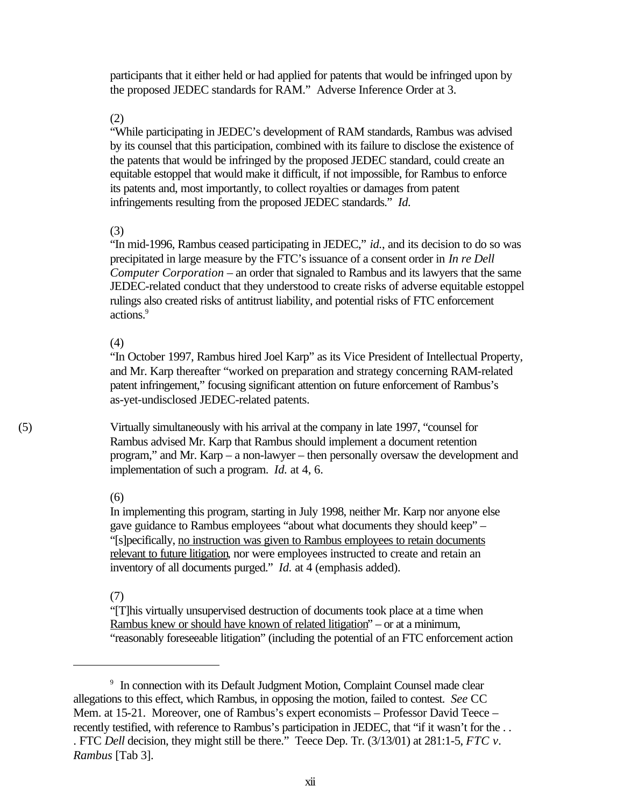participants that it either held or had applied for patents that would be infringed upon by the proposed JEDEC standards for RAM." Adverse Inference Order at 3.

(2)

"While participating in JEDEC's development of RAM standards, Rambus was advised by its counsel that this participation, combined with its failure to disclose the existence of the patents that would be infringed by the proposed JEDEC standard, could create an equitable estoppel that would make it difficult, if not impossible, for Rambus to enforce its patents and, most importantly, to collect royalties or damages from patent infringements resulting from the proposed JEDEC standards." *Id.*

## (3)

"In mid-1996, Rambus ceased participating in JEDEC," *id.*, and its decision to do so was precipitated in large measure by the FTC's issuance of a consent order in *In re Dell Computer Corporation* – an order that signaled to Rambus and its lawyers that the same JEDEC-related conduct that they understood to create risks of adverse equitable estoppel rulings also created risks of antitrust liability, and potential risks of FTC enforcement actions.<sup>9</sup>

(4)

"In October 1997, Rambus hired Joel Karp" as its Vice President of Intellectual Property, and Mr. Karp thereafter "worked on preparation and strategy concerning RAM-related patent infringement," focusing significant attention on future enforcement of Rambus's as-yet-undisclosed JEDEC-related patents.

(5) Virtually simultaneously with his arrival at the company in late 1997, "counsel for Rambus advised Mr. Karp that Rambus should implement a document retention program," and Mr. Karp – a non-lawyer – then personally oversaw the development and implementation of such a program. *Id.* at 4, 6.

(6)

In implementing this program, starting in July 1998, neither Mr. Karp nor anyone else gave guidance to Rambus employees "about what documents they should keep" – "[s]pecifically, no instruction was given to Rambus employees to retain documents relevant to future litigation, nor were employees instructed to create and retain an inventory of all documents purged." *Id.* at 4 (emphasis added).

## (7)

"[T]his virtually unsupervised destruction of documents took place at a time when Rambus knew or should have known of related litigation" – or at a minimum, "reasonably foreseeable litigation" (including the potential of an FTC enforcement action

<sup>&</sup>lt;sup>9</sup> In connection with its Default Judgment Motion, Complaint Counsel made clear allegations to this effect, which Rambus, in opposing the motion, failed to contest. *See* CC Mem. at 15-21. Moreover, one of Rambus's expert economists – Professor David Teece – recently testified, with reference to Rambus's participation in JEDEC, that "if it wasn't for the ... . FTC *Dell* decision, they might still be there." Teece Dep. Tr. (3/13/01) at 281:1-5, *FTC v. Rambus* [Tab 3].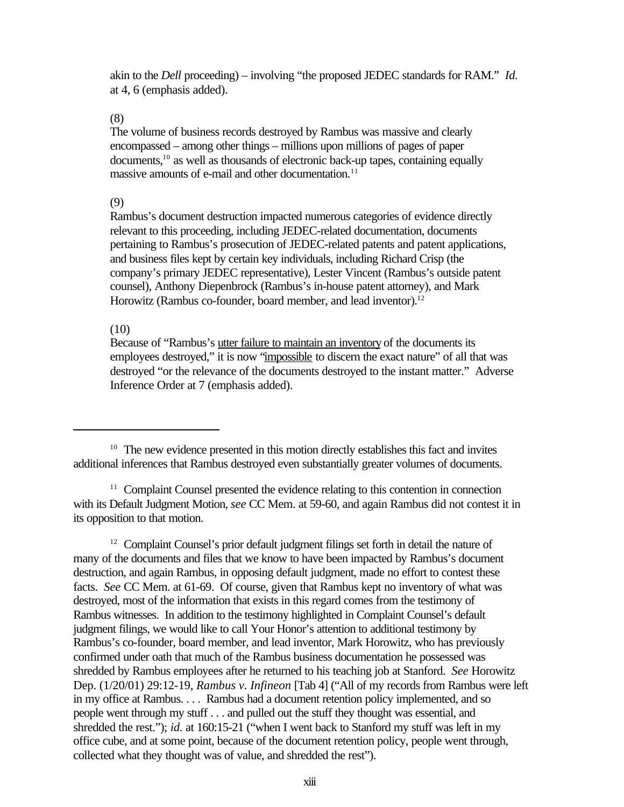akin to the *Dell* proceeding) – involving "the proposed JEDEC standards for RAM." *Id.* at 4, 6 (emphasis added).

(8)

The volume of business records destroyed by Rambus was massive and clearly encompassed – among other things – millions upon millions of pages of paper documents,<sup>10</sup> as well as thousands of electronic back-up tapes, containing equally massive amounts of e-mail and other documentation.<sup>11</sup>

(9)

Rambus's document destruction impacted numerous categories of evidence directly relevant to this proceeding, including JEDEC-related documentation, documents pertaining to Rambus's prosecution of JEDEC-related patents and patent applications, and business files kept by certain key individuals, including Richard Crisp (the company's primary JEDEC representative), Lester Vincent (Rambus's outside patent counsel), Anthony Diepenbrock (Rambus's in-house patent attorney), and Mark Horowitz (Rambus co-founder, board member, and lead inventor).<sup>12</sup>

## (10)

Because of "Rambus's utter failure to maintain an inventory of the documents its employees destroyed," it is now "impossible to discern the exact nature" of all that was destroyed "or the relevance of the documents destroyed to the instant matter." Adverse Inference Order at 7 (emphasis added).

<sup>&</sup>lt;sup>10</sup> The new evidence presented in this motion directly establishes this fact and invites additional inferences that Rambus destroyed even substantially greater volumes of documents.

<sup>&</sup>lt;sup>11</sup> Complaint Counsel presented the evidence relating to this contention in connection with its Default Judgment Motion, *see* CC Mem. at 59-60, and again Rambus did not contest it in its opposition to that motion.

<sup>&</sup>lt;sup>12</sup> Complaint Counsel's prior default judgment filings set forth in detail the nature of many of the documents and files that we know to have been impacted by Rambus's document destruction, and again Rambus, in opposing default judgment, made no effort to contest these facts. *See* CC Mem. at 61-69. Of course, given that Rambus kept no inventory of what was destroyed, most of the information that exists in this regard comes from the testimony of Rambus witnesses. In addition to the testimony highlighted in Complaint Counsel's default judgment filings, we would like to call Your Honor's attention to additional testimony by Rambus's co-founder, board member, and lead inventor, Mark Horowitz, who has previously confirmed under oath that much of the Rambus business documentation he possessed was shredded by Rambus employees after he returned to his teaching job at Stanford. *See* Horowitz Dep. (1/20/01) 29:12-19, *Rambus v. Infineon* [Tab 4] ("All of my records from Rambus were left in my office at Rambus. . . . Rambus had a document retention policy implemented, and so people went through my stuff . . . and pulled out the stuff they thought was essential, and shredded the rest."); *id.* at 160:15-21 ("when I went back to Stanford my stuff was left in my office cube, and at some point, because of the document retention policy, people went through, collected what they thought was of value, and shredded the rest").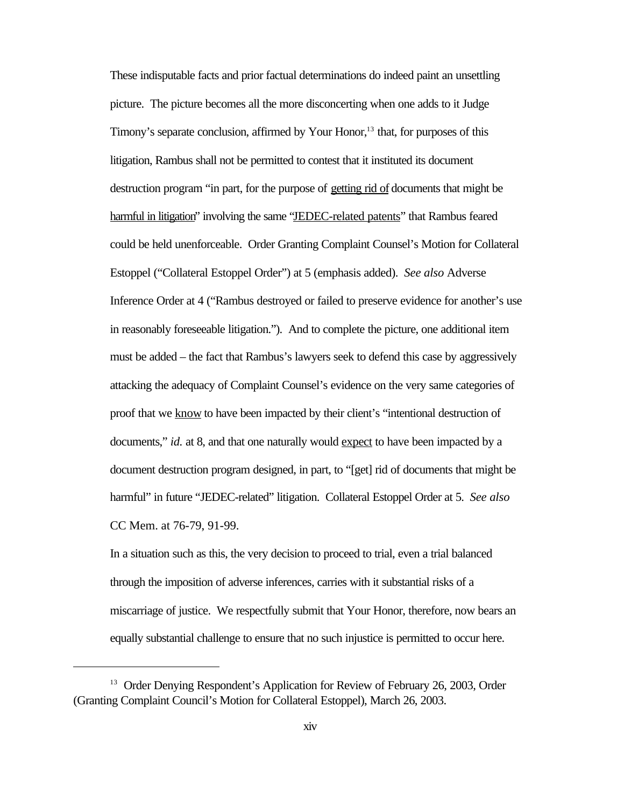These indisputable facts and prior factual determinations do indeed paint an unsettling picture. The picture becomes all the more disconcerting when one adds to it Judge Timony's separate conclusion, affirmed by Your Honor,<sup>13</sup> that, for purposes of this litigation, Rambus shall not be permitted to contest that it instituted its document destruction program "in part, for the purpose of getting rid of documents that might be harmful in litigation" involving the same "JEDEC-related patents" that Rambus feared could be held unenforceable. Order Granting Complaint Counsel's Motion for Collateral Estoppel ("Collateral Estoppel Order") at 5 (emphasis added). *See also* Adverse Inference Order at 4 ("Rambus destroyed or failed to preserve evidence for another's use in reasonably foreseeable litigation."). And to complete the picture, one additional item must be added – the fact that Rambus's lawyers seek to defend this case by aggressively attacking the adequacy of Complaint Counsel's evidence on the very same categories of proof that we know to have been impacted by their client's "intentional destruction of documents," *id.* at 8, and that one naturally would expect to have been impacted by a document destruction program designed, in part, to "[get] rid of documents that might be harmful" in future "JEDEC-related" litigation. Collateral Estoppel Order at 5. *See also* CC Mem. at 76-79, 91-99.

In a situation such as this, the very decision to proceed to trial, even a trial balanced through the imposition of adverse inferences, carries with it substantial risks of a miscarriage of justice. We respectfully submit that Your Honor, therefore, now bears an equally substantial challenge to ensure that no such injustice is permitted to occur here.

<sup>&</sup>lt;sup>13</sup> Order Denying Respondent's Application for Review of February 26, 2003, Order (Granting Complaint Council's Motion for Collateral Estoppel), March 26, 2003.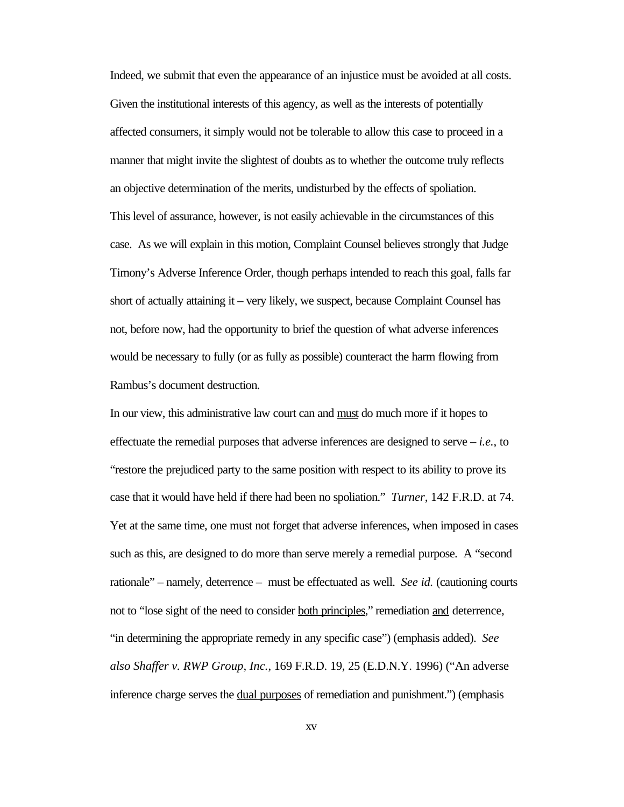Indeed, we submit that even the appearance of an injustice must be avoided at all costs. Given the institutional interests of this agency, as well as the interests of potentially affected consumers, it simply would not be tolerable to allow this case to proceed in a manner that might invite the slightest of doubts as to whether the outcome truly reflects an objective determination of the merits, undisturbed by the effects of spoliation. This level of assurance, however, is not easily achievable in the circumstances of this case. As we will explain in this motion, Complaint Counsel believes strongly that Judge Timony's Adverse Inference Order, though perhaps intended to reach this goal, falls far short of actually attaining it – very likely, we suspect, because Complaint Counsel has not, before now, had the opportunity to brief the question of what adverse inferences would be necessary to fully (or as fully as possible) counteract the harm flowing from Rambus's document destruction.

In our view, this administrative law court can and must do much more if it hopes to effectuate the remedial purposes that adverse inferences are designed to serve – *i.e.*, to "restore the prejudiced party to the same position with respect to its ability to prove its case that it would have held if there had been no spoliation." *Turner*, 142 F.R.D. at 74. Yet at the same time, one must not forget that adverse inferences, when imposed in cases such as this, are designed to do more than serve merely a remedial purpose. A "second rationale" – namely, deterrence – must be effectuated as well. *See id.* (cautioning courts not to "lose sight of the need to consider both principles," remediation and deterrence, "in determining the appropriate remedy in any specific case") (emphasis added). *See also Shaffer v. RWP Group, Inc.*, 169 F.R.D. 19, 25 (E.D.N.Y. 1996) ("An adverse inference charge serves the dual purposes of remediation and punishment.") (emphasis

xv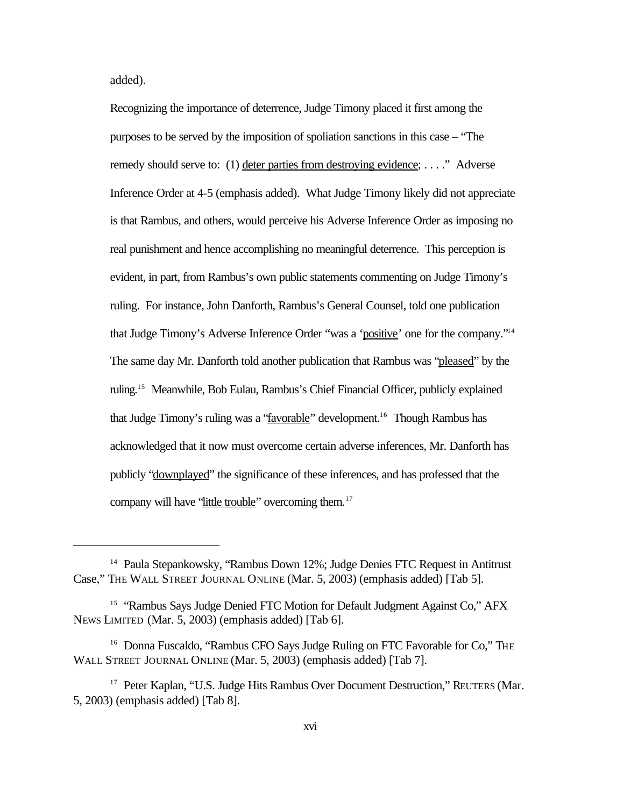added).

Recognizing the importance of deterrence, Judge Timony placed it first among the purposes to be served by the imposition of spoliation sanctions in this case – "The remedy should serve to: (1) deter parties from destroying evidence; . . . ." Adverse Inference Order at 4-5 (emphasis added). What Judge Timony likely did not appreciate is that Rambus, and others, would perceive his Adverse Inference Order as imposing no real punishment and hence accomplishing no meaningful deterrence. This perception is evident, in part, from Rambus's own public statements commenting on Judge Timony's ruling. For instance, John Danforth, Rambus's General Counsel, told one publication that Judge Timony's Adverse Inference Order "was a 'positive' one for the company."<sup>14</sup> The same day Mr. Danforth told another publication that Rambus was "pleased" by the ruling.<sup>15</sup> Meanwhile, Bob Eulau, Rambus's Chief Financial Officer, publicly explained that Judge Timony's ruling was a "favorable" development.<sup>16</sup> Though Rambus has acknowledged that it now must overcome certain adverse inferences, Mr. Danforth has publicly "downplayed" the significance of these inferences, and has professed that the company will have 'little trouble'' overcoming them.<sup>17</sup>

<sup>&</sup>lt;sup>14</sup> Paula Stepankowsky, "Rambus Down 12%; Judge Denies FTC Request in Antitrust Case," THE WALL STREET JOURNAL ONLINE (Mar. 5, 2003) (emphasis added) [Tab 5].

<sup>&</sup>lt;sup>15</sup> "Rambus Says Judge Denied FTC Motion for Default Judgment Against Co," AFX NEWS LIMITED (Mar. 5, 2003) (emphasis added) [Tab 6].

<sup>&</sup>lt;sup>16</sup> Donna Fuscaldo, "Rambus CFO Says Judge Ruling on FTC Favorable for Co," THE WALL STREET JOURNAL ONLINE (Mar. 5, 2003) (emphasis added) [Tab 7].

<sup>&</sup>lt;sup>17</sup> Peter Kaplan, "U.S. Judge Hits Rambus Over Document Destruction," REUTERS (Mar. 5, 2003) (emphasis added) [Tab 8].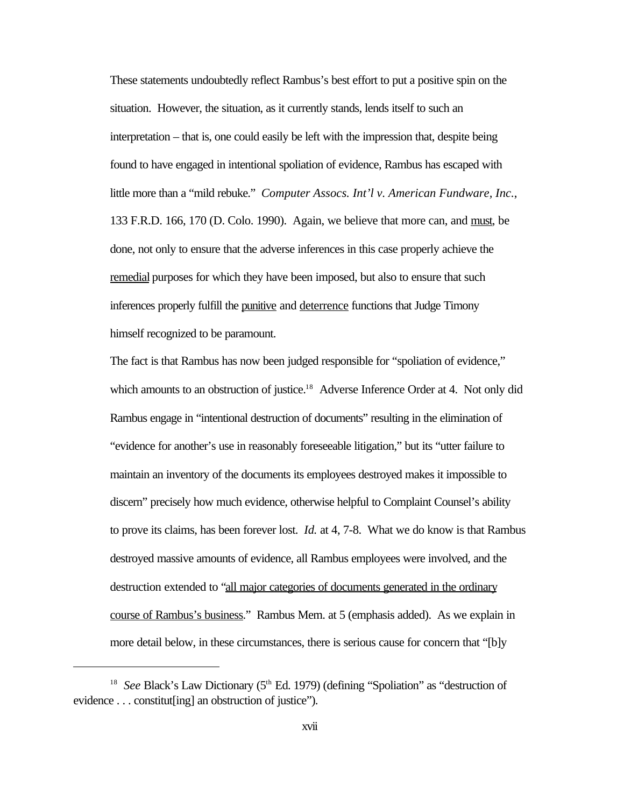These statements undoubtedly reflect Rambus's best effort to put a positive spin on the situation. However, the situation, as it currently stands, lends itself to such an interpretation – that is, one could easily be left with the impression that, despite being found to have engaged in intentional spoliation of evidence, Rambus has escaped with little more than a "mild rebuke." *Computer Assocs. Int'l v. American Fundware, Inc.*, 133 F.R.D. 166, 170 (D. Colo. 1990). Again, we believe that more can, and must, be done, not only to ensure that the adverse inferences in this case properly achieve the remedial purposes for which they have been imposed, but also to ensure that such inferences properly fulfill the punitive and deterrence functions that Judge Timony himself recognized to be paramount.

The fact is that Rambus has now been judged responsible for "spoliation of evidence," which amounts to an obstruction of justice.<sup>18</sup> Adverse Inference Order at 4. Not only did Rambus engage in "intentional destruction of documents" resulting in the elimination of "evidence for another's use in reasonably foreseeable litigation," but its "utter failure to maintain an inventory of the documents its employees destroyed makes it impossible to discern" precisely how much evidence, otherwise helpful to Complaint Counsel's ability to prove its claims, has been forever lost. *Id.* at 4, 7-8. What we do know is that Rambus destroyed massive amounts of evidence, all Rambus employees were involved, and the destruction extended to "all major categories of documents generated in the ordinary course of Rambus's business." Rambus Mem. at 5 (emphasis added). As we explain in more detail below, in these circumstances, there is serious cause for concern that "[b]y

<sup>&</sup>lt;sup>18</sup> See Black's Law Dictionary (5<sup>th</sup> Ed. 1979) (defining "Spoliation" as "destruction of evidence . . . constitut[ing] an obstruction of justice").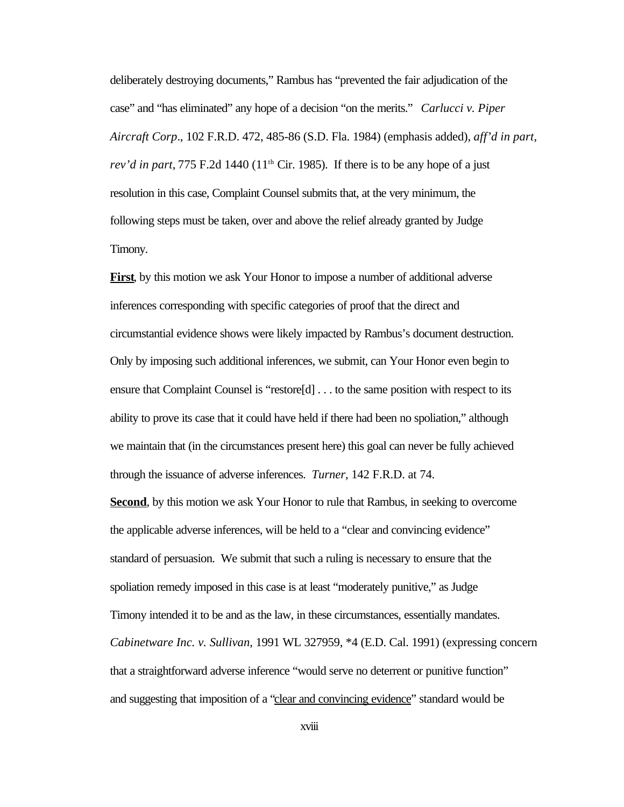deliberately destroying documents," Rambus has "prevented the fair adjudication of the case" and "has eliminated" any hope of a decision "on the merits." *Carlucci v. Piper Aircraft Corp*., 102 F.R.D. 472, 485-86 (S.D. Fla. 1984) (emphasis added), *aff'd in part, rev'd in part,* 775 F.2d 1440 ( $11<sup>th</sup>$  Cir. 1985). If there is to be any hope of a just resolution in this case, Complaint Counsel submits that, at the very minimum, the following steps must be taken, over and above the relief already granted by Judge Timony.

**First**, by this motion we ask Your Honor to impose a number of additional adverse inferences corresponding with specific categories of proof that the direct and circumstantial evidence shows were likely impacted by Rambus's document destruction. Only by imposing such additional inferences, we submit, can Your Honor even begin to ensure that Complaint Counsel is "restore[d] . . . to the same position with respect to its ability to prove its case that it could have held if there had been no spoliation," although we maintain that (in the circumstances present here) this goal can never be fully achieved through the issuance of adverse inferences. *Turner*, 142 F.R.D. at 74.

**Second**, by this motion we ask Your Honor to rule that Rambus, in seeking to overcome the applicable adverse inferences, will be held to a "clear and convincing evidence" standard of persuasion. We submit that such a ruling is necessary to ensure that the spoliation remedy imposed in this case is at least "moderately punitive," as Judge Timony intended it to be and as the law, in these circumstances, essentially mandates. *Cabinetware Inc. v. Sullivan*, 1991 WL 327959, \*4 (E.D. Cal. 1991) (expressing concern that a straightforward adverse inference "would serve no deterrent or punitive function" and suggesting that imposition of a "clear and convincing evidence" standard would be

xviii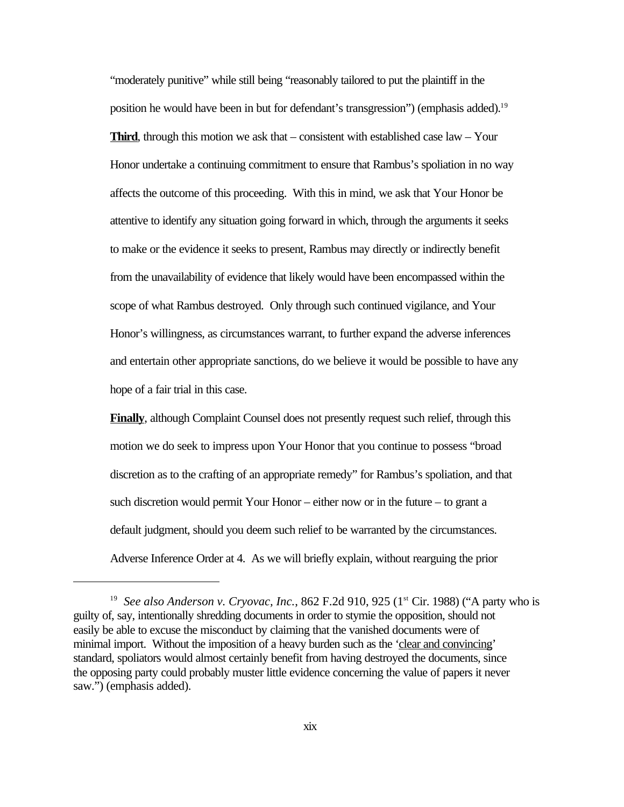"moderately punitive" while still being "reasonably tailored to put the plaintiff in the position he would have been in but for defendant's transgression") (emphasis added).<sup>19</sup> **Third**, through this motion we ask that – consistent with established case law – Your Honor undertake a continuing commitment to ensure that Rambus's spoliation in no way affects the outcome of this proceeding. With this in mind, we ask that Your Honor be attentive to identify any situation going forward in which, through the arguments it seeks to make or the evidence it seeks to present, Rambus may directly or indirectly benefit from the unavailability of evidence that likely would have been encompassed within the scope of what Rambus destroyed. Only through such continued vigilance, and Your Honor's willingness, as circumstances warrant, to further expand the adverse inferences and entertain other appropriate sanctions, do we believe it would be possible to have any hope of a fair trial in this case.

**Finally**, although Complaint Counsel does not presently request such relief, through this motion we do seek to impress upon Your Honor that you continue to possess "broad discretion as to the crafting of an appropriate remedy" for Rambus's spoliation, and that such discretion would permit Your Honor – either now or in the future – to grant a default judgment, should you deem such relief to be warranted by the circumstances. Adverse Inference Order at 4. As we will briefly explain, without rearguing the prior

<sup>&</sup>lt;sup>19</sup> See also Anderson v. Cryovac, Inc., 862 F.2d 910, 925 (1<sup>st</sup> Cir. 1988) ("A party who is guilty of, say, intentionally shredding documents in order to stymie the opposition, should not easily be able to excuse the misconduct by claiming that the vanished documents were of minimal import. Without the imposition of a heavy burden such as the 'clear and convincing' standard, spoliators would almost certainly benefit from having destroyed the documents, since the opposing party could probably muster little evidence concerning the value of papers it never saw.") (emphasis added).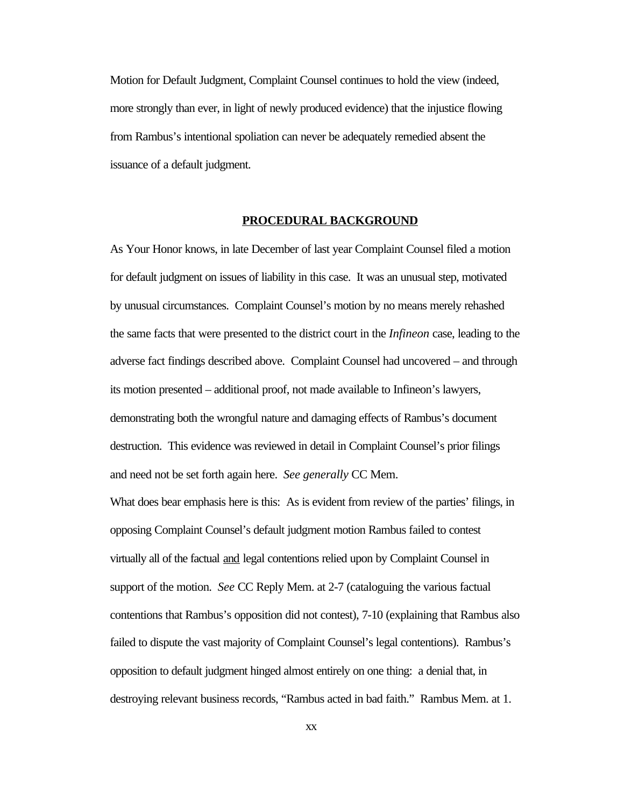Motion for Default Judgment, Complaint Counsel continues to hold the view (indeed, more strongly than ever, in light of newly produced evidence) that the injustice flowing from Rambus's intentional spoliation can never be adequately remedied absent the issuance of a default judgment.

#### **PROCEDURAL BACKGROUND**

As Your Honor knows, in late December of last year Complaint Counsel filed a motion for default judgment on issues of liability in this case. It was an unusual step, motivated by unusual circumstances. Complaint Counsel's motion by no means merely rehashed the same facts that were presented to the district court in the *Infineon* case, leading to the adverse fact findings described above. Complaint Counsel had uncovered – and through its motion presented – additional proof, not made available to Infineon's lawyers, demonstrating both the wrongful nature and damaging effects of Rambus's document destruction. This evidence was reviewed in detail in Complaint Counsel's prior filings and need not be set forth again here. *See generally* CC Mem.

What does bear emphasis here is this: As is evident from review of the parties' filings, in opposing Complaint Counsel's default judgment motion Rambus failed to contest virtually all of the factual and legal contentions relied upon by Complaint Counsel in support of the motion. *See* CC Reply Mem. at 2-7 (cataloguing the various factual contentions that Rambus's opposition did not contest), 7-10 (explaining that Rambus also failed to dispute the vast majority of Complaint Counsel's legal contentions). Rambus's opposition to default judgment hinged almost entirely on one thing: a denial that, in destroying relevant business records, "Rambus acted in bad faith." Rambus Mem. at 1.

xx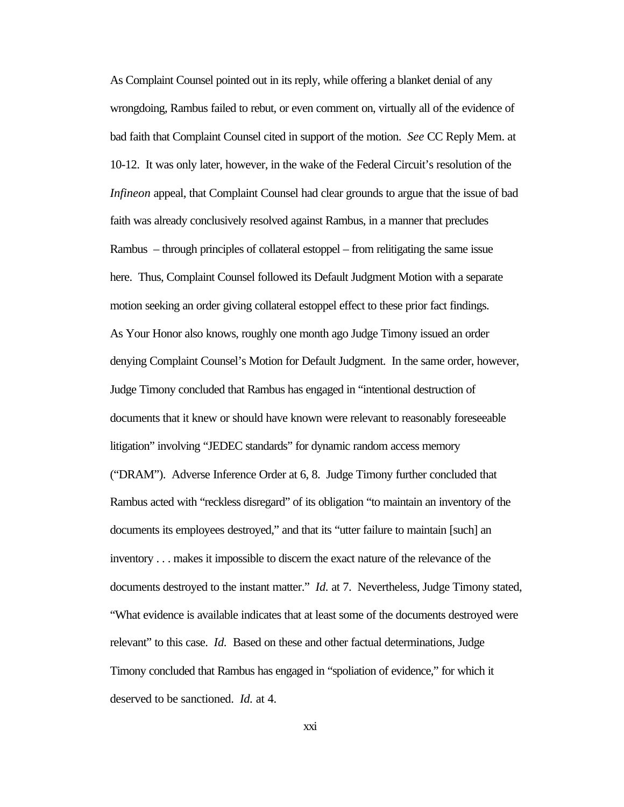As Complaint Counsel pointed out in its reply, while offering a blanket denial of any wrongdoing, Rambus failed to rebut, or even comment on, virtually all of the evidence of bad faith that Complaint Counsel cited in support of the motion. *See* CC Reply Mem. at 10-12. It was only later, however, in the wake of the Federal Circuit's resolution of the *Infineon* appeal, that Complaint Counsel had clear grounds to argue that the issue of bad faith was already conclusively resolved against Rambus, in a manner that precludes Rambus – through principles of collateral estoppel – from relitigating the same issue here. Thus, Complaint Counsel followed its Default Judgment Motion with a separate motion seeking an order giving collateral estoppel effect to these prior fact findings. As Your Honor also knows, roughly one month ago Judge Timony issued an order denying Complaint Counsel's Motion for Default Judgment. In the same order, however, Judge Timony concluded that Rambus has engaged in "intentional destruction of documents that it knew or should have known were relevant to reasonably foreseeable litigation" involving "JEDEC standards" for dynamic random access memory ("DRAM"). Adverse Inference Order at 6, 8. Judge Timony further concluded that Rambus acted with "reckless disregard" of its obligation "to maintain an inventory of the documents its employees destroyed," and that its "utter failure to maintain [such] an inventory . . . makes it impossible to discern the exact nature of the relevance of the documents destroyed to the instant matter." *Id.* at 7. Nevertheless, Judge Timony stated, "What evidence is available indicates that at least some of the documents destroyed were relevant" to this case. *Id.* Based on these and other factual determinations, Judge Timony concluded that Rambus has engaged in "spoliation of evidence," for which it deserved to be sanctioned. *Id.* at 4.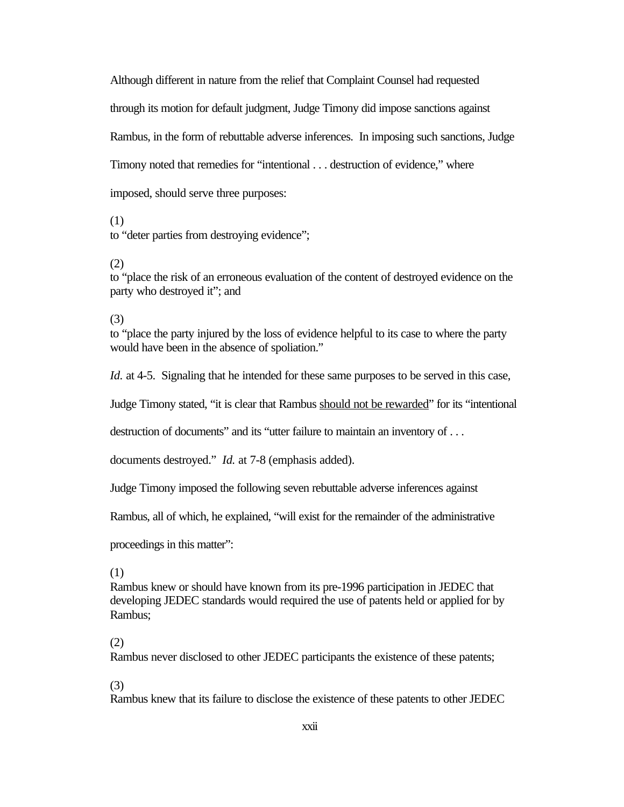Although different in nature from the relief that Complaint Counsel had requested through its motion for default judgment, Judge Timony did impose sanctions against Rambus, in the form of rebuttable adverse inferences. In imposing such sanctions, Judge Timony noted that remedies for "intentional . . . destruction of evidence," where imposed, should serve three purposes:

(1)

to "deter parties from destroying evidence";

(2)

to "place the risk of an erroneous evaluation of the content of destroyed evidence on the party who destroyed it"; and

### (3)

to "place the party injured by the loss of evidence helpful to its case to where the party would have been in the absence of spoliation."

*Id.* at 4-5. Signaling that he intended for these same purposes to be served in this case,

Judge Timony stated, "it is clear that Rambus should not be rewarded" for its "intentional

destruction of documents" and its "utter failure to maintain an inventory of . . .

documents destroyed." *Id.* at 7-8 (emphasis added).

Judge Timony imposed the following seven rebuttable adverse inferences against

Rambus, all of which, he explained, "will exist for the remainder of the administrative

proceedings in this matter":

(1)

Rambus knew or should have known from its pre-1996 participation in JEDEC that developing JEDEC standards would required the use of patents held or applied for by Rambus;

### (2)

Rambus never disclosed to other JEDEC participants the existence of these patents;

### (3)

Rambus knew that its failure to disclose the existence of these patents to other JEDEC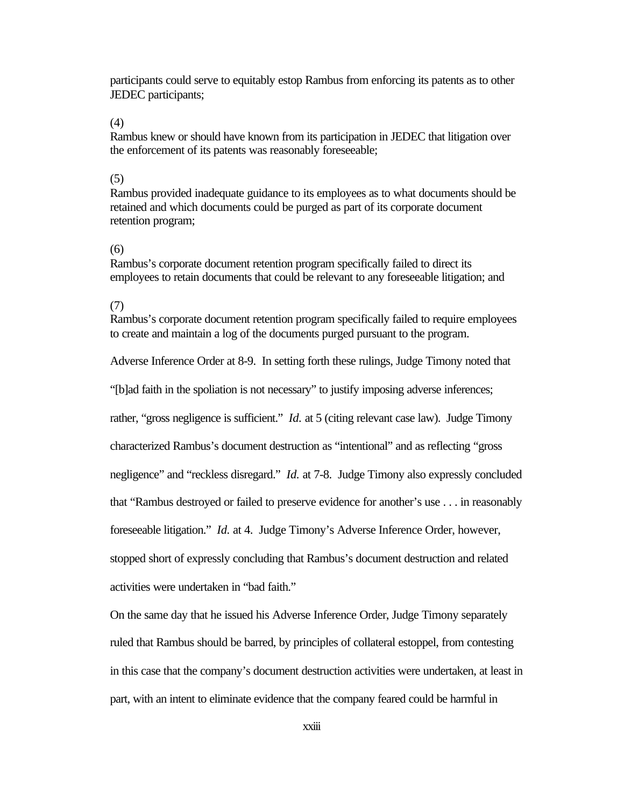participants could serve to equitably estop Rambus from enforcing its patents as to other JEDEC participants;

#### (4)

Rambus knew or should have known from its participation in JEDEC that litigation over the enforcement of its patents was reasonably foreseeable;

#### (5)

Rambus provided inadequate guidance to its employees as to what documents should be retained and which documents could be purged as part of its corporate document retention program;

#### (6)

Rambus's corporate document retention program specifically failed to direct its employees to retain documents that could be relevant to any foreseeable litigation; and

#### (7)

Rambus's corporate document retention program specifically failed to require employees to create and maintain a log of the documents purged pursuant to the program.

Adverse Inference Order at 8-9. In setting forth these rulings, Judge Timony noted that

"[b]ad faith in the spoliation is not necessary" to justify imposing adverse inferences;

rather, "gross negligence is sufficient." *Id.* at 5 (citing relevant case law). Judge Timony

characterized Rambus's document destruction as "intentional" and as reflecting "gross

negligence" and "reckless disregard." *Id.* at 7-8. Judge Timony also expressly concluded

that "Rambus destroyed or failed to preserve evidence for another's use . . . in reasonably

foreseeable litigation." *Id.* at 4. Judge Timony's Adverse Inference Order, however,

stopped short of expressly concluding that Rambus's document destruction and related activities were undertaken in "bad faith."

On the same day that he issued his Adverse Inference Order, Judge Timony separately ruled that Rambus should be barred, by principles of collateral estoppel, from contesting in this case that the company's document destruction activities were undertaken, at least in part, with an intent to eliminate evidence that the company feared could be harmful in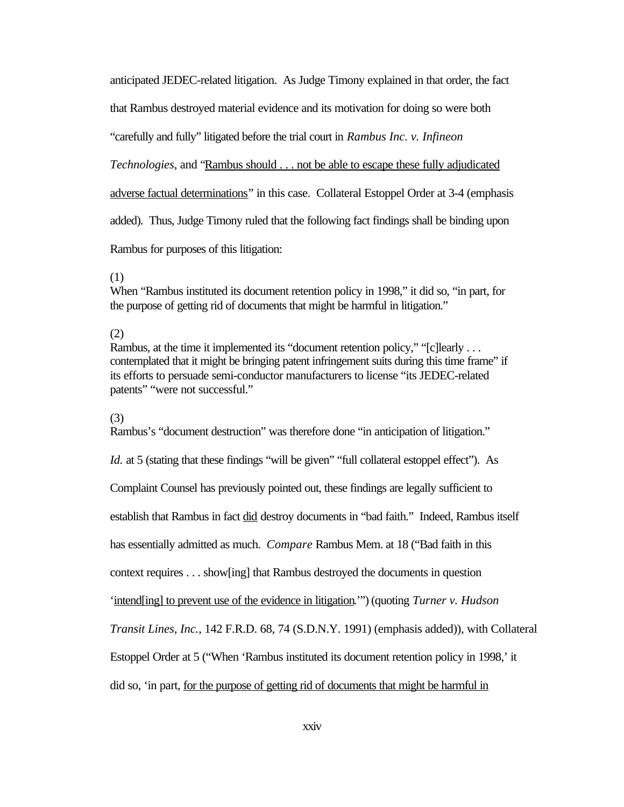anticipated JEDEC-related litigation. As Judge Timony explained in that order, the fact

that Rambus destroyed material evidence and its motivation for doing so were both

"carefully and fully" litigated before the trial court in *Rambus Inc. v. Infineon*

*Technologies*, and "Rambus should . . . not be able to escape these fully adjudicated

adverse factual determinations" in this case. Collateral Estoppel Order at 3-4 (emphasis

added). Thus, Judge Timony ruled that the following fact findings shall be binding upon

Rambus for purposes of this litigation:

#### (1)

When "Rambus instituted its document retention policy in 1998," it did so, "in part, for the purpose of getting rid of documents that might be harmful in litigation."

#### (2)

Rambus, at the time it implemented its "document retention policy," "[c]learly ... contemplated that it might be bringing patent infringement suits during this time frame" if its efforts to persuade semi-conductor manufacturers to license "its JEDEC-related patents" "were not successful."

#### (3)

Rambus's "document destruction" was therefore done "in anticipation of litigation."

*Id.* at 5 (stating that these findings "will be given" "full collateral estoppel effect"). As

Complaint Counsel has previously pointed out, these findings are legally sufficient to

establish that Rambus in fact did destroy documents in "bad faith." Indeed, Rambus itself

has essentially admitted as much. *Compare* Rambus Mem. at 18 ("Bad faith in this

context requires . . . show[ing] that Rambus destroyed the documents in question

'intend[ing] to prevent use of the evidence in litigation.'") (quoting *Turner v. Hudson*

*Transit Lines, Inc.*, 142 F.R.D. 68, 74 (S.D.N.Y. 1991) (emphasis added)), with Collateral

Estoppel Order at 5 ("When 'Rambus instituted its document retention policy in 1998,' it

did so, 'in part, for the purpose of getting rid of documents that might be harmful in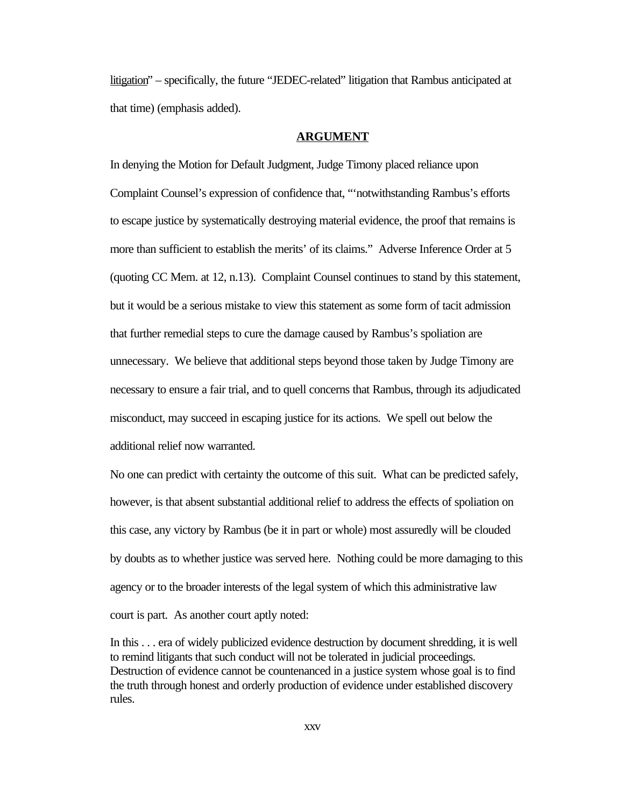litigation" – specifically, the future "JEDEC-related" litigation that Rambus anticipated at that time) (emphasis added).

#### **ARGUMENT**

In denying the Motion for Default Judgment, Judge Timony placed reliance upon Complaint Counsel's expression of confidence that, "'notwithstanding Rambus's efforts to escape justice by systematically destroying material evidence, the proof that remains is more than sufficient to establish the merits' of its claims." Adverse Inference Order at 5 (quoting CC Mem. at 12, n.13). Complaint Counsel continues to stand by this statement, but it would be a serious mistake to view this statement as some form of tacit admission that further remedial steps to cure the damage caused by Rambus's spoliation are unnecessary. We believe that additional steps beyond those taken by Judge Timony are necessary to ensure a fair trial, and to quell concerns that Rambus, through its adjudicated misconduct, may succeed in escaping justice for its actions. We spell out below the additional relief now warranted.

No one can predict with certainty the outcome of this suit. What can be predicted safely, however, is that absent substantial additional relief to address the effects of spoliation on this case, any victory by Rambus (be it in part or whole) most assuredly will be clouded by doubts as to whether justice was served here. Nothing could be more damaging to this agency or to the broader interests of the legal system of which this administrative law court is part. As another court aptly noted:

In this . . . era of widely publicized evidence destruction by document shredding, it is well to remind litigants that such conduct will not be tolerated in judicial proceedings. Destruction of evidence cannot be countenanced in a justice system whose goal is to find the truth through honest and orderly production of evidence under established discovery rules.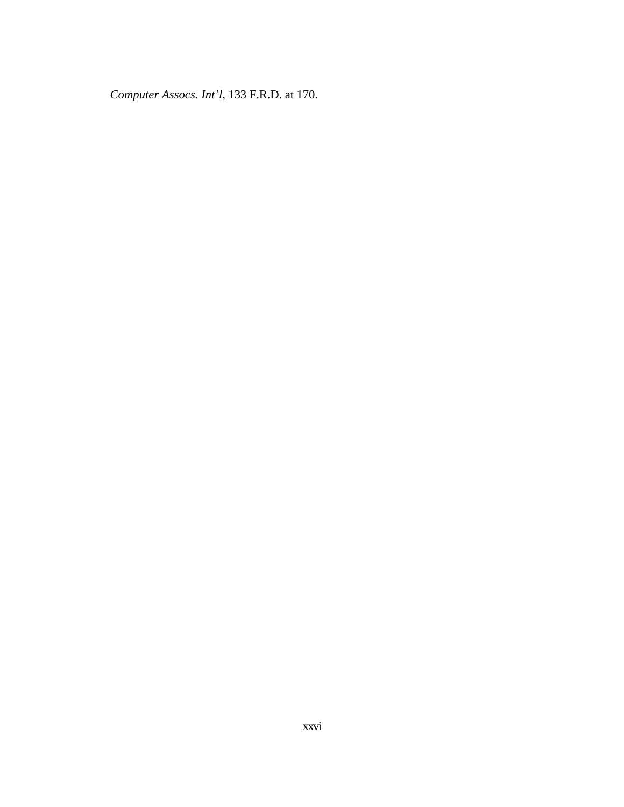*Computer Assocs. Int'l*, 133 F.R.D. at 170.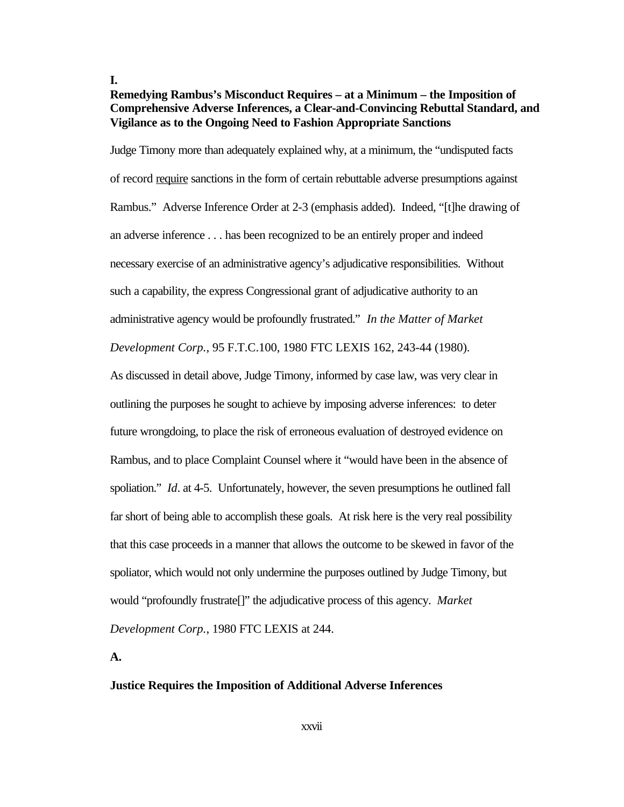**I.**

### **Remedying Rambus's Misconduct Requires – at a Minimum – the Imposition of Comprehensive Adverse Inferences, a Clear-and-Convincing Rebuttal Standard, and Vigilance as to the Ongoing Need to Fashion Appropriate Sanctions**

Judge Timony more than adequately explained why, at a minimum, the "undisputed facts of record require sanctions in the form of certain rebuttable adverse presumptions against Rambus." Adverse Inference Order at 2-3 (emphasis added). Indeed, "[t]he drawing of an adverse inference . . . has been recognized to be an entirely proper and indeed necessary exercise of an administrative agency's adjudicative responsibilities. Without such a capability, the express Congressional grant of adjudicative authority to an administrative agency would be profoundly frustrated." *In the Matter of Market*

*Development Corp.*, 95 F.T.C.100, 1980 FTC LEXIS 162, 243-44 (1980).

As discussed in detail above, Judge Timony, informed by case law, was very clear in outlining the purposes he sought to achieve by imposing adverse inferences: to deter future wrongdoing, to place the risk of erroneous evaluation of destroyed evidence on Rambus, and to place Complaint Counsel where it "would have been in the absence of spoliation." *Id*. at 4-5. Unfortunately, however, the seven presumptions he outlined fall far short of being able to accomplish these goals. At risk here is the very real possibility that this case proceeds in a manner that allows the outcome to be skewed in favor of the spoliator, which would not only undermine the purposes outlined by Judge Timony, but would "profoundly frustrate[]" the adjudicative process of this agency. *Market Development Corp.*, 1980 FTC LEXIS at 244.

**A.** 

#### **Justice Requires the Imposition of Additional Adverse Inferences**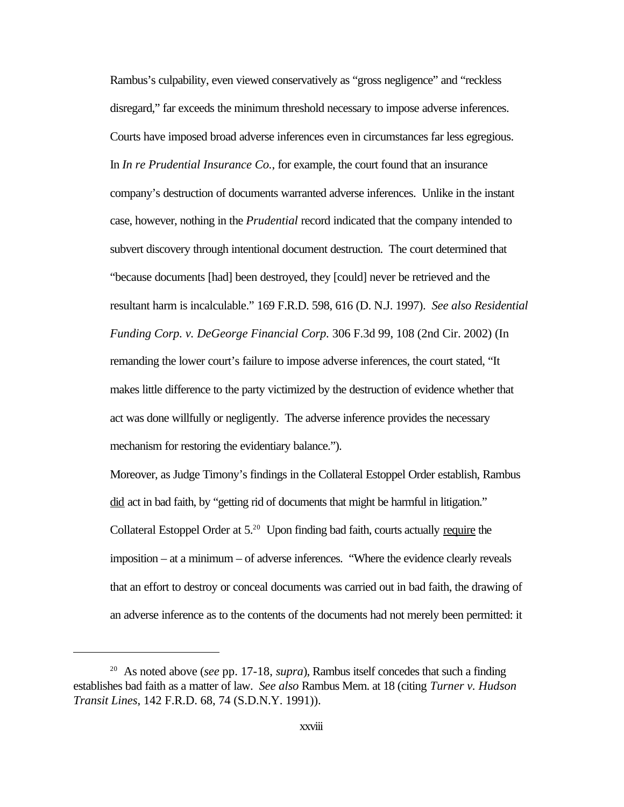Rambus's culpability, even viewed conservatively as "gross negligence" and "reckless disregard," far exceeds the minimum threshold necessary to impose adverse inferences. Courts have imposed broad adverse inferences even in circumstances far less egregious. In *In re Prudential Insurance Co.*, for example, the court found that an insurance company's destruction of documents warranted adverse inferences. Unlike in the instant case, however, nothing in the *Prudential* record indicated that the company intended to subvert discovery through intentional document destruction. The court determined that "because documents [had] been destroyed, they [could] never be retrieved and the resultant harm is incalculable." 169 F.R.D. 598, 616 (D. N.J. 1997). *See also Residential Funding Corp. v. DeGeorge Financial Corp.* 306 F.3d 99, 108 (2nd Cir. 2002) (In remanding the lower court's failure to impose adverse inferences, the court stated, "It makes little difference to the party victimized by the destruction of evidence whether that act was done willfully or negligently. The adverse inference provides the necessary mechanism for restoring the evidentiary balance.").

Moreover, as Judge Timony's findings in the Collateral Estoppel Order establish, Rambus did act in bad faith, by "getting rid of documents that might be harmful in litigation." Collateral Estoppel Order at 5.<sup>20</sup> Upon finding bad faith, courts actually require the imposition – at a minimum – of adverse inferences. "Where the evidence clearly reveals that an effort to destroy or conceal documents was carried out in bad faith, the drawing of an adverse inference as to the contents of the documents had not merely been permitted: it

<sup>20</sup> As noted above (*see* pp. 17-18, *supra*), Rambus itself concedes that such a finding establishes bad faith as a matter of law. *See also* Rambus Mem. at 18 (citing *Turner v. Hudson Transit Lines*, 142 F.R.D. 68, 74 (S.D.N.Y. 1991)).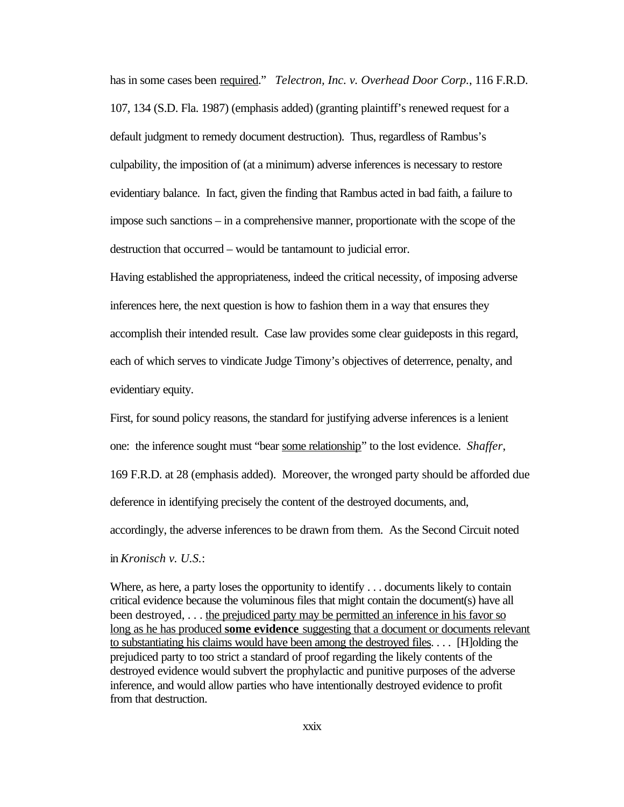has in some cases been required." *Telectron, Inc. v. Overhead Door Corp.*, 116 F.R.D. 107, 134 (S.D. Fla. 1987) (emphasis added) (granting plaintiff's renewed request for a default judgment to remedy document destruction). Thus, regardless of Rambus's culpability, the imposition of (at a minimum) adverse inferences is necessary to restore evidentiary balance. In fact, given the finding that Rambus acted in bad faith, a failure to impose such sanctions – in a comprehensive manner, proportionate with the scope of the destruction that occurred – would be tantamount to judicial error.

Having established the appropriateness, indeed the critical necessity, of imposing adverse inferences here, the next question is how to fashion them in a way that ensures they accomplish their intended result. Case law provides some clear guideposts in this regard, each of which serves to vindicate Judge Timony's objectives of deterrence, penalty, and evidentiary equity.

First, for sound policy reasons, the standard for justifying adverse inferences is a lenient one: the inference sought must "bear some relationship" to the lost evidence. *Shaffer*, 169 F.R.D. at 28 (emphasis added). Moreover, the wronged party should be afforded due deference in identifying precisely the content of the destroyed documents, and, accordingly, the adverse inferences to be drawn from them. As the Second Circuit noted in *Kronisch v. U.S.*:

Where, as here, a party loses the opportunity to identify . . . documents likely to contain critical evidence because the voluminous files that might contain the document(s) have all been destroyed, . . . the prejudiced party may be permitted an inference in his favor so long as he has produced **some evidence** suggesting that a document or documents relevant to substantiating his claims would have been among the destroyed files. . . . [H]olding the prejudiced party to too strict a standard of proof regarding the likely contents of the destroyed evidence would subvert the prophylactic and punitive purposes of the adverse inference, and would allow parties who have intentionally destroyed evidence to profit from that destruction.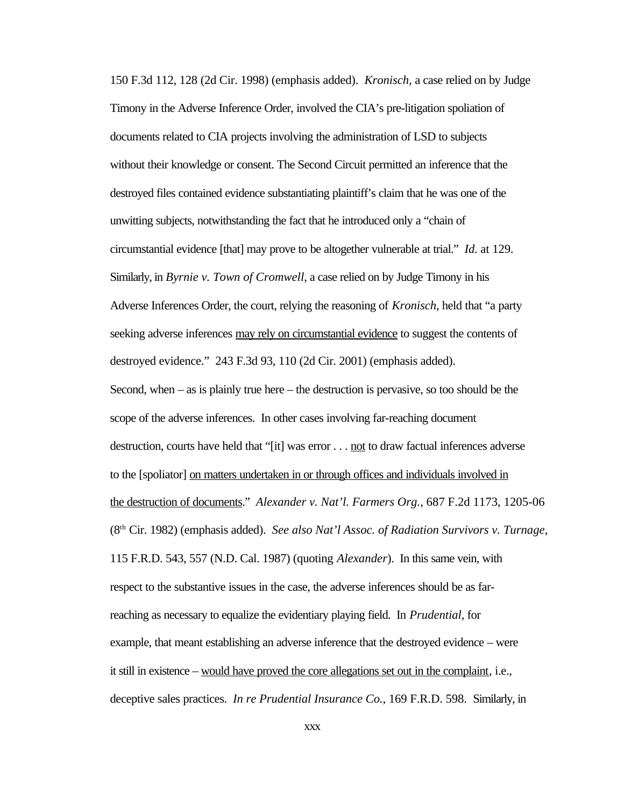150 F.3d 112, 128 (2d Cir. 1998) (emphasis added). *Kronisch,* a case relied on by Judge Timony in the Adverse Inference Order, involved the CIA's pre-litigation spoliation of documents related to CIA projects involving the administration of LSD to subjects without their knowledge or consent. The Second Circuit permitted an inference that the destroyed files contained evidence substantiating plaintiff's claim that he was one of the unwitting subjects, notwithstanding the fact that he introduced only a "chain of circumstantial evidence [that] may prove to be altogether vulnerable at trial." *Id.* at 129. Similarly, in *Byrnie v. Town of Cromwell*, a case relied on by Judge Timony in his Adverse Inferences Order, the court, relying the reasoning of *Kronisch*, held that "a party seeking adverse inferences may rely on circumstantial evidence to suggest the contents of destroyed evidence." 243 F.3d 93, 110 (2d Cir. 2001) (emphasis added). Second, when – as is plainly true here – the destruction is pervasive, so too should be the scope of the adverse inferences. In other cases involving far-reaching document destruction, courts have held that "[it] was error . . . not to draw factual inferences adverse to the [spoliator] on matters undertaken in or through offices and individuals involved in the destruction of documents." *Alexander v. Nat'l. Farmers Org.*, 687 F.2d 1173, 1205-06 (8th Cir. 1982) (emphasis added). *See also Nat'l Assoc. of Radiation Survivors v. Turnage*, 115 F.R.D. 543, 557 (N.D. Cal. 1987) (quoting *Alexander*). In this same vein, with respect to the substantive issues in the case, the adverse inferences should be as farreaching as necessary to equalize the evidentiary playing field. In *Prudential*, for example, that meant establishing an adverse inference that the destroyed evidence – were it still in existence – would have proved the core allegations set out in the complaint, i.e., deceptive sales practices. *In re Prudential Insurance Co.*, 169 F.R.D. 598.Similarly, in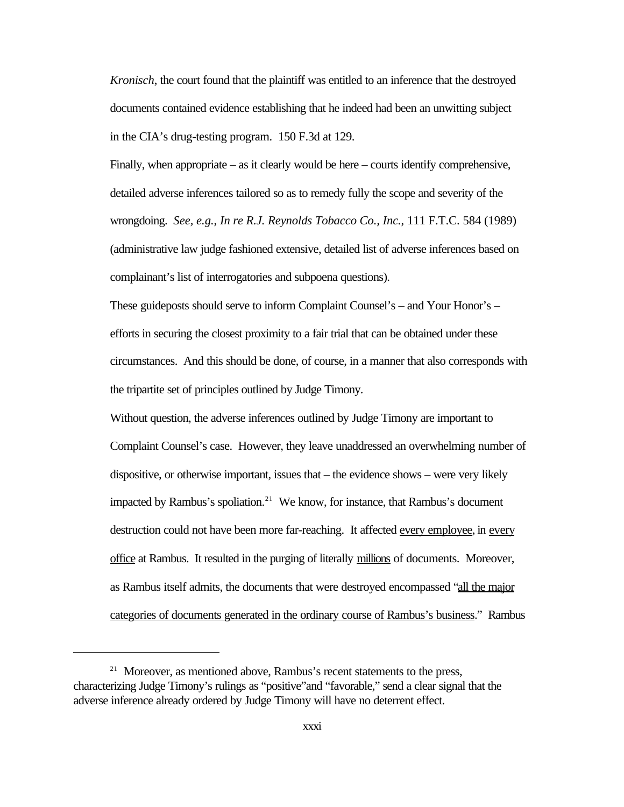*Kronisch*, the court found that the plaintiff was entitled to an inference that the destroyed documents contained evidence establishing that he indeed had been an unwitting subject in the CIA's drug-testing program. 150 F.3d at 129.

Finally, when appropriate – as it clearly would be here – courts identify comprehensive, detailed adverse inferences tailored so as to remedy fully the scope and severity of the wrongdoing. *See, e.g.*, *In re R.J. Reynolds Tobacco Co., Inc.*, 111 F.T.C. 584 (1989) (administrative law judge fashioned extensive, detailed list of adverse inferences based on complainant's list of interrogatories and subpoena questions).

These guideposts should serve to inform Complaint Counsel's – and Your Honor's – efforts in securing the closest proximity to a fair trial that can be obtained under these circumstances. And this should be done, of course, in a manner that also corresponds with the tripartite set of principles outlined by Judge Timony.

Without question, the adverse inferences outlined by Judge Timony are important to Complaint Counsel's case. However, they leave unaddressed an overwhelming number of dispositive, or otherwise important, issues that – the evidence shows – were very likely impacted by Rambus's spoliation.<sup>21</sup> We know, for instance, that Rambus's document destruction could not have been more far-reaching. It affected every employee, in every office at Rambus. It resulted in the purging of literally millions of documents. Moreover, as Rambus itself admits, the documents that were destroyed encompassed "all the major categories of documents generated in the ordinary course of Rambus's business." Rambus

<sup>&</sup>lt;sup>21</sup> Moreover, as mentioned above, Rambus's recent statements to the press, characterizing Judge Timony's rulings as "positive"and "favorable," send a clear signal that the adverse inference already ordered by Judge Timony will have no deterrent effect.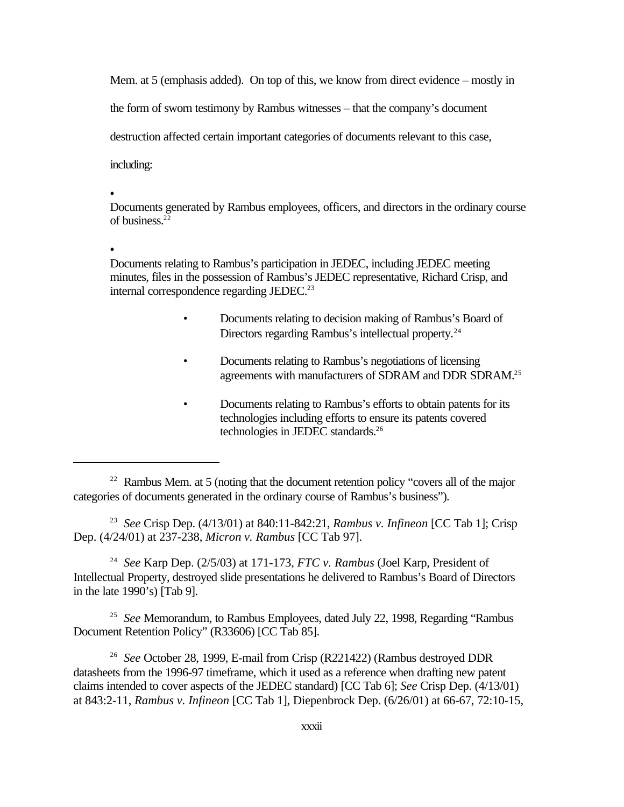Mem. at 5 (emphasis added). On top of this, we know from direct evidence – mostly in

the form of sworn testimony by Rambus witnesses – that the company's document

destruction affected certain important categories of documents relevant to this case,

including:

 $\bullet$ 

Documents generated by Rambus employees, officers, and directors in the ordinary course of business. $22$ 

 $\bullet$ 

Documents relating to Rambus's participation in JEDEC, including JEDEC meeting minutes, files in the possession of Rambus's JEDEC representative, Richard Crisp, and internal correspondence regarding JEDEC.<sup>23</sup>

- Documents relating to decision making of Rambus's Board of Directors regarding Rambus's intellectual property.<sup>24</sup>
- Documents relating to Rambus's negotiations of licensing agreements with manufacturers of SDRAM and DDR SDRAM.<sup>25</sup>
- Documents relating to Rambus's efforts to obtain patents for its technologies including efforts to ensure its patents covered technologies in JEDEC standards.<sup>26</sup>

23 *See* Crisp Dep. (4/13/01) at 840:11-842:21, *Rambus v. Infineon* [CC Tab 1]; Crisp Dep. (4/24/01) at 237-238, *Micron v. Rambus* [CC Tab 97].

24 *See* Karp Dep. (2/5/03) at 171-173, *FTC v. Rambus* (Joel Karp, President of Intellectual Property, destroyed slide presentations he delivered to Rambus's Board of Directors in the late 1990's) [Tab 9].

<sup>25</sup> See Memorandum, to Rambus Employees, dated July 22, 1998, Regarding "Rambus Document Retention Policy" (R33606) [CC Tab 85].

26 *See* October 28, 1999, E-mail from Crisp (R221422) (Rambus destroyed DDR datasheets from the 1996-97 timeframe, which it used as a reference when drafting new patent claims intended to cover aspects of the JEDEC standard) [CC Tab 6]; *See* Crisp Dep. (4/13/01) at 843:2-11, *Rambus v. Infineon* [CC Tab 1], Diepenbrock Dep. (6/26/01) at 66-67, 72:10-15,

 $22$  Rambus Mem. at 5 (noting that the document retention policy "covers all of the major categories of documents generated in the ordinary course of Rambus's business").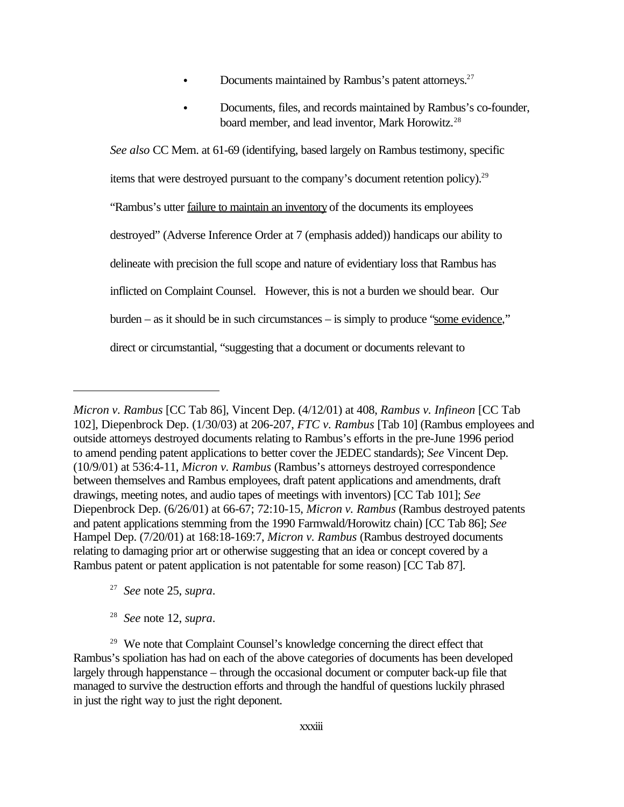- Documents maintained by Rambus's patent attorneys.<sup>27</sup>
- Documents, files, and records maintained by Rambus's co-founder, board member, and lead inventor, Mark Horowitz.<sup>28</sup>

*See also* CC Mem. at 61-69 (identifying, based largely on Rambus testimony, specific items that were destroyed pursuant to the company's document retention policy).<sup>29</sup> "Rambus's utter failure to maintain an inventory of the documents its employees destroyed" (Adverse Inference Order at 7 (emphasis added)) handicaps our ability to delineate with precision the full scope and nature of evidentiary loss that Rambus has inflicted on Complaint Counsel. However, this is not a burden we should bear. Our burden – as it should be in such circumstances – is simply to produce "some evidence," direct or circumstantial, "suggesting that a document or documents relevant to

- 27 *See* note 25, *supra*.
- 28 *See* note 12, *supra*.

*Micron v. Rambus* [CC Tab 86], Vincent Dep. (4/12/01) at 408, *Rambus v. Infineon* [CC Tab 102], Diepenbrock Dep. (1/30/03) at 206-207, *FTC v. Rambus* [Tab 10] (Rambus employees and outside attorneys destroyed documents relating to Rambus's efforts in the pre-June 1996 period to amend pending patent applications to better cover the JEDEC standards); *See* Vincent Dep. (10/9/01) at 536:4-11, *Micron v. Rambus* (Rambus's attorneys destroyed correspondence between themselves and Rambus employees, draft patent applications and amendments, draft drawings, meeting notes, and audio tapes of meetings with inventors) [CC Tab 101]; *See* Diepenbrock Dep. (6/26/01) at 66-67; 72:10-15, *Micron v. Rambus* (Rambus destroyed patents and patent applications stemming from the 1990 Farmwald/Horowitz chain) [CC Tab 86]; *See* Hampel Dep. (7/20/01) at 168:18-169:7, *Micron v. Rambus* (Rambus destroyed documents relating to damaging prior art or otherwise suggesting that an idea or concept covered by a Rambus patent or patent application is not patentable for some reason) [CC Tab 87].

<sup>&</sup>lt;sup>29</sup> We note that Complaint Counsel's knowledge concerning the direct effect that Rambus's spoliation has had on each of the above categories of documents has been developed largely through happenstance – through the occasional document or computer back-up file that managed to survive the destruction efforts and through the handful of questions luckily phrased in just the right way to just the right deponent.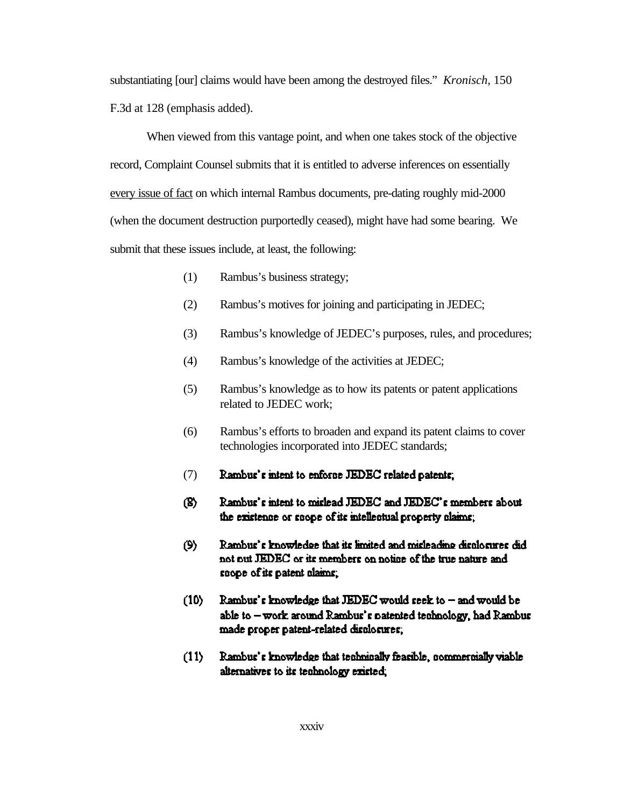substantiating [our] claims would have been among the destroyed files." *Kronisch,* 150 F.3d at 128 (emphasis added).

When viewed from this vantage point, and when one takes stock of the objective record, Complaint Counsel submits that it is entitled to adverse inferences on essentially every issue of fact on which internal Rambus documents, pre-dating roughly mid-2000 (when the document destruction purportedly ceased), might have had some bearing. We submit that these issues include, at least, the following:

- (1) Rambus's business strategy;
- (2) Rambus's motives for joining and participating in JEDEC;
- (3) Rambus's knowledge of JEDEC's purposes, rules, and procedures;
- (4) Rambus's knowledge of the activities at JEDEC;
- (5) Rambus's knowledge as to how its patents or patent applications related to JEDEC work;
- (6) Rambus's efforts to broaden and expand its patent claims to cover technologies incorporated into JEDEC standards;
- (7)Rambus's intent to enforce JEDEC related patents;
- Rambus's intent to mislead JEDEC and JEDEC's members about (B) the existence or scope of its intellectual property claims;
- Rambus's knowledge that its limited and misleading displosures did  $(9)$ not out JEDEC or its members on notice of the true nature and scope of its patent claims.
- $(10)$ Rambus's knowledge that JEDEC would seek to  $-$  and would be able to - work around Rambus's patented tenhnology, had Rambus made proper patent-related displosures;
- Rambus's knowledge that technically feasible, commercially viable  $(11)$ alternatives to its technology existed.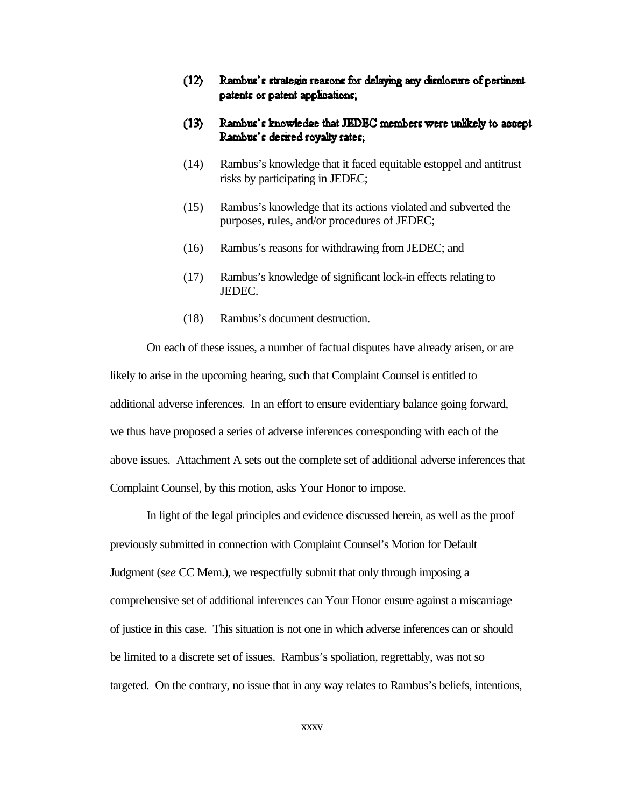- $(12)$ Rambus's strategic reasons for delaying any disclosure of pertinent patents or patent applications;
- $(13)$ Rambus's knowledge that JEDEC members were unlikely to assept Rambus's desired royalty rates.
- (14) Rambus's knowledge that it faced equitable estoppel and antitrust risks by participating in JEDEC;
- (15) Rambus's knowledge that its actions violated and subverted the purposes, rules, and/or procedures of JEDEC;
- (16) Rambus's reasons for withdrawing from JEDEC; and
- (17) Rambus's knowledge of significant lock-in effects relating to JEDEC.
- (18) Rambus's document destruction.

On each of these issues, a number of factual disputes have already arisen, or are likely to arise in the upcoming hearing, such that Complaint Counsel is entitled to additional adverse inferences. In an effort to ensure evidentiary balance going forward, we thus have proposed a series of adverse inferences corresponding with each of the above issues. Attachment A sets out the complete set of additional adverse inferences that Complaint Counsel, by this motion, asks Your Honor to impose.

In light of the legal principles and evidence discussed herein, as well as the proof previously submitted in connection with Complaint Counsel's Motion for Default Judgment (*see* CC Mem.), we respectfully submit that only through imposing a comprehensive set of additional inferences can Your Honor ensure against a miscarriage of justice in this case. This situation is not one in which adverse inferences can or should be limited to a discrete set of issues. Rambus's spoliation, regrettably, was not so targeted. On the contrary, no issue that in any way relates to Rambus's beliefs, intentions,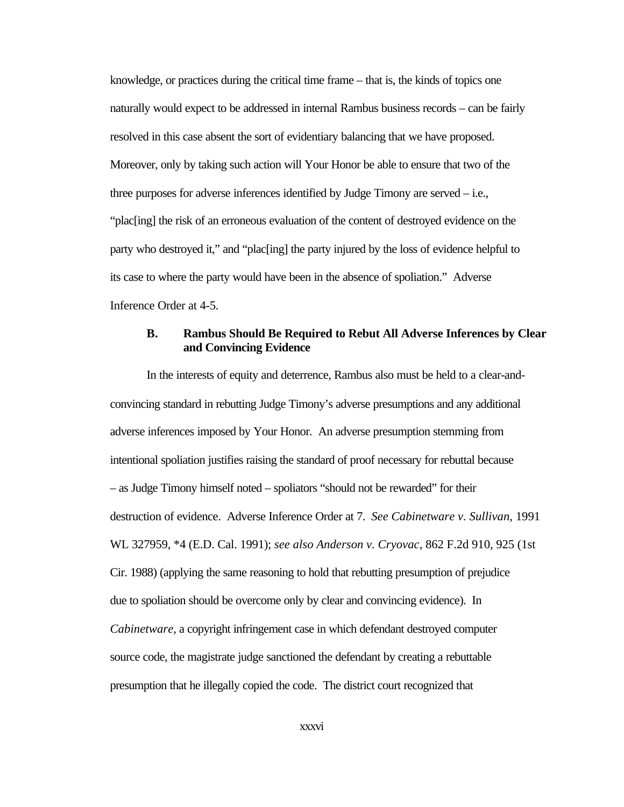knowledge, or practices during the critical time frame – that is, the kinds of topics one naturally would expect to be addressed in internal Rambus business records – can be fairly resolved in this case absent the sort of evidentiary balancing that we have proposed. Moreover, only by taking such action will Your Honor be able to ensure that two of the three purposes for adverse inferences identified by Judge Timony are served – i.e., "plac[ing] the risk of an erroneous evaluation of the content of destroyed evidence on the party who destroyed it," and "plac[ing] the party injured by the loss of evidence helpful to its case to where the party would have been in the absence of spoliation." Adverse Inference Order at 4-5.

#### **B. Rambus Should Be Required to Rebut All Adverse Inferences by Clear and Convincing Evidence**

In the interests of equity and deterrence, Rambus also must be held to a clear-andconvincing standard in rebutting Judge Timony's adverse presumptions and any additional adverse inferences imposed by Your Honor. An adverse presumption stemming from intentional spoliation justifies raising the standard of proof necessary for rebuttal because – as Judge Timony himself noted – spoliators "should not be rewarded" for their destruction of evidence. Adverse Inference Order at 7. *See Cabinetware v. Sullivan*, 1991 WL 327959, \*4 (E.D. Cal. 1991); *see also Anderson v. Cryovac*, 862 F.2d 910, 925 (1st Cir. 1988) (applying the same reasoning to hold that rebutting presumption of prejudice due to spoliation should be overcome only by clear and convincing evidence). In *Cabinetware*, a copyright infringement case in which defendant destroyed computer source code, the magistrate judge sanctioned the defendant by creating a rebuttable presumption that he illegally copied the code. The district court recognized that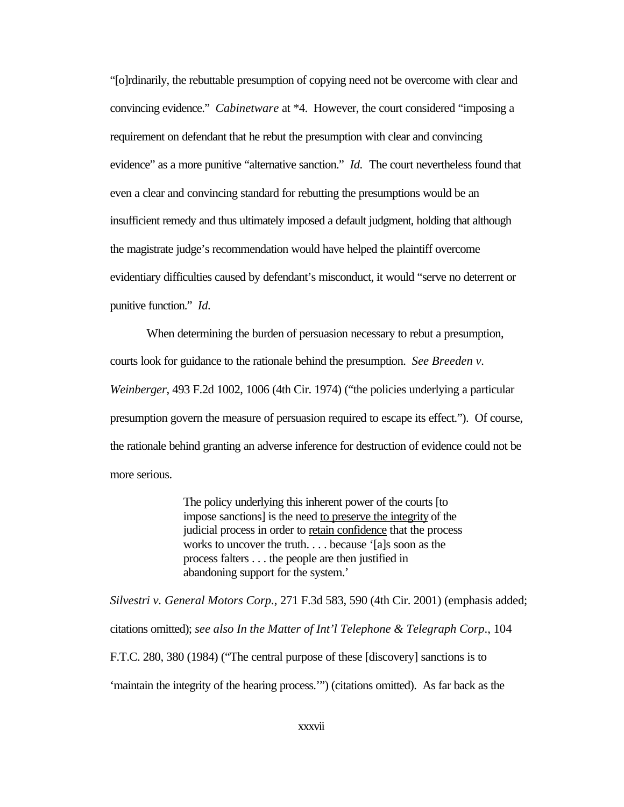"[o]rdinarily, the rebuttable presumption of copying need not be overcome with clear and convincing evidence." *Cabinetware* at \*4. However, the court considered "imposing a requirement on defendant that he rebut the presumption with clear and convincing evidence" as a more punitive "alternative sanction." *Id.* The court nevertheless found that even a clear and convincing standard for rebutting the presumptions would be an insufficient remedy and thus ultimately imposed a default judgment, holding that although the magistrate judge's recommendation would have helped the plaintiff overcome evidentiary difficulties caused by defendant's misconduct, it would "serve no deterrent or punitive function." *Id.*

When determining the burden of persuasion necessary to rebut a presumption, courts look for guidance to the rationale behind the presumption. *See Breeden v. Weinberger*, 493 F.2d 1002, 1006 (4th Cir. 1974) ("the policies underlying a particular presumption govern the measure of persuasion required to escape its effect."). Of course, the rationale behind granting an adverse inference for destruction of evidence could not be more serious.

> The policy underlying this inherent power of the courts [to impose sanctions] is the need to preserve the integrity of the judicial process in order to retain confidence that the process works to uncover the truth. . . . because '[a]s soon as the process falters . . . the people are then justified in abandoning support for the system.'

*Silvestri v. General Motors Corp.*, 271 F.3d 583, 590 (4th Cir. 2001) (emphasis added; citations omitted); *see also In the Matter of Int'l Telephone & Telegraph Corp*., 104 F.T.C. 280, 380 (1984) ("The central purpose of these [discovery] sanctions is to 'maintain the integrity of the hearing process.'") (citations omitted). As far back as the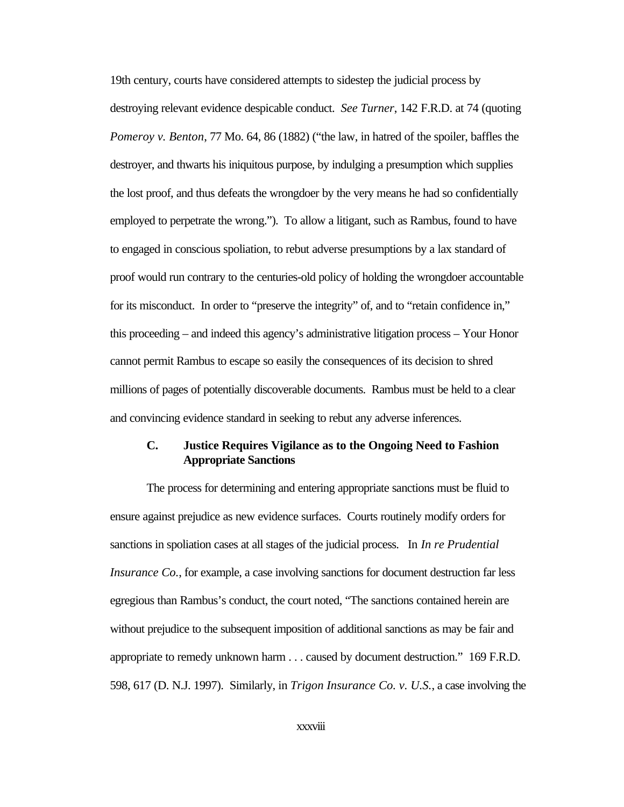19th century, courts have considered attempts to sidestep the judicial process by destroying relevant evidence despicable conduct. *See Turner*, 142 F.R.D. at 74 (quoting *Pomeroy v. Benton*, 77 Mo. 64, 86 (1882) ("the law, in hatred of the spoiler, baffles the destroyer, and thwarts his iniquitous purpose, by indulging a presumption which supplies the lost proof, and thus defeats the wrongdoer by the very means he had so confidentially employed to perpetrate the wrong."). To allow a litigant, such as Rambus, found to have to engaged in conscious spoliation, to rebut adverse presumptions by a lax standard of proof would run contrary to the centuries-old policy of holding the wrongdoer accountable for its misconduct. In order to "preserve the integrity" of, and to "retain confidence in," this proceeding – and indeed this agency's administrative litigation process – Your Honor cannot permit Rambus to escape so easily the consequences of its decision to shred millions of pages of potentially discoverable documents. Rambus must be held to a clear and convincing evidence standard in seeking to rebut any adverse inferences.

#### **C. Justice Requires Vigilance as to the Ongoing Need to Fashion Appropriate Sanctions**

The process for determining and entering appropriate sanctions must be fluid to ensure against prejudice as new evidence surfaces. Courts routinely modify orders for sanctions in spoliation cases at all stages of the judicial process. In *In re Prudential Insurance Co.*, for example, a case involving sanctions for document destruction far less egregious than Rambus's conduct, the court noted, "The sanctions contained herein are without prejudice to the subsequent imposition of additional sanctions as may be fair and appropriate to remedy unknown harm . . . caused by document destruction." 169 F.R.D. 598, 617 (D. N.J. 1997). Similarly, in *Trigon Insurance Co. v. U.S.*, a case involving the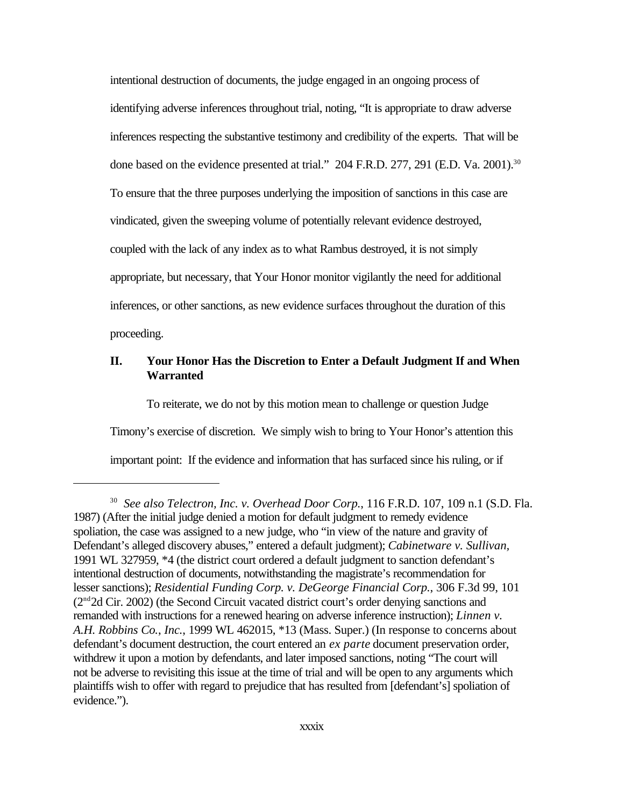intentional destruction of documents, the judge engaged in an ongoing process of identifying adverse inferences throughout trial, noting, "It is appropriate to draw adverse inferences respecting the substantive testimony and credibility of the experts. That will be done based on the evidence presented at trial." 204 F.R.D. 277, 291 (E.D. Va. 2001).<sup>30</sup> To ensure that the three purposes underlying the imposition of sanctions in this case are vindicated, given the sweeping volume of potentially relevant evidence destroyed, coupled with the lack of any index as to what Rambus destroyed, it is not simply appropriate, but necessary, that Your Honor monitor vigilantly the need for additional inferences, or other sanctions, as new evidence surfaces throughout the duration of this proceeding.

#### **II. Your Honor Has the Discretion to Enter a Default Judgment If and When Warranted**

To reiterate, we do not by this motion mean to challenge or question Judge Timony's exercise of discretion. We simply wish to bring to Your Honor's attention this important point: If the evidence and information that has surfaced since his ruling, or if

<sup>30</sup> *See also Telectron, Inc. v. Overhead Door Corp.*, 116 F.R.D. 107, 109 n.1 (S.D. Fla. 1987) (After the initial judge denied a motion for default judgment to remedy evidence spoliation, the case was assigned to a new judge, who "in view of the nature and gravity of Defendant's alleged discovery abuses," entered a default judgment); *Cabinetware v. Sullivan,* 1991 WL 327959, \*4 (the district court ordered a default judgment to sanction defendant's intentional destruction of documents, notwithstanding the magistrate's recommendation for lesser sanctions); *Residential Funding Corp. v. DeGeorge Financial Corp.*, 306 F.3d 99, 101 (2nd2d Cir. 2002) (the Second Circuit vacated district court's order denying sanctions and remanded with instructions for a renewed hearing on adverse inference instruction); *Linnen v. A.H. Robbins Co.*, *Inc.*, 1999 WL 462015, \*13 (Mass. Super.) (In response to concerns about defendant's document destruction, the court entered an *ex parte* document preservation order, withdrew it upon a motion by defendants, and later imposed sanctions, noting "The court will not be adverse to revisiting this issue at the time of trial and will be open to any arguments which plaintiffs wish to offer with regard to prejudice that has resulted from [defendant's] spoliation of evidence.").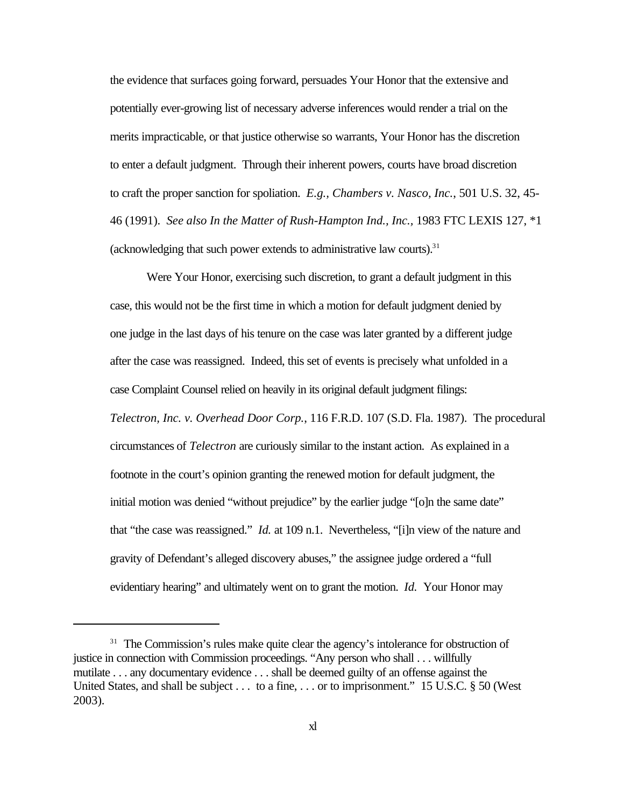the evidence that surfaces going forward, persuades Your Honor that the extensive and potentially ever-growing list of necessary adverse inferences would render a trial on the merits impracticable, or that justice otherwise so warrants, Your Honor has the discretion to enter a default judgment. Through their inherent powers, courts have broad discretion to craft the proper sanction for spoliation. *E.g., Chambers v. Nasco, Inc.*, 501 U.S. 32, 45- 46 (1991). *See also In the Matter of Rush-Hampton Ind., Inc.,* 1983 FTC LEXIS 127, \*1 (acknowledging that such power extends to administrative law courts). $31$ 

Were Your Honor, exercising such discretion, to grant a default judgment in this case, this would not be the first time in which a motion for default judgment denied by one judge in the last days of his tenure on the case was later granted by a different judge after the case was reassigned. Indeed, this set of events is precisely what unfolded in a case Complaint Counsel relied on heavily in its original default judgment filings: *Telectron, Inc. v. Overhead Door Corp.*, 116 F.R.D. 107 (S.D. Fla. 1987). The procedural circumstances of *Telectron* are curiously similar to the instant action. As explained in a footnote in the court's opinion granting the renewed motion for default judgment, the initial motion was denied "without prejudice" by the earlier judge "[o]n the same date" that "the case was reassigned." *Id.* at 109 n.1. Nevertheless, "[i]n view of the nature and gravity of Defendant's alleged discovery abuses," the assignee judge ordered a "full evidentiary hearing" and ultimately went on to grant the motion. *Id.* Your Honor may

<sup>&</sup>lt;sup>31</sup> The Commission's rules make quite clear the agency's intolerance for obstruction of justice in connection with Commission proceedings. "Any person who shall . . . willfully mutilate . . . any documentary evidence . . . shall be deemed guilty of an offense against the United States, and shall be subject . . . to a fine, . . . or to imprisonment." 15 U.S.C. § 50 (West 2003).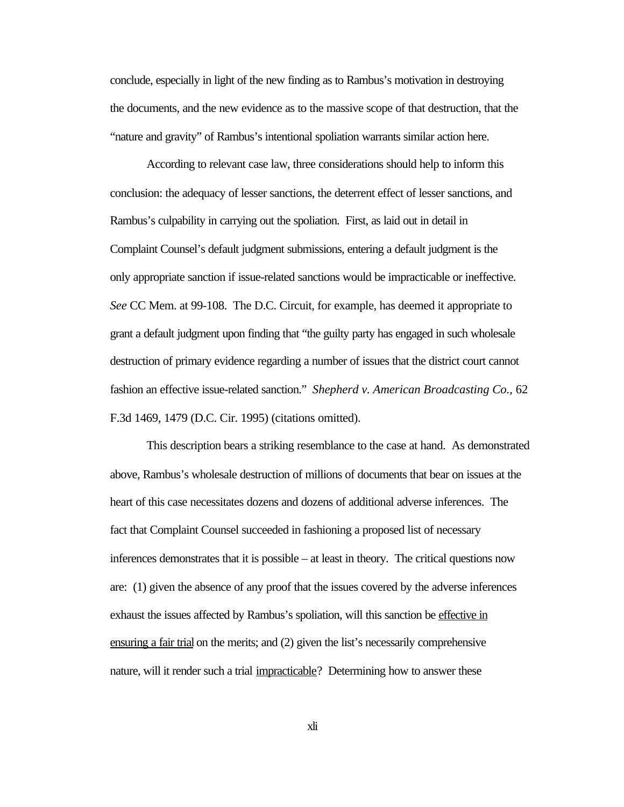conclude, especially in light of the new finding as to Rambus's motivation in destroying the documents, and the new evidence as to the massive scope of that destruction, that the "nature and gravity" of Rambus's intentional spoliation warrants similar action here.

According to relevant case law, three considerations should help to inform this conclusion: the adequacy of lesser sanctions, the deterrent effect of lesser sanctions, and Rambus's culpability in carrying out the spoliation. First, as laid out in detail in Complaint Counsel's default judgment submissions, entering a default judgment is the only appropriate sanction if issue-related sanctions would be impracticable or ineffective. *See* CC Mem. at 99-108. The D.C. Circuit, for example, has deemed it appropriate to grant a default judgment upon finding that "the guilty party has engaged in such wholesale destruction of primary evidence regarding a number of issues that the district court cannot fashion an effective issue-related sanction." *Shepherd v. American Broadcasting Co.*, 62 F.3d 1469, 1479 (D.C. Cir. 1995) (citations omitted).

This description bears a striking resemblance to the case at hand. As demonstrated above, Rambus's wholesale destruction of millions of documents that bear on issues at the heart of this case necessitates dozens and dozens of additional adverse inferences. The fact that Complaint Counsel succeeded in fashioning a proposed list of necessary inferences demonstrates that it is possible – at least in theory. The critical questions now are: (1) given the absence of any proof that the issues covered by the adverse inferences exhaust the issues affected by Rambus's spoliation, will this sanction be effective in ensuring a fair trial on the merits; and (2) given the list's necessarily comprehensive nature, will it render such a trial impracticable? Determining how to answer these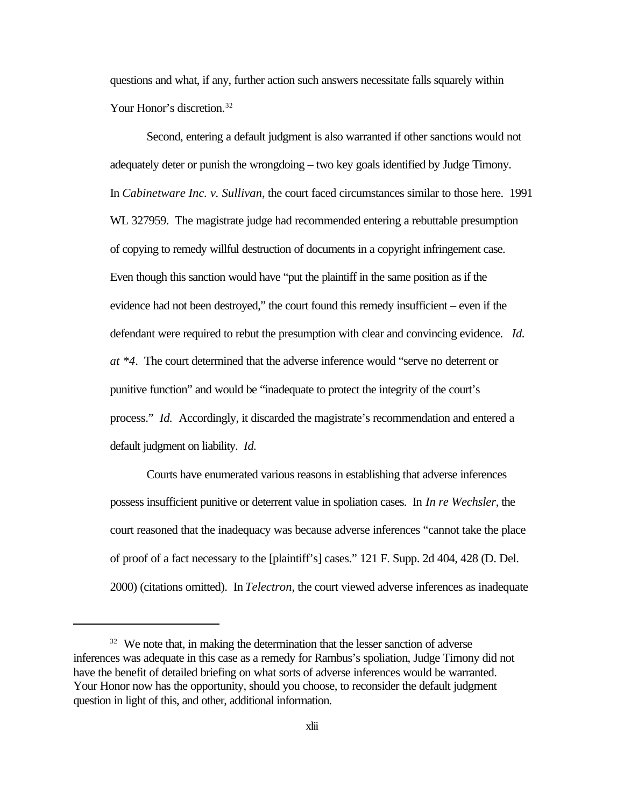questions and what, if any, further action such answers necessitate falls squarely within Your Honor's discretion.<sup>32</sup>

Second, entering a default judgment is also warranted if other sanctions would not adequately deter or punish the wrongdoing – two key goals identified by Judge Timony. In *Cabinetware Inc. v. Sullivan*, the court faced circumstances similar to those here. 1991 WL 327959. The magistrate judge had recommended entering a rebuttable presumption of copying to remedy willful destruction of documents in a copyright infringement case. Even though this sanction would have "put the plaintiff in the same position as if the evidence had not been destroyed," the court found this remedy insufficient – even if the defendant were required to rebut the presumption with clear and convincing evidence. *Id. at \*4*. The court determined that the adverse inference would "serve no deterrent or punitive function" and would be "inadequate to protect the integrity of the court's process." *Id.* Accordingly, it discarded the magistrate's recommendation and entered a default judgment on liability. *Id.*

Courts have enumerated various reasons in establishing that adverse inferences possess insufficient punitive or deterrent value in spoliation cases. In *In re Wechsler*, the court reasoned that the inadequacy was because adverse inferences "cannot take the place of proof of a fact necessary to the [plaintiff's] cases." 121 F. Supp. 2d 404, 428 (D. Del. 2000) (citations omitted). In *Telectron*, the court viewed adverse inferences as inadequate

 $32$  We note that, in making the determination that the lesser sanction of adverse inferences was adequate in this case as a remedy for Rambus's spoliation, Judge Timony did not have the benefit of detailed briefing on what sorts of adverse inferences would be warranted. Your Honor now has the opportunity, should you choose, to reconsider the default judgment question in light of this, and other, additional information.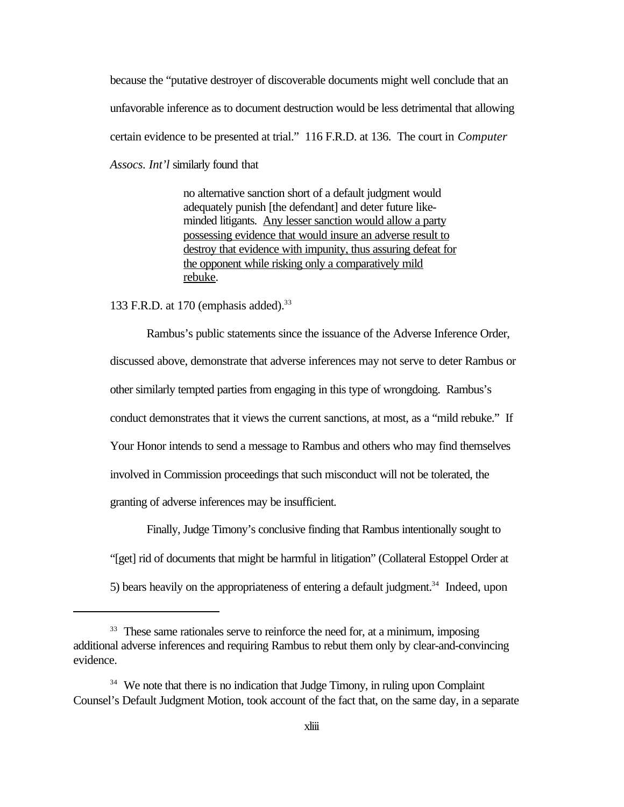because the "putative destroyer of discoverable documents might well conclude that an unfavorable inference as to document destruction would be less detrimental that allowing certain evidence to be presented at trial." 116 F.R.D. at 136. The court in *Computer Assocs. Int'l* similarly found that

> no alternative sanction short of a default judgment would adequately punish [the defendant] and deter future likeminded litigants. Any lesser sanction would allow a party possessing evidence that would insure an adverse result to destroy that evidence with impunity, thus assuring defeat for the opponent while risking only a comparatively mild rebuke.

133 F.R.D. at 170 (emphasis added).<sup>33</sup>

Rambus's public statements since the issuance of the Adverse Inference Order, discussed above, demonstrate that adverse inferences may not serve to deter Rambus or other similarly tempted parties from engaging in this type of wrongdoing. Rambus's conduct demonstrates that it views the current sanctions, at most, as a "mild rebuke." If Your Honor intends to send a message to Rambus and others who may find themselves involved in Commission proceedings that such misconduct will not be tolerated, the granting of adverse inferences may be insufficient.

Finally, Judge Timony's conclusive finding that Rambus intentionally sought to "[get] rid of documents that might be harmful in litigation" (Collateral Estoppel Order at 5) bears heavily on the appropriateness of entering a default judgment.<sup>34</sup> Indeed, upon

<sup>&</sup>lt;sup>33</sup> These same rationales serve to reinforce the need for, at a minimum, imposing additional adverse inferences and requiring Rambus to rebut them only by clear-and-convincing evidence.

<sup>&</sup>lt;sup>34</sup> We note that there is no indication that Judge Timony, in ruling upon Complaint Counsel's Default Judgment Motion, took account of the fact that, on the same day, in a separate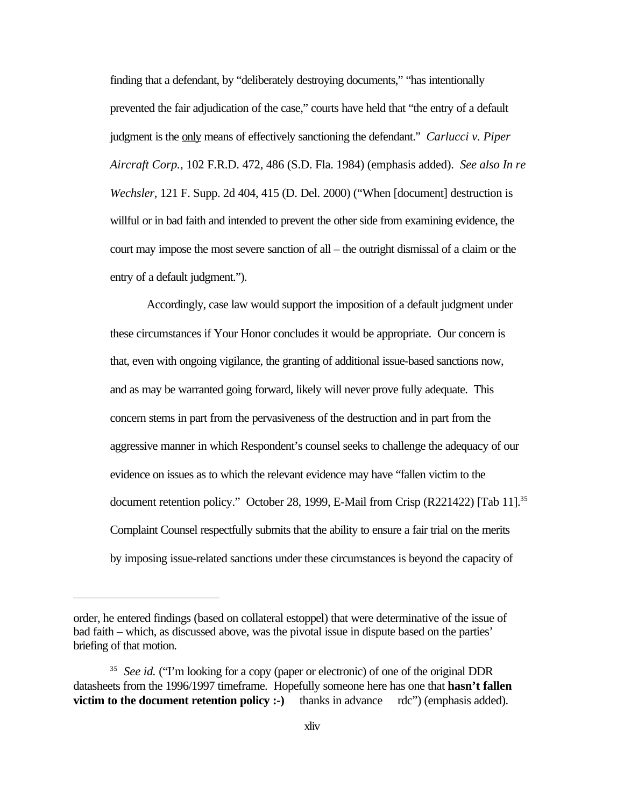finding that a defendant, by "deliberately destroying documents," "has intentionally prevented the fair adjudication of the case," courts have held that "the entry of a default judgment is the only means of effectively sanctioning the defendant." *Carlucci v. Piper Aircraft Corp.*, 102 F.R.D. 472, 486 (S.D. Fla. 1984) (emphasis added). *See also In re Wechsler*, 121 F. Supp. 2d 404, 415 (D. Del. 2000) ("When [document] destruction is willful or in bad faith and intended to prevent the other side from examining evidence, the court may impose the most severe sanction of all – the outright dismissal of a claim or the entry of a default judgment.").

Accordingly, case law would support the imposition of a default judgment under these circumstances if Your Honor concludes it would be appropriate. Our concern is that, even with ongoing vigilance, the granting of additional issue-based sanctions now, and as may be warranted going forward, likely will never prove fully adequate. This concern stems in part from the pervasiveness of the destruction and in part from the aggressive manner in which Respondent's counsel seeks to challenge the adequacy of our evidence on issues as to which the relevant evidence may have "fallen victim to the document retention policy." October 28, 1999, E-Mail from Crisp (R221422) [Tab 11].<sup>35</sup> Complaint Counsel respectfully submits that the ability to ensure a fair trial on the merits by imposing issue-related sanctions under these circumstances is beyond the capacity of

order, he entered findings (based on collateral estoppel) that were determinative of the issue of bad faith – which, as discussed above, was the pivotal issue in dispute based on the parties' briefing of that motion.

<sup>&</sup>lt;sup>35</sup> See id. ("I'm looking for a copy (paper or electronic) of one of the original DDR datasheets from the 1996/1997 timeframe. Hopefully someone here has one that **hasn't fallen victim to the document retention policy :-**) thanks in advance rdc") (emphasis added).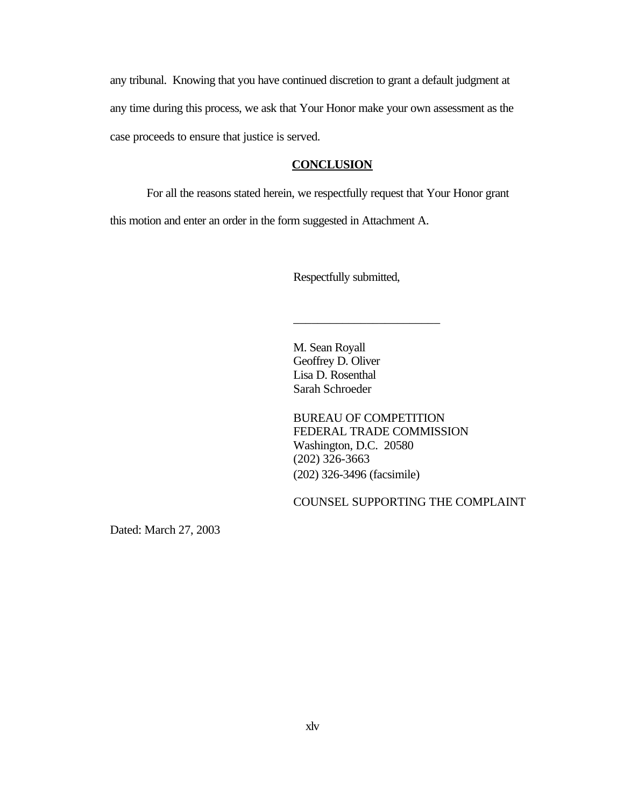any tribunal. Knowing that you have continued discretion to grant a default judgment at any time during this process, we ask that Your Honor make your own assessment as the case proceeds to ensure that justice is served.

#### **CONCLUSION**

For all the reasons stated herein, we respectfully request that Your Honor grant

this motion and enter an order in the form suggested in Attachment A.

Respectfully submitted,

\_\_\_\_\_\_\_\_\_\_\_\_\_\_\_\_\_\_\_\_\_\_\_\_

M. Sean Royall Geoffrey D. Oliver Lisa D. Rosenthal Sarah Schroeder

BUREAU OF COMPETITION FEDERAL TRADE COMMISSION Washington, D.C. 20580 (202) 326-3663 (202) 326-3496 (facsimile)

COUNSEL SUPPORTING THE COMPLAINT

Dated: March 27, 2003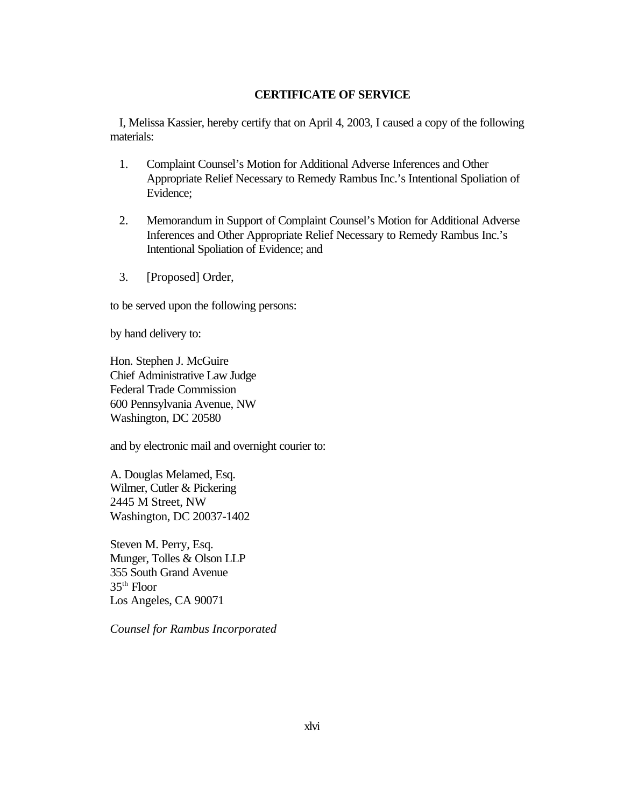#### **CERTIFICATE OF SERVICE**

I, Melissa Kassier, hereby certify that on April 4, 2003, I caused a copy of the following materials:

- 1. Complaint Counsel's Motion for Additional Adverse Inferences and Other Appropriate Relief Necessary to Remedy Rambus Inc.'s Intentional Spoliation of Evidence;
- 2. Memorandum in Support of Complaint Counsel's Motion for Additional Adverse Inferences and Other Appropriate Relief Necessary to Remedy Rambus Inc.'s Intentional Spoliation of Evidence; and
- 3. [Proposed] Order,

to be served upon the following persons:

by hand delivery to:

Hon. Stephen J. McGuire Chief Administrative Law Judge Federal Trade Commission 600 Pennsylvania Avenue, NW Washington, DC 20580

and by electronic mail and overnight courier to:

A. Douglas Melamed, Esq. Wilmer, Cutler & Pickering 2445 M Street, NW Washington, DC 20037-1402

Steven M. Perry, Esq. Munger, Tolles & Olson LLP 355 South Grand Avenue 35th Floor Los Angeles, CA 90071

*Counsel for Rambus Incorporated*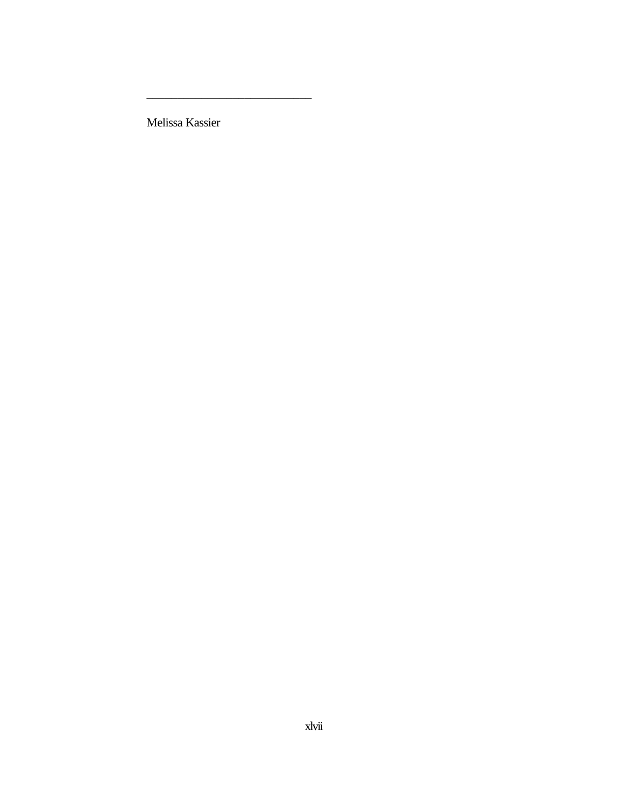Melissa Kassier

\_\_\_\_\_\_\_\_\_\_\_\_\_\_\_\_\_\_\_\_\_\_\_\_\_\_\_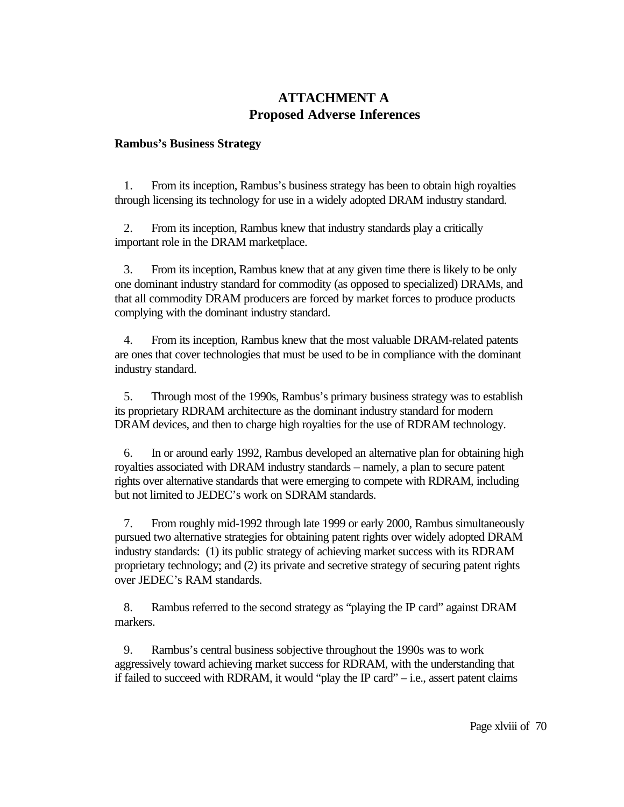# **ATTACHMENT A Proposed Adverse Inferences**

#### **Rambus's Business Strategy**

1. From its inception, Rambus's business strategy has been to obtain high royalties through licensing its technology for use in a widely adopted DRAM industry standard.

2. From its inception, Rambus knew that industry standards play a critically important role in the DRAM marketplace.

3. From its inception, Rambus knew that at any given time there is likely to be only one dominant industry standard for commodity (as opposed to specialized) DRAMs, and that all commodity DRAM producers are forced by market forces to produce products complying with the dominant industry standard.

4. From its inception, Rambus knew that the most valuable DRAM-related patents are ones that cover technologies that must be used to be in compliance with the dominant industry standard.

5. Through most of the 1990s, Rambus's primary business strategy was to establish its proprietary RDRAM architecture as the dominant industry standard for modern DRAM devices, and then to charge high royalties for the use of RDRAM technology.

6. In or around early 1992, Rambus developed an alternative plan for obtaining high royalties associated with DRAM industry standards – namely, a plan to secure patent rights over alternative standards that were emerging to compete with RDRAM, including but not limited to JEDEC's work on SDRAM standards.

7. From roughly mid-1992 through late 1999 or early 2000, Rambus simultaneously pursued two alternative strategies for obtaining patent rights over widely adopted DRAM industry standards: (1) its public strategy of achieving market success with its RDRAM proprietary technology; and (2) its private and secretive strategy of securing patent rights over JEDEC's RAM standards.

8. Rambus referred to the second strategy as "playing the IP card" against DRAM markers.

9. Rambus's central business sobjective throughout the 1990s was to work aggressively toward achieving market success for RDRAM, with the understanding that if failed to succeed with RDRAM, it would "play the IP card"  $-$  i.e., assert patent claims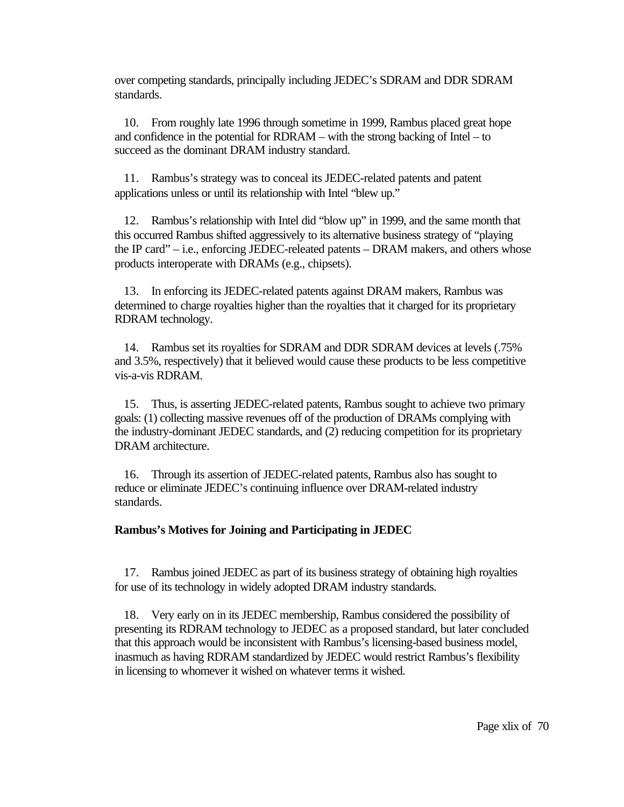over competing standards, principally including JEDEC's SDRAM and DDR SDRAM standards.

10. From roughly late 1996 through sometime in 1999, Rambus placed great hope and confidence in the potential for RDRAM – with the strong backing of Intel – to succeed as the dominant DRAM industry standard.

11. Rambus's strategy was to conceal its JEDEC-related patents and patent applications unless or until its relationship with Intel "blew up."

12. Rambus's relationship with Intel did "blow up" in 1999, and the same month that this occurred Rambus shifted aggressively to its alternative business strategy of "playing the IP card" – i.e., enforcing JEDEC-releated patents – DRAM makers, and others whose products interoperate with DRAMs (e.g., chipsets).

13. In enforcing its JEDEC-related patents against DRAM makers, Rambus was determined to charge royalties higher than the royalties that it charged for its proprietary RDRAM technology.

14. Rambus set its royalties for SDRAM and DDR SDRAM devices at levels (.75% and 3.5%, respectively) that it believed would cause these products to be less competitive vis-a-vis RDRAM.

15. Thus, is asserting JEDEC-related patents, Rambus sought to achieve two primary goals: (1) collecting massive revenues off of the production of DRAMs complying with the industry-dominant JEDEC standards, and (2) reducing competition for its proprietary DRAM architecture.

16. Through its assertion of JEDEC-related patents, Rambus also has sought to reduce or eliminate JEDEC's continuing influence over DRAM-related industry standards.

## **Rambus's Motives for Joining and Participating in JEDEC**

17. Rambus joined JEDEC as part of its business strategy of obtaining high royalties for use of its technology in widely adopted DRAM industry standards.

18. Very early on in its JEDEC membership, Rambus considered the possibility of presenting its RDRAM technology to JEDEC as a proposed standard, but later concluded that this approach would be inconsistent with Rambus's licensing-based business model, inasmuch as having RDRAM standardized by JEDEC would restrict Rambus's flexibility in licensing to whomever it wished on whatever terms it wished.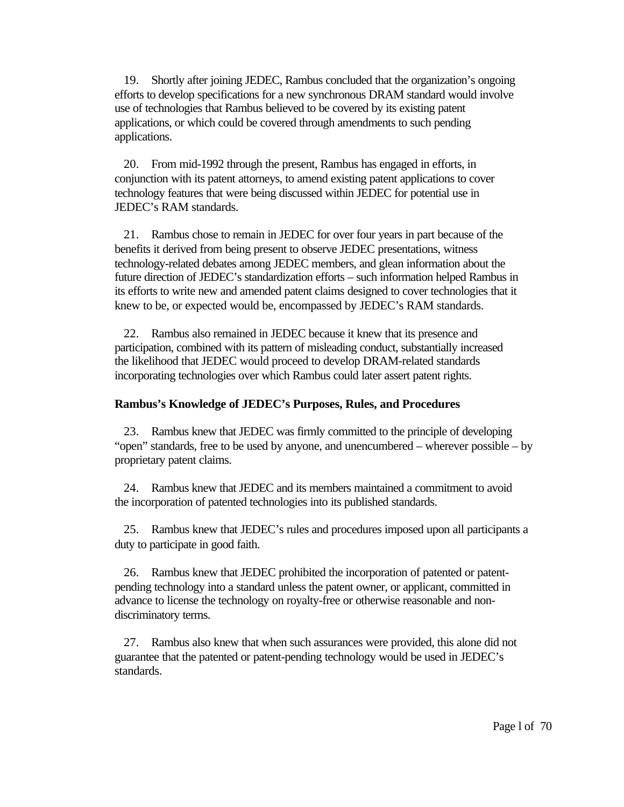19. Shortly after joining JEDEC, Rambus concluded that the organization's ongoing efforts to develop specifications for a new synchronous DRAM standard would involve use of technologies that Rambus believed to be covered by its existing patent applications, or which could be covered through amendments to such pending applications.

20. From mid-1992 through the present, Rambus has engaged in efforts, in conjunction with its patent attorneys, to amend existing patent applications to cover technology features that were being discussed within JEDEC for potential use in JEDEC's RAM standards.

21. Rambus chose to remain in JEDEC for over four years in part because of the benefits it derived from being present to observe JEDEC presentations, witness technology-related debates among JEDEC members, and glean information about the future direction of JEDEC's standardization efforts – such information helped Rambus in its efforts to write new and amended patent claims designed to cover technologies that it knew to be, or expected would be, encompassed by JEDEC's RAM standards.

22. Rambus also remained in JEDEC because it knew that its presence and participation, combined with its pattern of misleading conduct, substantially increased the likelihood that JEDEC would proceed to develop DRAM-related standards incorporating technologies over which Rambus could later assert patent rights.

#### **Rambus's Knowledge of JEDEC's Purposes, Rules, and Procedures**

23. Rambus knew that JEDEC was firmly committed to the principle of developing "open" standards, free to be used by anyone, and unencumbered – wherever possible – by proprietary patent claims.

24. Rambus knew that JEDEC and its members maintained a commitment to avoid the incorporation of patented technologies into its published standards.

25. Rambus knew that JEDEC's rules and procedures imposed upon all participants a duty to participate in good faith.

26. Rambus knew that JEDEC prohibited the incorporation of patented or patentpending technology into a standard unless the patent owner, or applicant, committed in advance to license the technology on royalty-free or otherwise reasonable and nondiscriminatory terms.

27. Rambus also knew that when such assurances were provided, this alone did not guarantee that the patented or patent-pending technology would be used in JEDEC's standards.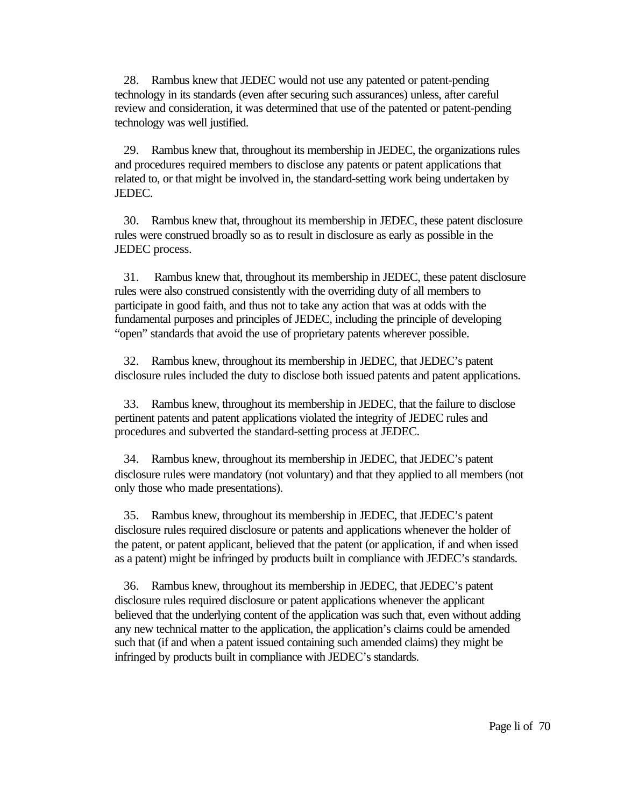28. Rambus knew that JEDEC would not use any patented or patent-pending technology in its standards (even after securing such assurances) unless, after careful review and consideration, it was determined that use of the patented or patent-pending technology was well justified.

29. Rambus knew that, throughout its membership in JEDEC, the organizations rules and procedures required members to disclose any patents or patent applications that related to, or that might be involved in, the standard-setting work being undertaken by JEDEC.

30. Rambus knew that, throughout its membership in JEDEC, these patent disclosure rules were construed broadly so as to result in disclosure as early as possible in the JEDEC process.

31. Rambus knew that, throughout its membership in JEDEC, these patent disclosure rules were also construed consistently with the overriding duty of all members to participate in good faith, and thus not to take any action that was at odds with the fundamental purposes and principles of JEDEC, including the principle of developing "open" standards that avoid the use of proprietary patents wherever possible.

32. Rambus knew, throughout its membership in JEDEC, that JEDEC's patent disclosure rules included the duty to disclose both issued patents and patent applications.

33. Rambus knew, throughout its membership in JEDEC, that the failure to disclose pertinent patents and patent applications violated the integrity of JEDEC rules and procedures and subverted the standard-setting process at JEDEC.

34. Rambus knew, throughout its membership in JEDEC, that JEDEC's patent disclosure rules were mandatory (not voluntary) and that they applied to all members (not only those who made presentations).

35. Rambus knew, throughout its membership in JEDEC, that JEDEC's patent disclosure rules required disclosure or patents and applications whenever the holder of the patent, or patent applicant, believed that the patent (or application, if and when issed as a patent) might be infringed by products built in compliance with JEDEC's standards.

36. Rambus knew, throughout its membership in JEDEC, that JEDEC's patent disclosure rules required disclosure or patent applications whenever the applicant believed that the underlying content of the application was such that, even without adding any new technical matter to the application, the application's claims could be amended such that (if and when a patent issued containing such amended claims) they might be infringed by products built in compliance with JEDEC's standards.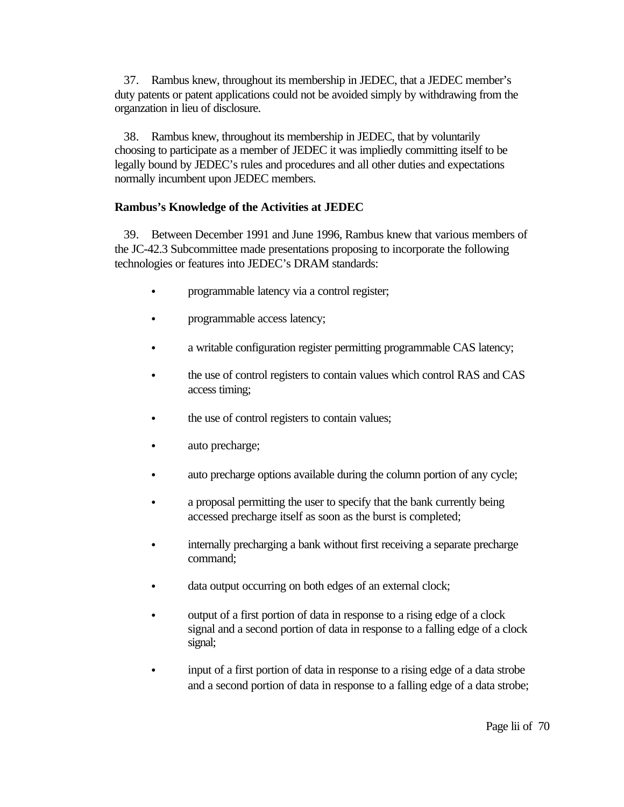37. Rambus knew, throughout its membership in JEDEC, that a JEDEC member's duty patents or patent applications could not be avoided simply by withdrawing from the organzation in lieu of disclosure.

38. Rambus knew, throughout its membership in JEDEC, that by voluntarily choosing to participate as a member of JEDEC it was impliedly committing itself to be legally bound by JEDEC's rules and procedures and all other duties and expectations normally incumbent upon JEDEC members.

## **Rambus's Knowledge of the Activities at JEDEC**

39. Between December 1991 and June 1996, Rambus knew that various members of the JC-42.3 Subcommittee made presentations proposing to incorporate the following technologies or features into JEDEC's DRAM standards:

- programmable latency via a control register;
- programmable access latency;
- a writable configuration register permitting programmable CAS latency;
- the use of control registers to contain values which control RAS and CAS access timing;
- the use of control registers to contain values;
- auto precharge;
- auto precharge options available during the column portion of any cycle;
- a proposal permitting the user to specify that the bank currently being accessed precharge itself as soon as the burst is completed;
- internally precharging a bank without first receiving a separate precharge command;
- data output occurring on both edges of an external clock;
- output of a first portion of data in response to a rising edge of a clock signal and a second portion of data in response to a falling edge of a clock signal;
- input of a first portion of data in response to a rising edge of a data strobe and a second portion of data in response to a falling edge of a data strobe;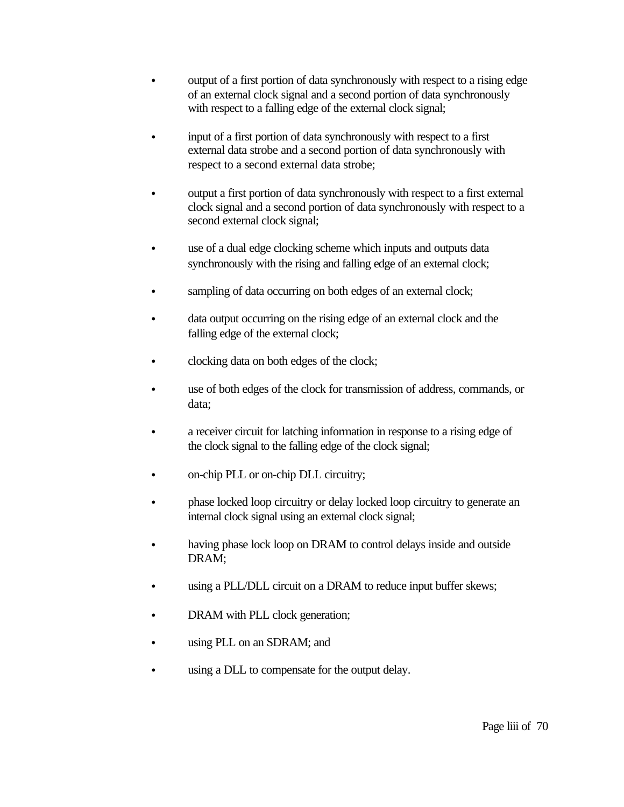- output of a first portion of data synchronously with respect to a rising edge of an external clock signal and a second portion of data synchronously with respect to a falling edge of the external clock signal;
- input of a first portion of data synchronously with respect to a first external data strobe and a second portion of data synchronously with respect to a second external data strobe;
- output a first portion of data synchronously with respect to a first external clock signal and a second portion of data synchronously with respect to a second external clock signal;
- use of a dual edge clocking scheme which inputs and outputs data synchronously with the rising and falling edge of an external clock;
- sampling of data occurring on both edges of an external clock;
- data output occurring on the rising edge of an external clock and the falling edge of the external clock;
- clocking data on both edges of the clock;
- If use of both edges of the clock for transmission of address, commands, or data;
- a receiver circuit for latching information in response to a rising edge of the clock signal to the falling edge of the clock signal;
- on-chip PLL or on-chip DLL circuitry;
- bhase locked loop circuitry or delay locked loop circuitry to generate an internal clock signal using an external clock signal;
- having phase lock loop on DRAM to control delays inside and outside DRAM;
- using a PLL/DLL circuit on a DRAM to reduce input buffer skews;
- DRAM with PLL clock generation;
- using PLL on an SDRAM; and
- using a DLL to compensate for the output delay.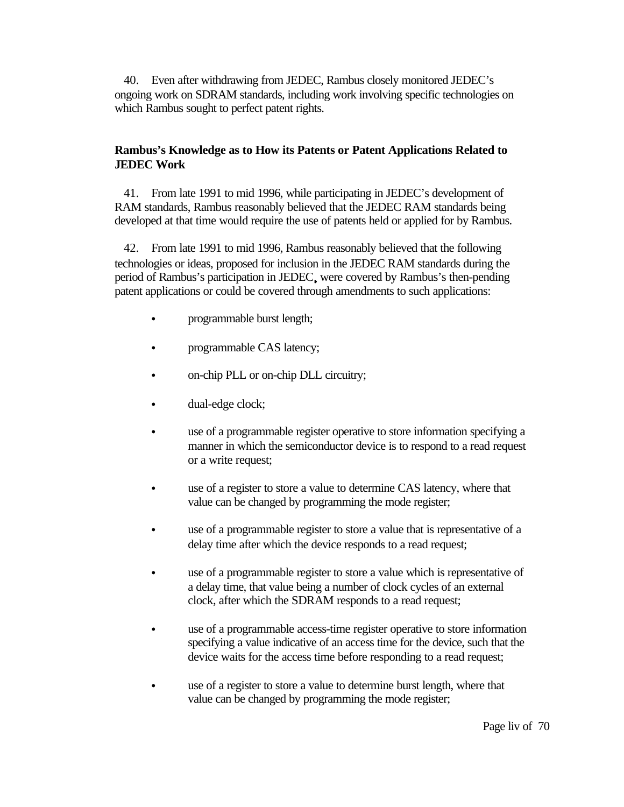40. Even after withdrawing from JEDEC, Rambus closely monitored JEDEC's ongoing work on SDRAM standards, including work involving specific technologies on which Rambus sought to perfect patent rights.

# **Rambus's Knowledge as to How its Patents or Patent Applications Related to JEDEC Work**

41. From late 1991 to mid 1996, while participating in JEDEC's development of RAM standards, Rambus reasonably believed that the JEDEC RAM standards being developed at that time would require the use of patents held or applied for by Rambus.

42. From late 1991 to mid 1996, Rambus reasonably believed that the following technologies or ideas, proposed for inclusion in the JEDEC RAM standards during the period of Rambus's participation in JEDEC were covered by Rambus's then-pending patent applications or could be covered through amendments to such applications:

- programmable burst length;
- programmable CAS latency;
- on-chip PLL or on-chip DLL circuitry;
- dual-edge clock;
- use of a programmable register operative to store information specifying a manner in which the semiconductor device is to respond to a read request or a write request;
- use of a register to store a value to determine CAS latency, where that value can be changed by programming the mode register;
- use of a programmable register to store a value that is representative of a delay time after which the device responds to a read request;
- use of a programmable register to store a value which is representative of a delay time, that value being a number of clock cycles of an external clock, after which the SDRAM responds to a read request;
- use of a programmable access-time register operative to store information specifying a value indicative of an access time for the device, such that the device waits for the access time before responding to a read request;
- use of a register to store a value to determine burst length, where that value can be changed by programming the mode register;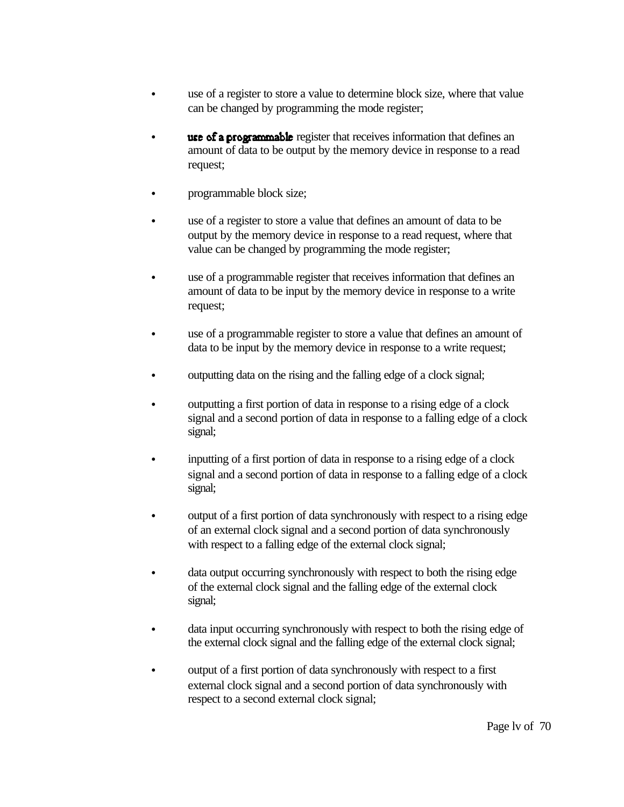- use of a register to store a value to determine block size, where that value can be changed by programming the mode register;
- **Example 1 use of a programmable** register that receives information that defines an amount of data to be output by the memory device in response to a read request;
- programmable block size;
- use of a register to store a value that defines an amount of data to be output by the memory device in response to a read request, where that value can be changed by programming the mode register;
- use of a programmable register that receives information that defines an amount of data to be input by the memory device in response to a write request;
- use of a programmable register to store a value that defines an amount of data to be input by the memory device in response to a write request;
- outputting data on the rising and the falling edge of a clock signal;
- outputting a first portion of data in response to a rising edge of a clock signal and a second portion of data in response to a falling edge of a clock signal;
- inputting of a first portion of data in response to a rising edge of a clock signal and a second portion of data in response to a falling edge of a clock signal;
- output of a first portion of data synchronously with respect to a rising edge of an external clock signal and a second portion of data synchronously with respect to a falling edge of the external clock signal;
- data output occurring synchronously with respect to both the rising edge of the external clock signal and the falling edge of the external clock signal;
- data input occurring synchronously with respect to both the rising edge of the external clock signal and the falling edge of the external clock signal;
- output of a first portion of data synchronously with respect to a first external clock signal and a second portion of data synchronously with respect to a second external clock signal;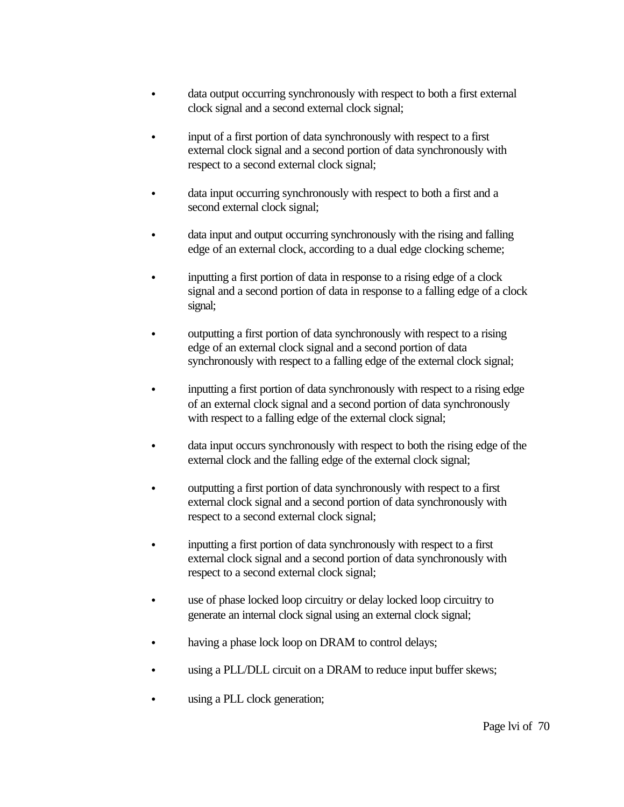- data output occurring synchronously with respect to both a first external clock signal and a second external clock signal;
- input of a first portion of data synchronously with respect to a first external clock signal and a second portion of data synchronously with respect to a second external clock signal;
- data input occurring synchronously with respect to both a first and a second external clock signal;
- data input and output occurring synchronously with the rising and falling edge of an external clock, according to a dual edge clocking scheme;
- inputting a first portion of data in response to a rising edge of a clock signal and a second portion of data in response to a falling edge of a clock signal;
- outputting a first portion of data synchronously with respect to a rising edge of an external clock signal and a second portion of data synchronously with respect to a falling edge of the external clock signal;
- inputting a first portion of data synchronously with respect to a rising edge of an external clock signal and a second portion of data synchronously with respect to a falling edge of the external clock signal;
- data input occurs synchronously with respect to both the rising edge of the external clock and the falling edge of the external clock signal;
- C outputting a first portion of data synchronously with respect to a first external clock signal and a second portion of data synchronously with respect to a second external clock signal;
- inputting a first portion of data synchronously with respect to a first external clock signal and a second portion of data synchronously with respect to a second external clock signal;
- use of phase locked loop circuitry or delay locked loop circuitry to generate an internal clock signal using an external clock signal;
- having a phase lock loop on DRAM to control delays;
- using a PLL/DLL circuit on a DRAM to reduce input buffer skews;
- using a PLL clock generation;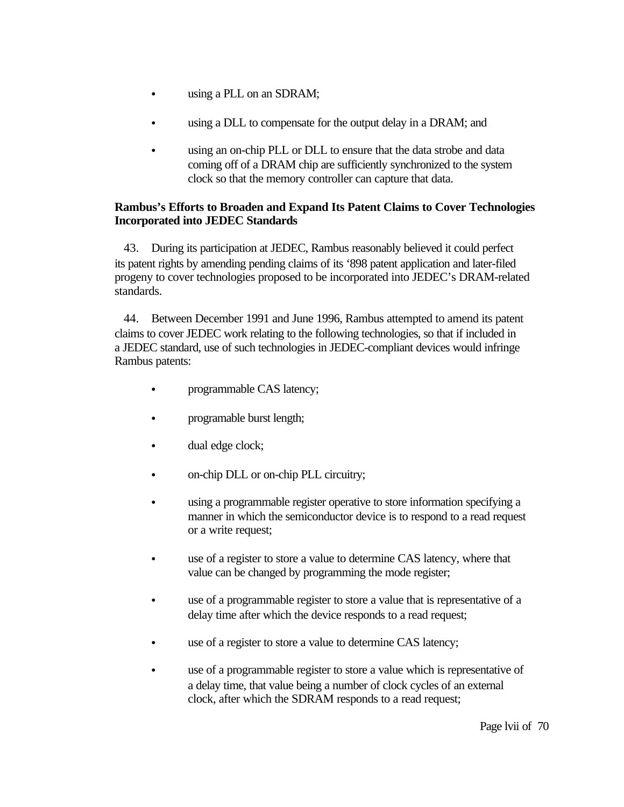- using a PLL on an SDRAM;
- using a DLL to compensate for the output delay in a DRAM; and
- using an on-chip PLL or DLL to ensure that the data strobe and data coming off of a DRAM chip are sufficiently synchronized to the system clock so that the memory controller can capture that data.

## **Rambus's Efforts to Broaden and Expand Its Patent Claims to Cover Technologies Incorporated into JEDEC Standards**

43. During its participation at JEDEC, Rambus reasonably believed it could perfect its patent rights by amending pending claims of its '898 patent application and later-filed progeny to cover technologies proposed to be incorporated into JEDEC's DRAM-related standards.

44. Between December 1991 and June 1996, Rambus attempted to amend its patent claims to cover JEDEC work relating to the following technologies, so that if included in a JEDEC standard, use of such technologies in JEDEC-compliant devices would infringe Rambus patents:

- programmable CAS latency;
- programable burst length;
- dual edge clock;
- on-chip DLL or on-chip PLL circuitry;
- e using a programmable register operative to store information specifying a manner in which the semiconductor device is to respond to a read request or a write request;
- use of a register to store a value to determine CAS latency, where that value can be changed by programming the mode register;
- use of a programmable register to store a value that is representative of a delay time after which the device responds to a read request;
- use of a register to store a value to determine CAS latency;
- use of a programmable register to store a value which is representative of a delay time, that value being a number of clock cycles of an external clock, after which the SDRAM responds to a read request;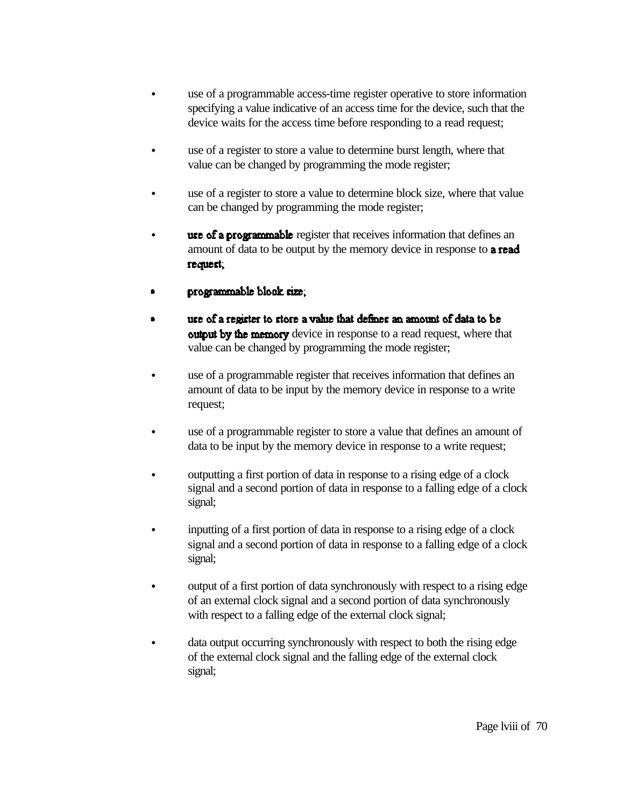- use of a programmable access-time register operative to store information specifying a value indicative of an access time for the device, such that the device waits for the access time before responding to a read request;
- use of a register to store a value to determine burst length, where that value can be changed by programming the mode register;
- use of a register to store a value to determine block size, where that value can be changed by programming the mode register;
- **use of a programmable** register that receives information that defines an amount of data to be output by the memory device in response to **a read** request,
- programmable block size;
- use of a register to store a value that defines an amount of data to be **output by the memory** device in response to a read request, where that value can be changed by programming the mode register;
- use of a programmable register that receives information that defines an amount of data to be input by the memory device in response to a write request;
- use of a programmable register to store a value that defines an amount of data to be input by the memory device in response to a write request;
- outputting a first portion of data in response to a rising edge of a clock signal and a second portion of data in response to a falling edge of a clock signal;
- inputting of a first portion of data in response to a rising edge of a clock signal and a second portion of data in response to a falling edge of a clock signal;
- output of a first portion of data synchronously with respect to a rising edge of an external clock signal and a second portion of data synchronously with respect to a falling edge of the external clock signal;
- data output occurring synchronously with respect to both the rising edge of the external clock signal and the falling edge of the external clock signal;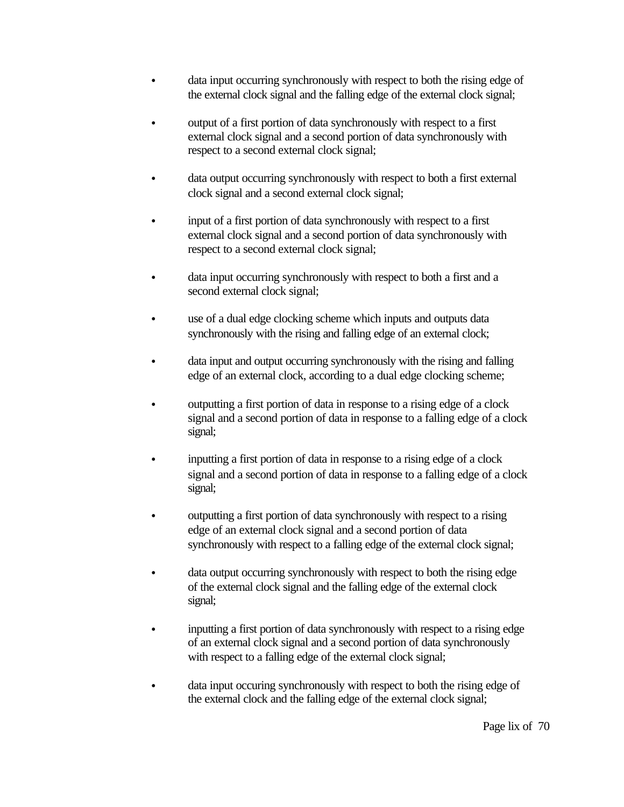- data input occurring synchronously with respect to both the rising edge of the external clock signal and the falling edge of the external clock signal;
- output of a first portion of data synchronously with respect to a first external clock signal and a second portion of data synchronously with respect to a second external clock signal;
- data output occurring synchronously with respect to both a first external clock signal and a second external clock signal;
- input of a first portion of data synchronously with respect to a first external clock signal and a second portion of data synchronously with respect to a second external clock signal;
- data input occurring synchronously with respect to both a first and a second external clock signal;
- use of a dual edge clocking scheme which inputs and outputs data synchronously with the rising and falling edge of an external clock;
- data input and output occurring synchronously with the rising and falling edge of an external clock, according to a dual edge clocking scheme;
- outputting a first portion of data in response to a rising edge of a clock signal and a second portion of data in response to a falling edge of a clock signal;
- inputting a first portion of data in response to a rising edge of a clock signal and a second portion of data in response to a falling edge of a clock signal;
- outputting a first portion of data synchronously with respect to a rising edge of an external clock signal and a second portion of data synchronously with respect to a falling edge of the external clock signal;
- data output occurring synchronously with respect to both the rising edge of the external clock signal and the falling edge of the external clock signal;
- inputting a first portion of data synchronously with respect to a rising edge of an external clock signal and a second portion of data synchronously with respect to a falling edge of the external clock signal;
- data input occuring synchronously with respect to both the rising edge of the external clock and the falling edge of the external clock signal;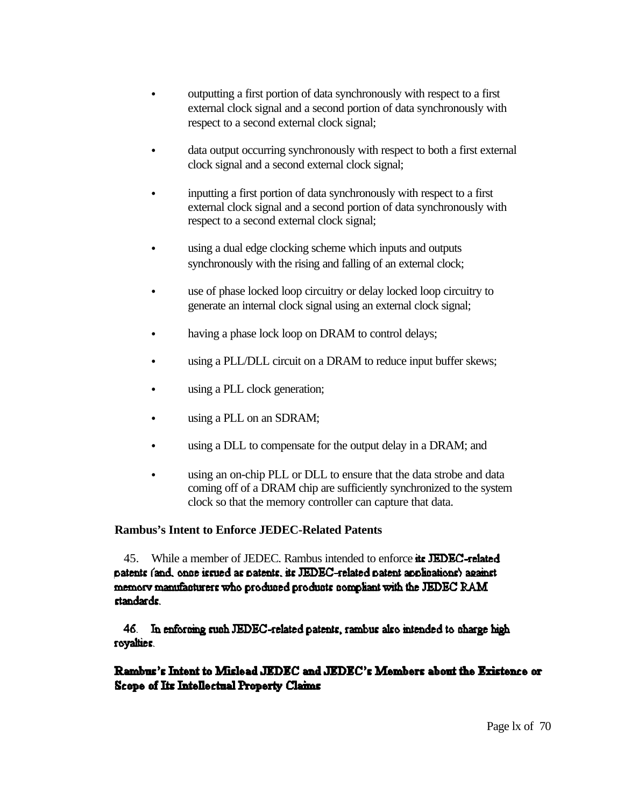- outputting a first portion of data synchronously with respect to a first external clock signal and a second portion of data synchronously with respect to a second external clock signal;
- data output occurring synchronously with respect to both a first external clock signal and a second external clock signal;
- inputting a first portion of data synchronously with respect to a first external clock signal and a second portion of data synchronously with respect to a second external clock signal;
- using a dual edge clocking scheme which inputs and outputs synchronously with the rising and falling of an external clock;
- use of phase locked loop circuitry or delay locked loop circuitry to generate an internal clock signal using an external clock signal;
- having a phase lock loop on DRAM to control delays;
- using a PLL/DLL circuit on a DRAM to reduce input buffer skews;
- using a PLL clock generation;
- using a PLL on an SDRAM;
- using a DLL to compensate for the output delay in a DRAM; and
- using an on-chip PLL or DLL to ensure that the data strobe and data coming off of a DRAM chip are sufficiently synchronized to the system clock so that the memory controller can capture that data.

## **Rambus's Intent to Enforce JEDEC-Related Patents**

45. While a member of JEDEC. Rambus intended to enforce its JEDEC-related patents (and, once issued as patents, its JEDEC-related patent applications) against memory manufacturers who produced products compliant with the JEDEC RAM standards.

46. In enforcing such JEDEC-related patents, rambus also intended to charge high royalties.

# Rambus's Intent to Mislead JEDEC and JEDEC's Members about the Existence or **Scope of Its Intellectual Property Claims**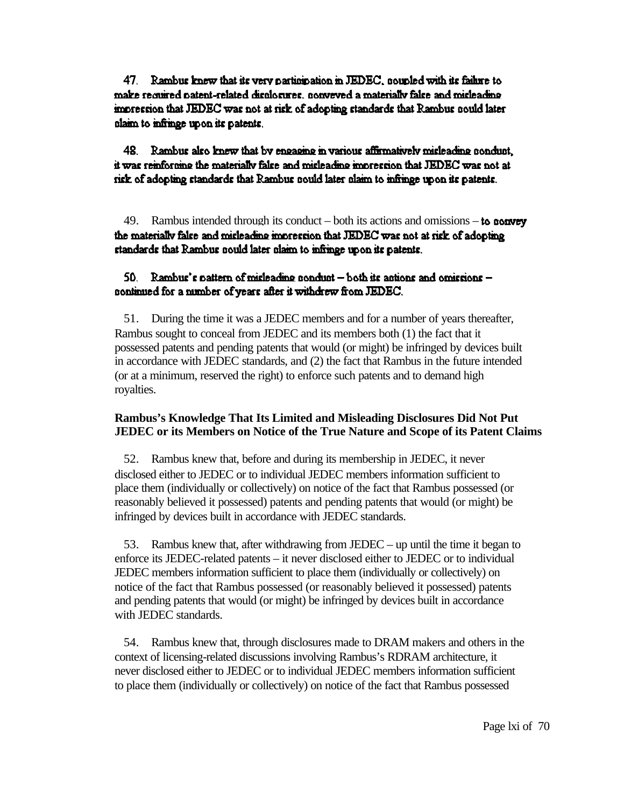47. Rambus knew that its very participation in JEDEC, nounled with its failure to make required patent-related displogates, popyrized a materially false and misleading impression that JEDEC was not at risk of adopting standards that Rambus nould later claim to infringe upon its patents.

48. Rambus also knew that by engaging in various affirmatively misleading conduct. it was reinforning the materially false and misleading impression that JEDEC was not at rick of adopting standards that Rambus could later claim to infringe upon its patents.

49. Rambus intended through its conduct – both its actions and omissions – to convey the materially false and misleading impression that JEDEC was not at risk of adopting standards that Rambus nould later claim to infringe upon its patents.

#### 50. Rambus's pattern of misleading ponduct  $-\text{both}$  its actions and omissions  $-\text{both}$ continued for a number of years after it withdrew from JEDEC.

51. During the time it was a JEDEC members and for a number of years thereafter, Rambus sought to conceal from JEDEC and its members both (1) the fact that it possessed patents and pending patents that would (or might) be infringed by devices built in accordance with JEDEC standards, and (2) the fact that Rambus in the future intended (or at a minimum, reserved the right) to enforce such patents and to demand high royalties.

#### **Rambus's Knowledge That Its Limited and Misleading Disclosures Did Not Put JEDEC or its Members on Notice of the True Nature and Scope of its Patent Claims**

52. Rambus knew that, before and during its membership in JEDEC, it never disclosed either to JEDEC or to individual JEDEC members information sufficient to place them (individually or collectively) on notice of the fact that Rambus possessed (or reasonably believed it possessed) patents and pending patents that would (or might) be infringed by devices built in accordance with JEDEC standards.

53. Rambus knew that, after withdrawing from JEDEC – up until the time it began to enforce its JEDEC-related patents – it never disclosed either to JEDEC or to individual JEDEC members information sufficient to place them (individually or collectively) on notice of the fact that Rambus possessed (or reasonably believed it possessed) patents and pending patents that would (or might) be infringed by devices built in accordance with JEDEC standards.

54. Rambus knew that, through disclosures made to DRAM makers and others in the context of licensing-related discussions involving Rambus's RDRAM architecture, it never disclosed either to JEDEC or to individual JEDEC members information sufficient to place them (individually or collectively) on notice of the fact that Rambus possessed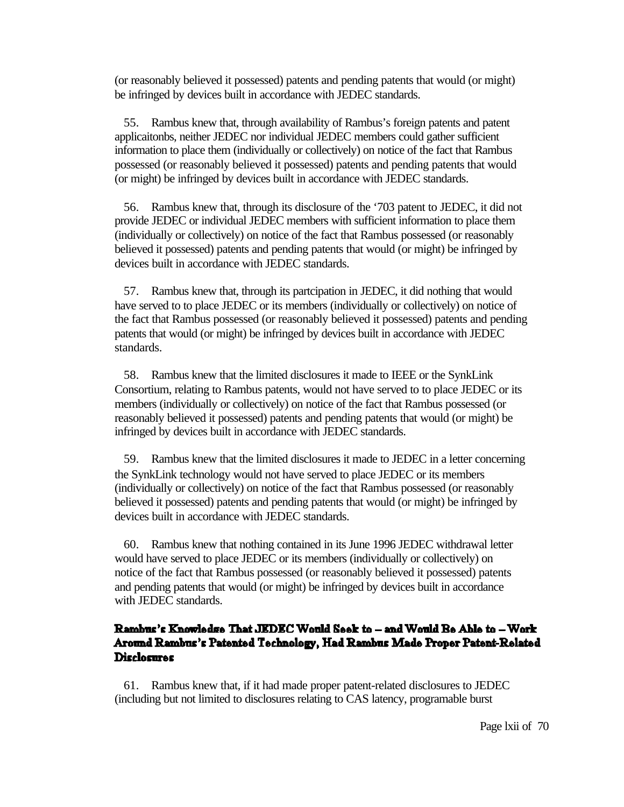(or reasonably believed it possessed) patents and pending patents that would (or might) be infringed by devices built in accordance with JEDEC standards.

55. Rambus knew that, through availability of Rambus's foreign patents and patent applicaitonbs, neither JEDEC nor individual JEDEC members could gather sufficient information to place them (individually or collectively) on notice of the fact that Rambus possessed (or reasonably believed it possessed) patents and pending patents that would (or might) be infringed by devices built in accordance with JEDEC standards.

56. Rambus knew that, through its disclosure of the '703 patent to JEDEC, it did not provide JEDEC or individual JEDEC members with sufficient information to place them (individually or collectively) on notice of the fact that Rambus possessed (or reasonably believed it possessed) patents and pending patents that would (or might) be infringed by devices built in accordance with JEDEC standards.

57. Rambus knew that, through its partcipation in JEDEC, it did nothing that would have served to to place JEDEC or its members (individually or collectively) on notice of the fact that Rambus possessed (or reasonably believed it possessed) patents and pending patents that would (or might) be infringed by devices built in accordance with JEDEC standards.

58. Rambus knew that the limited disclosures it made to IEEE or the SynkLink Consortium, relating to Rambus patents, would not have served to to place JEDEC or its members (individually or collectively) on notice of the fact that Rambus possessed (or reasonably believed it possessed) patents and pending patents that would (or might) be infringed by devices built in accordance with JEDEC standards.

59. Rambus knew that the limited disclosures it made to JEDEC in a letter concerning the SynkLink technology would not have served to place JEDEC or its members (individually or collectively) on notice of the fact that Rambus possessed (or reasonably believed it possessed) patents and pending patents that would (or might) be infringed by devices built in accordance with JEDEC standards.

60. Rambus knew that nothing contained in its June 1996 JEDEC withdrawal letter would have served to place JEDEC or its members (individually or collectively) on notice of the fact that Rambus possessed (or reasonably believed it possessed) patents and pending patents that would (or might) be infringed by devices built in accordance with JEDEC standards.

# Rambus's Knowledge That JEDEC Would Seek to - and Would Be Able to - Work Around Rambus's Patented Technology, Had Rambus Made Proper Patent-Related **Disclosures**

61. Rambus knew that, if it had made proper patent-related disclosures to JEDEC (including but not limited to disclosures relating to CAS latency, programable burst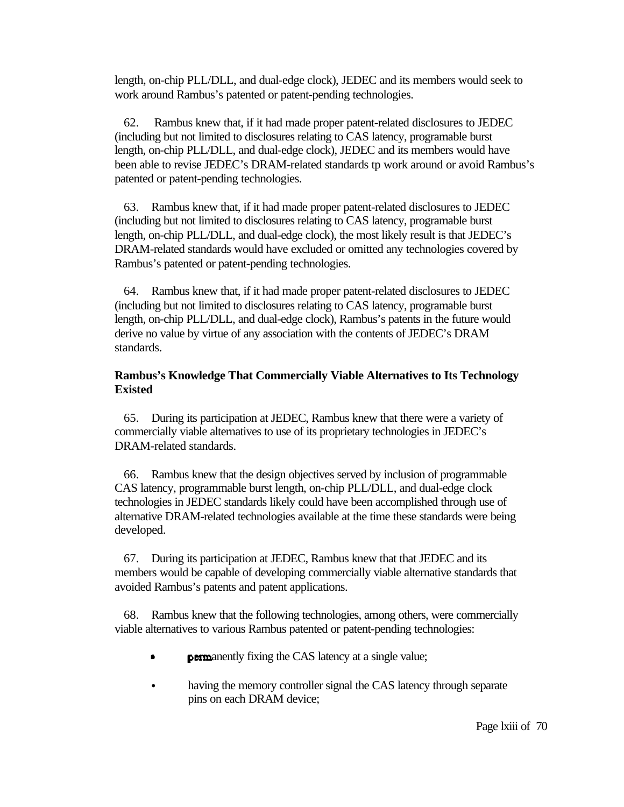length, on-chip PLL/DLL, and dual-edge clock), JEDEC and its members would seek to work around Rambus's patented or patent-pending technologies.

62. Rambus knew that, if it had made proper patent-related disclosures to JEDEC (including but not limited to disclosures relating to CAS latency, programable burst length, on-chip PLL/DLL, and dual-edge clock), JEDEC and its members would have been able to revise JEDEC's DRAM-related standards tp work around or avoid Rambus's patented or patent-pending technologies.

63. Rambus knew that, if it had made proper patent-related disclosures to JEDEC (including but not limited to disclosures relating to CAS latency, programable burst length, on-chip PLL/DLL, and dual-edge clock), the most likely result is that JEDEC's DRAM-related standards would have excluded or omitted any technologies covered by Rambus's patented or patent-pending technologies.

64. Rambus knew that, if it had made proper patent-related disclosures to JEDEC (including but not limited to disclosures relating to CAS latency, programable burst length, on-chip PLL/DLL, and dual-edge clock), Rambus's patents in the future would derive no value by virtue of any association with the contents of JEDEC's DRAM standards.

#### **Rambus's Knowledge That Commercially Viable Alternatives to Its Technology Existed**

65. During its participation at JEDEC, Rambus knew that there were a variety of commercially viable alternatives to use of its proprietary technologies in JEDEC's DRAM-related standards.

66. Rambus knew that the design objectives served by inclusion of programmable CAS latency, programmable burst length, on-chip PLL/DLL, and dual-edge clock technologies in JEDEC standards likely could have been accomplished through use of alternative DRAM-related technologies available at the time these standards were being developed.

67. During its participation at JEDEC, Rambus knew that that JEDEC and its members would be capable of developing commercially viable alternative standards that avoided Rambus's patents and patent applications.

68. Rambus knew that the following technologies, among others, were commercially viable alternatives to various Rambus patented or patent-pending technologies:

- **permanently fixing the CAS latency at a single value;**
- having the memory controller signal the CAS latency through separate pins on each DRAM device;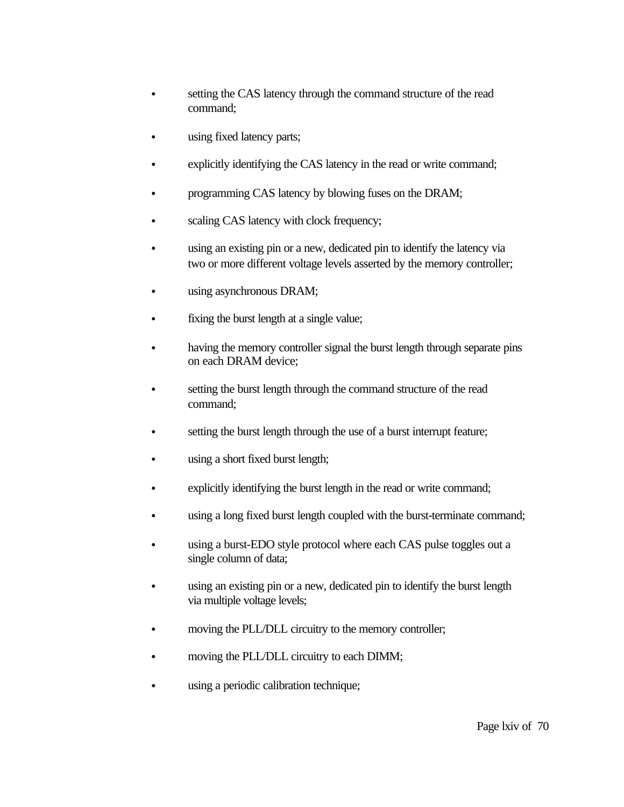- setting the CAS latency through the command structure of the read command;
- using fixed latency parts;
- explicitly identifying the CAS latency in the read or write command;
- programming CAS latency by blowing fuses on the DRAM;
- scaling CAS latency with clock frequency;
- using an existing pin or a new, dedicated pin to identify the latency via two or more different voltage levels asserted by the memory controller;
- using asynchronous DRAM;
- fixing the burst length at a single value;
- having the memory controller signal the burst length through separate pins on each DRAM device;
- e setting the burst length through the command structure of the read command;
- setting the burst length through the use of a burst interrupt feature;
- using a short fixed burst length;
- explicitly identifying the burst length in the read or write command;
- using a long fixed burst length coupled with the burst-terminate command;
- using a burst-EDO style protocol where each CAS pulse toggles out a single column of data;
- using an existing pin or a new, dedicated pin to identify the burst length via multiple voltage levels;
- moving the PLL/DLL circuitry to the memory controller;
- moving the PLL/DLL circuitry to each DIMM;
- using a periodic calibration technique;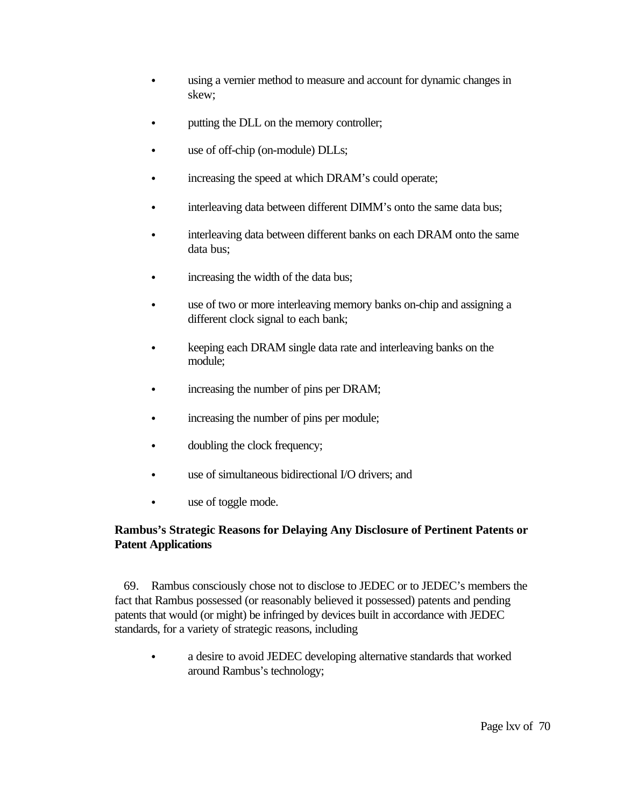- using a vernier method to measure and account for dynamic changes in skew;
- putting the DLL on the memory controller;
- use of off-chip (on-module) DLLs;
- increasing the speed at which DRAM's could operate;
- interleaving data between different DIMM's onto the same data bus;
- interleaving data between different banks on each DRAM onto the same data bus;
- increasing the width of the data bus;
- use of two or more interleaving memory banks on-chip and assigning a different clock signal to each bank;
- keeping each DRAM single data rate and interleaving banks on the module;
- increasing the number of pins per DRAM;
- increasing the number of pins per module;
- doubling the clock frequency;
- use of simultaneous bidirectional I/O drivers; and
- use of toggle mode.

# **Rambus's Strategic Reasons for Delaying Any Disclosure of Pertinent Patents or Patent Applications**

69. Rambus consciously chose not to disclose to JEDEC or to JEDEC's members the fact that Rambus possessed (or reasonably believed it possessed) patents and pending patents that would (or might) be infringed by devices built in accordance with JEDEC standards, for a variety of strategic reasons, including

• a desire to avoid JEDEC developing alternative standards that worked around Rambus's technology;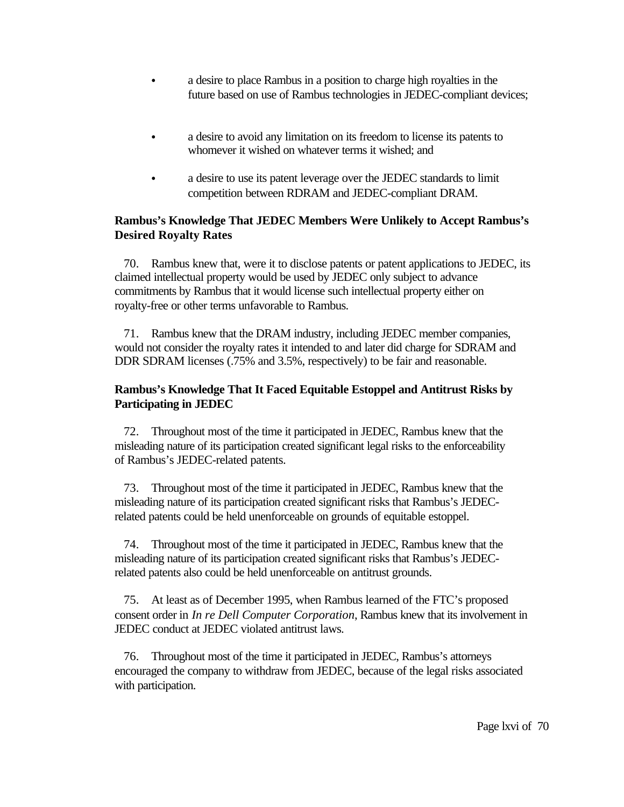- a desire to place Rambus in a position to charge high royalties in the future based on use of Rambus technologies in JEDEC-compliant devices;
- a desire to avoid any limitation on its freedom to license its patents to whomever it wished on whatever terms it wished; and
- a desire to use its patent leverage over the JEDEC standards to limit competition between RDRAM and JEDEC-compliant DRAM.

# **Rambus's Knowledge That JEDEC Members Were Unlikely to Accept Rambus's Desired Royalty Rates**

70. Rambus knew that, were it to disclose patents or patent applications to JEDEC, its claimed intellectual property would be used by JEDEC only subject to advance commitments by Rambus that it would license such intellectual property either on royalty-free or other terms unfavorable to Rambus.

71. Rambus knew that the DRAM industry, including JEDEC member companies, would not consider the royalty rates it intended to and later did charge for SDRAM and DDR SDRAM licenses (.75% and 3.5%, respectively) to be fair and reasonable.

# **Rambus's Knowledge That It Faced Equitable Estoppel and Antitrust Risks by Participating in JEDEC**

72. Throughout most of the time it participated in JEDEC, Rambus knew that the misleading nature of its participation created significant legal risks to the enforceability of Rambus's JEDEC-related patents.

73. Throughout most of the time it participated in JEDEC, Rambus knew that the misleading nature of its participation created significant risks that Rambus's JEDECrelated patents could be held unenforceable on grounds of equitable estoppel.

74. Throughout most of the time it participated in JEDEC, Rambus knew that the misleading nature of its participation created significant risks that Rambus's JEDECrelated patents also could be held unenforceable on antitrust grounds.

75. At least as of December 1995, when Rambus learned of the FTC's proposed consent order in *In re Dell Computer Corporation*, Rambus knew that its involvement in JEDEC conduct at JEDEC violated antitrust laws.

76. Throughout most of the time it participated in JEDEC, Rambus's attorneys encouraged the company to withdraw from JEDEC, because of the legal risks associated with participation.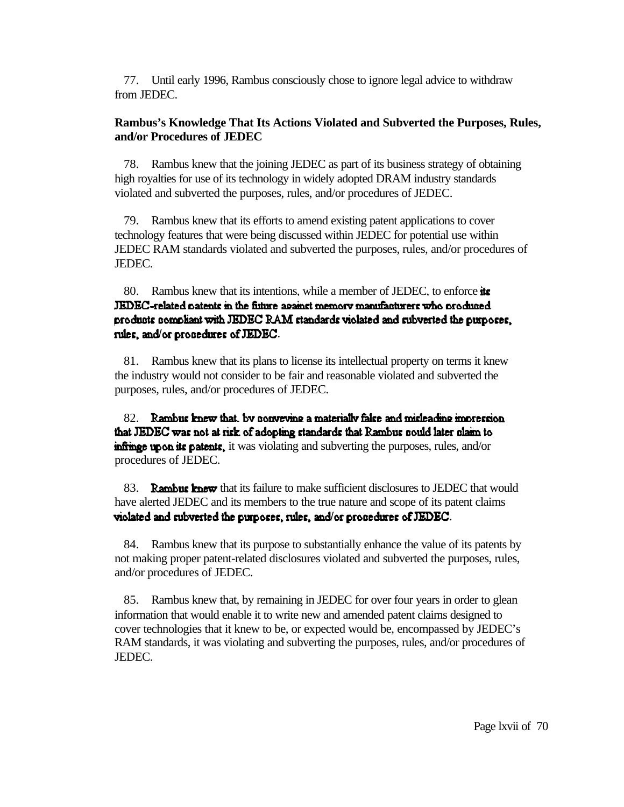77. Until early 1996, Rambus consciously chose to ignore legal advice to withdraw from JEDEC.

## **Rambus's Knowledge That Its Actions Violated and Subverted the Purposes, Rules, and/or Procedures of JEDEC**

78. Rambus knew that the joining JEDEC as part of its business strategy of obtaining high royalties for use of its technology in widely adopted DRAM industry standards violated and subverted the purposes, rules, and/or procedures of JEDEC.

79. Rambus knew that its efforts to amend existing patent applications to cover technology features that were being discussed within JEDEC for potential use within JEDEC RAM standards violated and subverted the purposes, rules, and/or procedures of JEDEC.

80. Rambus knew that its intentions, while a member of JEDEC, to enforce its JEDEC-related patents in the fisture against memory manufacturers who produced products compliant with JEDEC RAM standards violated and subverted the purposes, rules, and/or propedures of JEDEC.

81. Rambus knew that its plans to license its intellectual property on terms it knew the industry would not consider to be fair and reasonable violated and subverted the purposes, rules, and/or procedures of JEDEC.

82. Rambus knew that, by conveying a materially false and misleading impression that JEDEC was not at risk of adopting standards that Rambus nould later nlaim to **infinge upon its patents**, it was violating and subverting the purposes, rules, and/or procedures of JEDEC.

83. **Rambus knew** that its failure to make sufficient disclosures to JEDEC that would have alerted JEDEC and its members to the true nature and scope of its patent claims violated and subverted the purposes, rules, and/or procedures of JEDEC.

84. Rambus knew that its purpose to substantially enhance the value of its patents by not making proper patent-related disclosures violated and subverted the purposes, rules, and/or procedures of JEDEC.

85. Rambus knew that, by remaining in JEDEC for over four years in order to glean information that would enable it to write new and amended patent claims designed to cover technologies that it knew to be, or expected would be, encompassed by JEDEC's RAM standards, it was violating and subverting the purposes, rules, and/or procedures of JEDEC.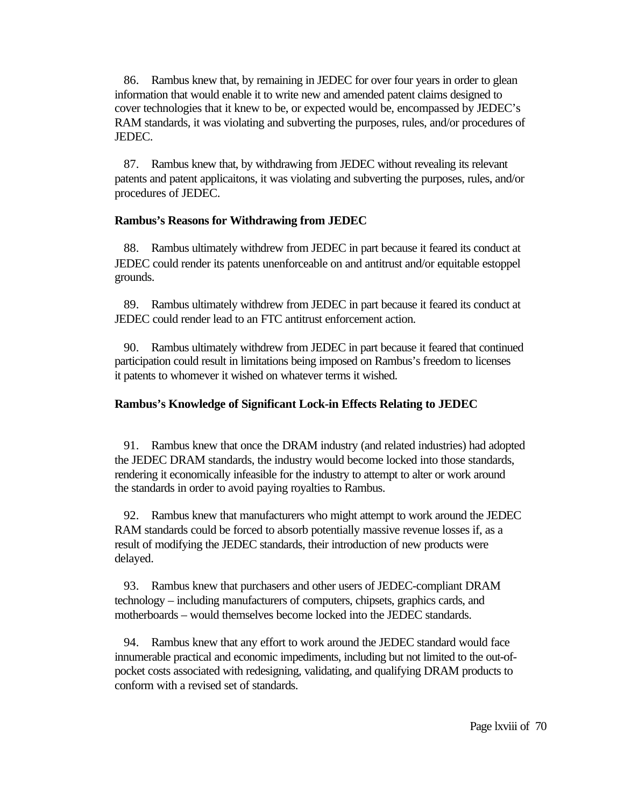86. Rambus knew that, by remaining in JEDEC for over four years in order to glean information that would enable it to write new and amended patent claims designed to cover technologies that it knew to be, or expected would be, encompassed by JEDEC's RAM standards, it was violating and subverting the purposes, rules, and/or procedures of JEDEC.

87. Rambus knew that, by withdrawing from JEDEC without revealing its relevant patents and patent applicaitons, it was violating and subverting the purposes, rules, and/or procedures of JEDEC.

## **Rambus's Reasons for Withdrawing from JEDEC**

88. Rambus ultimately withdrew from JEDEC in part because it feared its conduct at JEDEC could render its patents unenforceable on and antitrust and/or equitable estoppel grounds.

89. Rambus ultimately withdrew from JEDEC in part because it feared its conduct at JEDEC could render lead to an FTC antitrust enforcement action.

90. Rambus ultimately withdrew from JEDEC in part because it feared that continued participation could result in limitations being imposed on Rambus's freedom to licenses it patents to whomever it wished on whatever terms it wished.

## **Rambus's Knowledge of Significant Lock-in Effects Relating to JEDEC**

91. Rambus knew that once the DRAM industry (and related industries) had adopted the JEDEC DRAM standards, the industry would become locked into those standards, rendering it economically infeasible for the industry to attempt to alter or work around the standards in order to avoid paying royalties to Rambus.

92. Rambus knew that manufacturers who might attempt to work around the JEDEC RAM standards could be forced to absorb potentially massive revenue losses if, as a result of modifying the JEDEC standards, their introduction of new products were delayed.

93. Rambus knew that purchasers and other users of JEDEC-compliant DRAM technology – including manufacturers of computers, chipsets, graphics cards, and motherboards – would themselves become locked into the JEDEC standards.

94. Rambus knew that any effort to work around the JEDEC standard would face innumerable practical and economic impediments, including but not limited to the out-ofpocket costs associated with redesigning, validating, and qualifying DRAM products to conform with a revised set of standards.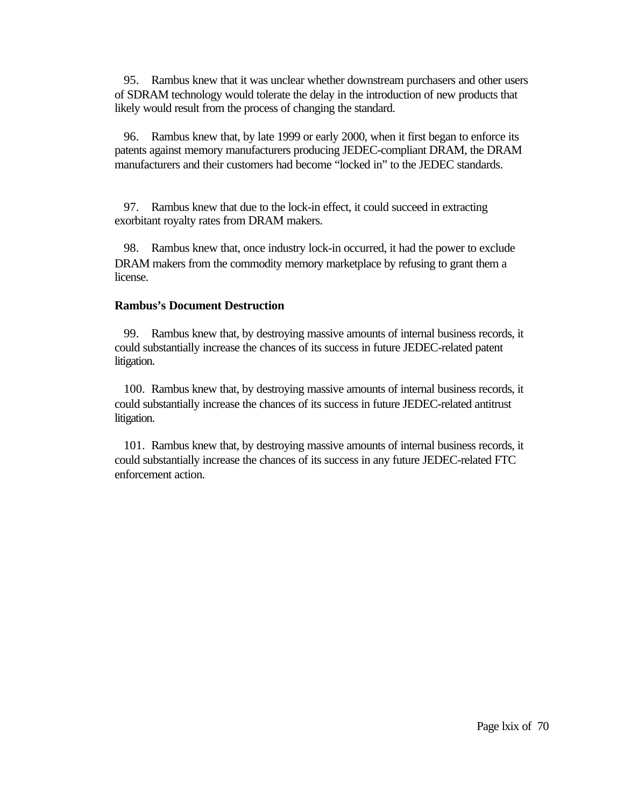95. Rambus knew that it was unclear whether downstream purchasers and other users of SDRAM technology would tolerate the delay in the introduction of new products that likely would result from the process of changing the standard.

96. Rambus knew that, by late 1999 or early 2000, when it first began to enforce its patents against memory manufacturers producing JEDEC-compliant DRAM, the DRAM manufacturers and their customers had become "locked in" to the JEDEC standards.

97. Rambus knew that due to the lock-in effect, it could succeed in extracting exorbitant royalty rates from DRAM makers.

98. Rambus knew that, once industry lock-in occurred, it had the power to exclude DRAM makers from the commodity memory marketplace by refusing to grant them a license.

## **Rambus's Document Destruction**

99. Rambus knew that, by destroying massive amounts of internal business records, it could substantially increase the chances of its success in future JEDEC-related patent litigation.

100. Rambus knew that, by destroying massive amounts of internal business records, it could substantially increase the chances of its success in future JEDEC-related antitrust litigation.

101. Rambus knew that, by destroying massive amounts of internal business records, it could substantially increase the chances of its success in any future JEDEC-related FTC enforcement action.